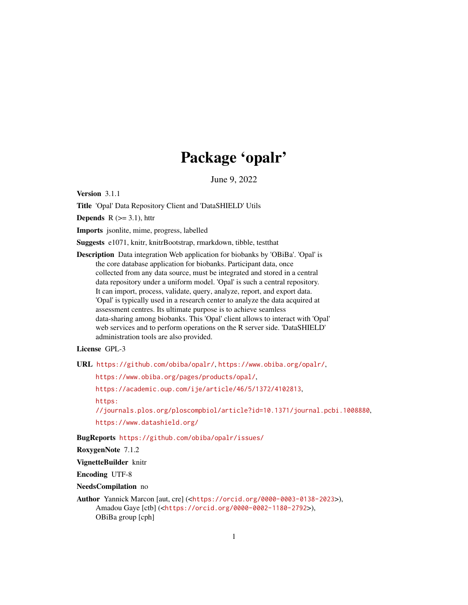# Package 'opalr'

June 9, 2022

Version 3.1.1

Title 'Opal' Data Repository Client and 'DataSHIELD' Utils

**Depends**  $R$  ( $>=$  3.1), httr

Imports jsonlite, mime, progress, labelled

Suggests e1071, knitr, knitrBootstrap, rmarkdown, tibble, testthat

Description Data integration Web application for biobanks by 'OBiBa'. 'Opal' is the core database application for biobanks. Participant data, once collected from any data source, must be integrated and stored in a central data repository under a uniform model. 'Opal' is such a central repository. It can import, process, validate, query, analyze, report, and export data. 'Opal' is typically used in a research center to analyze the data acquired at assessment centres. Its ultimate purpose is to achieve seamless data-sharing among biobanks. This 'Opal' client allows to interact with 'Opal' web services and to perform operations on the R server side. 'DataSHIELD' administration tools are also provided.

# License GPL-3

URL <https://github.com/obiba/opalr/>, <https://www.obiba.org/opalr/>,

<https://www.obiba.org/pages/products/opal/>,

<https://academic.oup.com/ije/article/46/5/1372/4102813>,

[https:](https://journals.plos.org/ploscompbiol/article?id=10.1371/journal.pcbi.1008880)

[//journals.plos.org/ploscompbiol/article?id=10.1371/journal.pcbi.1008880](https://journals.plos.org/ploscompbiol/article?id=10.1371/journal.pcbi.1008880),

<https://www.datashield.org/>

BugReports <https://github.com/obiba/opalr/issues/>

RoxygenNote 7.1.2

VignetteBuilder knitr

Encoding UTF-8

NeedsCompilation no

Author Yannick Marcon [aut, cre] (<<https://orcid.org/0000-0003-0138-2023>>), Amadou Gaye [ctb] (<<https://orcid.org/0000-0002-1180-2792>>), OBiBa group [cph]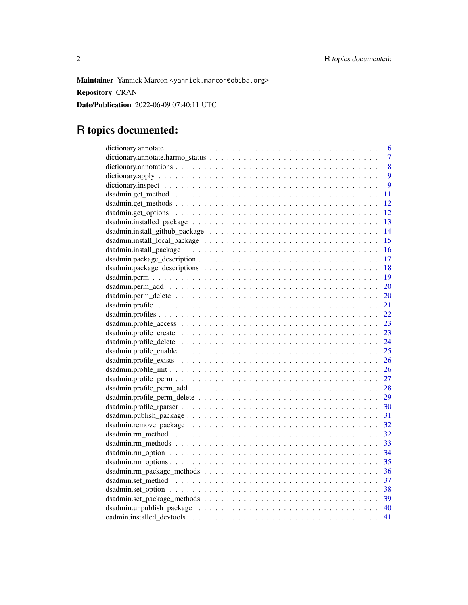Maintainer Yannick Marcon <yannick.marcon@obiba.org> Repository CRAN

Date/Publication 2022-06-09 07:40:11 UTC

# R topics documented:

| 6                                                                                                                  |
|--------------------------------------------------------------------------------------------------------------------|
| $\overline{7}$                                                                                                     |
| 8                                                                                                                  |
| $\overline{9}$                                                                                                     |
| $\overline{9}$                                                                                                     |
| 11                                                                                                                 |
| 12                                                                                                                 |
| 12                                                                                                                 |
| 13                                                                                                                 |
| 14                                                                                                                 |
| 15                                                                                                                 |
| 16                                                                                                                 |
|                                                                                                                    |
|                                                                                                                    |
|                                                                                                                    |
| 20                                                                                                                 |
| 20                                                                                                                 |
| 21                                                                                                                 |
| 22                                                                                                                 |
| 23                                                                                                                 |
| dsadmin.profile_create $\ldots \ldots \ldots \ldots \ldots \ldots \ldots \ldots \ldots \ldots \ldots \ldots$<br>23 |
| 24                                                                                                                 |
| 25                                                                                                                 |
| 26                                                                                                                 |
| 26                                                                                                                 |
|                                                                                                                    |
| 28                                                                                                                 |
| 29                                                                                                                 |
| 30                                                                                                                 |
| 31                                                                                                                 |
| 32                                                                                                                 |
|                                                                                                                    |
| 33                                                                                                                 |
|                                                                                                                    |
|                                                                                                                    |
| dsadmin.rm_package_methods<br>36                                                                                   |
|                                                                                                                    |
|                                                                                                                    |
|                                                                                                                    |
|                                                                                                                    |
| 41                                                                                                                 |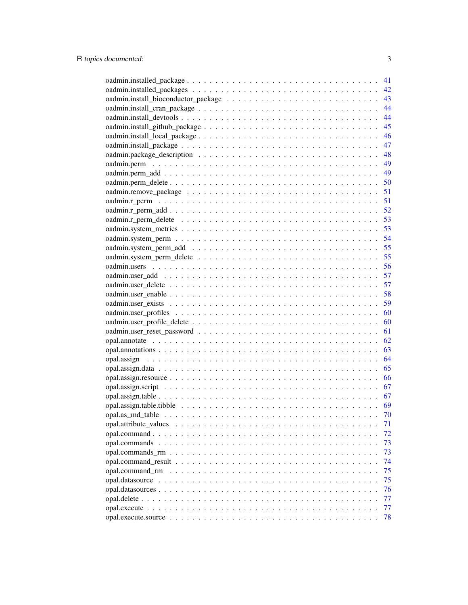|                                                                                                 | 41 |
|-------------------------------------------------------------------------------------------------|----|
|                                                                                                 | 42 |
|                                                                                                 | 43 |
|                                                                                                 | 44 |
|                                                                                                 | 44 |
|                                                                                                 | 45 |
|                                                                                                 | 46 |
|                                                                                                 | 47 |
|                                                                                                 | 48 |
|                                                                                                 | 49 |
|                                                                                                 | 49 |
|                                                                                                 | 50 |
|                                                                                                 | 51 |
|                                                                                                 | 51 |
|                                                                                                 | 52 |
|                                                                                                 |    |
|                                                                                                 |    |
|                                                                                                 |    |
|                                                                                                 | 54 |
|                                                                                                 | 55 |
|                                                                                                 | 55 |
|                                                                                                 | 56 |
|                                                                                                 | 57 |
|                                                                                                 | 57 |
|                                                                                                 | 58 |
|                                                                                                 | 59 |
|                                                                                                 | 60 |
|                                                                                                 | 60 |
|                                                                                                 | 61 |
|                                                                                                 | 62 |
|                                                                                                 | 63 |
|                                                                                                 | 64 |
|                                                                                                 | 65 |
|                                                                                                 | 66 |
|                                                                                                 | 67 |
|                                                                                                 | 67 |
|                                                                                                 | 69 |
|                                                                                                 | 70 |
|                                                                                                 | 71 |
|                                                                                                 | 72 |
|                                                                                                 | 73 |
| opal.commands $rm \ldots \ldots \ldots \ldots \ldots \ldots \ldots \ldots \ldots \ldots \ldots$ | 73 |
|                                                                                                 | 74 |
| opal.command_rm                                                                                 | 75 |
|                                                                                                 | 75 |
|                                                                                                 | 76 |
|                                                                                                 | 77 |
|                                                                                                 |    |
|                                                                                                 | 77 |
|                                                                                                 | 78 |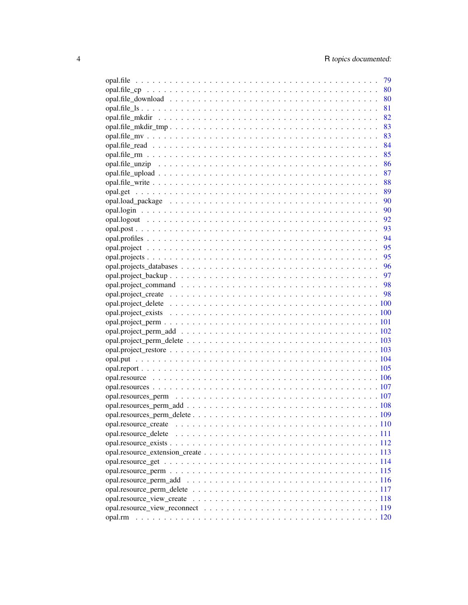| 79 |
|----|
|    |
|    |
|    |
|    |
|    |
|    |
|    |
|    |
|    |
|    |
|    |
|    |
|    |
|    |
|    |
|    |
|    |
|    |
|    |
|    |
|    |
|    |
|    |
|    |
|    |
|    |
|    |
|    |
|    |
|    |
|    |
|    |
|    |
|    |
|    |
|    |
|    |
|    |
|    |
|    |
|    |
|    |
|    |
|    |
|    |
|    |
|    |
|    |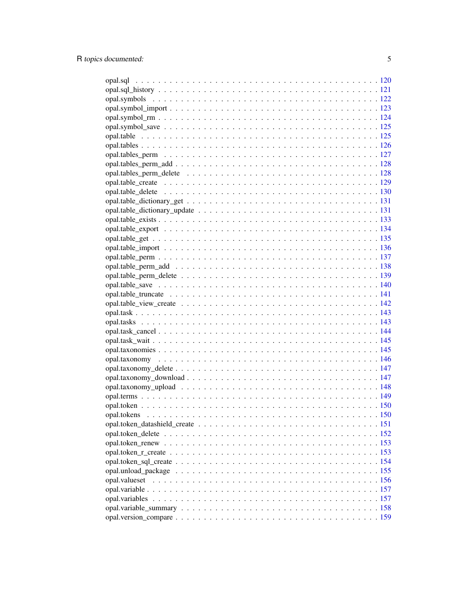| opal.valueset |  |
|---------------|--|
|               |  |
|               |  |
|               |  |
|               |  |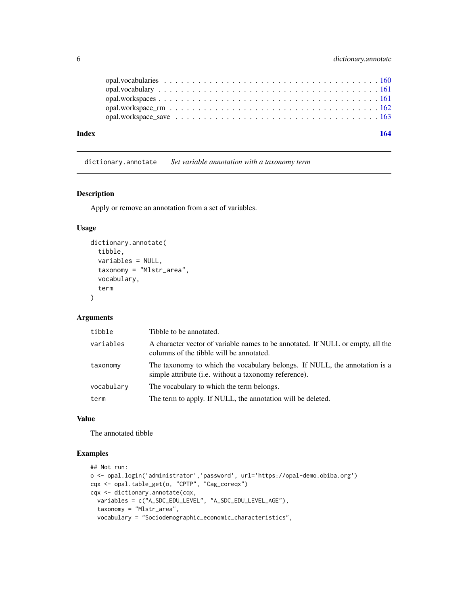<span id="page-5-0"></span>

| Index |  |  |  |  |  |  |  |  |  |  |  |  |  |  |  | 164 |  |
|-------|--|--|--|--|--|--|--|--|--|--|--|--|--|--|--|-----|--|
|       |  |  |  |  |  |  |  |  |  |  |  |  |  |  |  |     |  |
|       |  |  |  |  |  |  |  |  |  |  |  |  |  |  |  |     |  |
|       |  |  |  |  |  |  |  |  |  |  |  |  |  |  |  |     |  |
|       |  |  |  |  |  |  |  |  |  |  |  |  |  |  |  |     |  |
|       |  |  |  |  |  |  |  |  |  |  |  |  |  |  |  |     |  |

dictionary.annotate *Set variable annotation with a taxonomy term*

### Description

Apply or remove an annotation from a set of variables.

# Usage

```
dictionary.annotate(
  tibble,
  variables = NULL,
  taxonomy = "Mlstr_area",
  vocabulary,
  term
)
```
#### Arguments

| tibble     | Tibble to be annotated.                                                                                                             |
|------------|-------------------------------------------------------------------------------------------------------------------------------------|
| variables  | A character vector of variable names to be annotated. If NULL or empty, all the<br>columns of the tibble will be annotated.         |
| taxonomy   | The taxonomy to which the vocabulary belongs. If NULL, the annotation is a<br>simple attribute (i.e. without a taxonomy reference). |
| vocabulary | The vocabulary to which the term belongs.                                                                                           |
| term       | The term to apply. If NULL, the annotation will be deleted.                                                                         |

#### Value

The annotated tibble

# Examples

```
## Not run:
o <- opal.login('administrator','password', url='https://opal-demo.obiba.org')
cqx <- opal.table_get(o, "CPTP", "Cag_coreqx")
cqx <- dictionary.annotate(cqx,
  variables = c("A_SDC_EDU_LEVEL", "A_SDC_EDU_LEVEL_AGE"),
  taxonomy = "Mlstr_area",
  vocabulary = "Sociodemographic_economic_characteristics",
```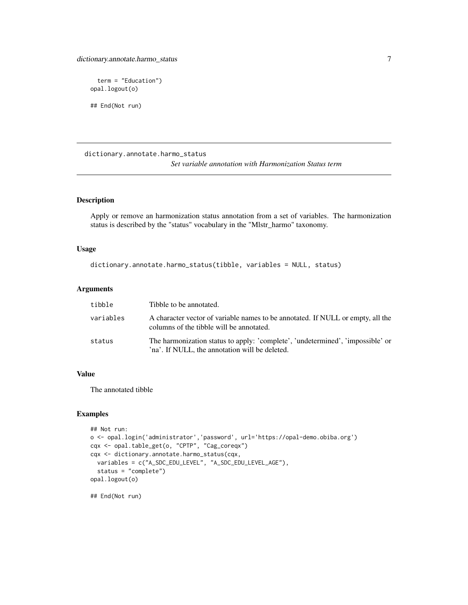# <span id="page-6-0"></span>dictionary.annotate.harmo\_status 7

```
term = "Education")
opal.logout(o)
## End(Not run)
```
dictionary.annotate.harmo\_status *Set variable annotation with Harmonization Status term*

# Description

Apply or remove an harmonization status annotation from a set of variables. The harmonization status is described by the "status" vocabulary in the "Mlstr\_harmo" taxonomy.

# Usage

```
dictionary.annotate.harmo_status(tibble, variables = NULL, status)
```
# Arguments

| tibble    | Tibble to be annotated.                                                                                                          |
|-----------|----------------------------------------------------------------------------------------------------------------------------------|
| variables | A character vector of variable names to be annotated. If NULL or empty, all the<br>columns of the tibble will be annotated.      |
| status    | The harmonization status to apply: 'complete', 'undetermined', 'impossible' or<br>'na'. If NULL, the annotation will be deleted. |

# Value

The annotated tibble

# Examples

```
## Not run:
o <- opal.login('administrator','password', url='https://opal-demo.obiba.org')
cqx <- opal.table_get(o, "CPTP", "Cag_coreqx")
cqx <- dictionary.annotate.harmo_status(cqx,
  variables = c("A_SDC_EDU_LEVEL", "A_SDC_EDU_LEVEL_AGE"),
  status = "complete")
opal.logout(o)
```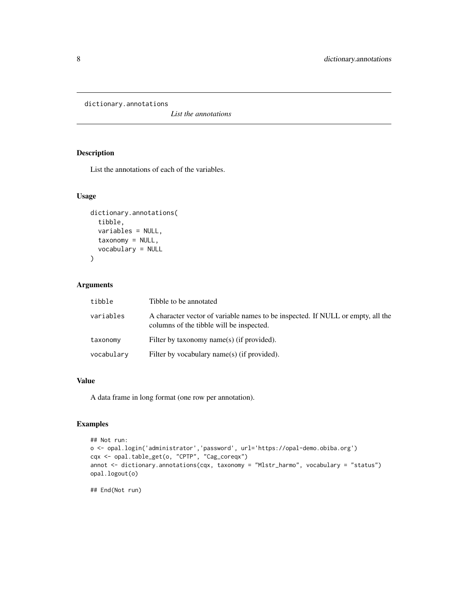<span id="page-7-0"></span>dictionary.annotations

*List the annotations*

# Description

List the annotations of each of the variables.

# Usage

```
dictionary.annotations(
  tibble,
 variables = NULL,
 taxonomy = NULL,
 vocabulary = NULL
)
```
# Arguments

| tibble     | Tibble to be annotated                                                                                                      |
|------------|-----------------------------------------------------------------------------------------------------------------------------|
| variables  | A character vector of variable names to be inspected. If NULL or empty, all the<br>columns of the tibble will be inspected. |
| taxonomy   | Filter by taxonomy name(s) (if provided).                                                                                   |
| vocabulary | Filter by vocabulary name(s) (if provided).                                                                                 |

# Value

A data frame in long format (one row per annotation).

# Examples

```
## Not run:
o <- opal.login('administrator','password', url='https://opal-demo.obiba.org')
cqx <- opal.table_get(o, "CPTP", "Cag_coreqx")
annot <- dictionary.annotations(cqx, taxonomy = "Mlstr_harmo", vocabulary = "status")
opal.logout(o)
```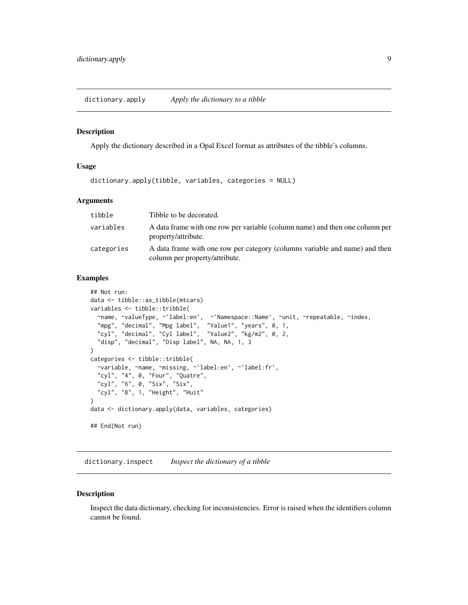#### <span id="page-8-0"></span>Description

Apply the dictionary described in a Opal Excel format as attributes of the tibble's columns.

#### Usage

```
dictionary.apply(tibble, variables, categories = NULL)
```
# Arguments

| tibble     | Tibble to be decorated.                                                                                       |
|------------|---------------------------------------------------------------------------------------------------------------|
| variables  | A data frame with one row per variable (column name) and then one column per<br>property/attribute.           |
| categories | A data frame with one row per category (columns variable and name) and then<br>column per property/attribute. |

# Examples

```
## Not run:
data <- tibble::as_tibble(mtcars)
variables <- tibble::tribble(
  ~name, ~valueType, ~`label:en`, ~`Namespace::Name`, ~unit, ~repeatable, ~index,
  "mpg", "decimal", "Mpg label", "Value1", "years", 0, 1,
  "cyl", "decimal", "Cyl label", "Value2", "kg/m2", 0, 2,
  "disp", "decimal", "Disp label", NA, NA, 1, 3
)
categories <- tibble::tribble(
  ~variable, ~name, ~missing, ~`label:en`, ~`label:fr`,
  "cyl", "4", 0, "Four", "Quatre",
  "cyl", "6", 0, "Six", "Six",
  "cyl", "8", 1, "Height", "Huit"
)
data <- dictionary.apply(data, variables, categories)
## End(Not run)
```
dictionary.inspect *Inspect the dictionary of a tibble*

#### Description

Inspect the data dictionary, checking for inconsistencies. Error is raised when the identifiers column cannot be found.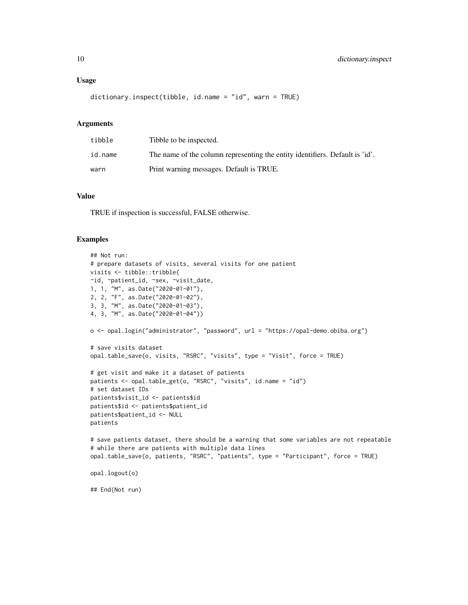#### Usage

```
dictionary.inspect(tibble, id.name = "id", warn = TRUE)
```
#### Arguments

| tibble  | Tibble to be inspected.                                                      |
|---------|------------------------------------------------------------------------------|
| id.name | The name of the column representing the entity identifiers. Default is 'id'. |
| warn    | Print warning messages. Default is TRUE.                                     |

#### Value

TRUE if inspection is successful, FALSE otherwise.

# Examples

```
## Not run:
# prepare datasets of visits, several visits for one patient
visits <- tibble::tribble(
~id, ~patient_id, ~sex, ~visit_date,
1, 1, "M", as.Date("2020-01-01"),
2, 2, "F", as.Date("2020-01-02"),
3, 3, "M", as.Date("2020-01-03"),
4, 3, "M", as.Date("2020-01-04"))
o <- opal.login("administrator", "password", url = "https://opal-demo.obiba.org")
# save visits dataset
opal.table_save(o, visits, "RSRC", "visits", type = "Visit", force = TRUE)
# get visit and make it a dataset of patients
patients <- opal.table_get(o, "RSRC", "visits", id.name = "id")
# set dataset IDs
patients$visit_id <- patients$id
patients$id <- patients$patient_id
patients$patient_id <- NULL
patients
# save patients dataset, there should be a warning that some variables are not repeatable
# while there are patients with multiple data lines
opal.table_save(o, patients, "RSRC", "patients", type = "Participant", force = TRUE)
opal.logout(o)
## End(Not run)
```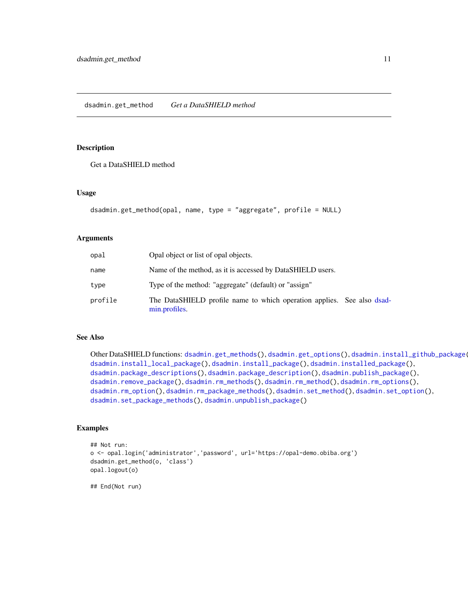# <span id="page-10-1"></span><span id="page-10-0"></span>Description

Get a DataSHIELD method

#### Usage

```
dsadmin.get_method(opal, name, type = "aggregate", profile = NULL)
```
#### Arguments

| opal    | Opal object or list of opal objects.                                                    |
|---------|-----------------------------------------------------------------------------------------|
| name    | Name of the method, as it is accessed by DataSHIELD users.                              |
| type    | Type of the method: "aggregate" (default) or "assign"                                   |
| profile | The DataSHIELD profile name to which operation applies. See also dsad-<br>min.profiles. |

# See Also

Other DataSHIELD functions: [dsadmin.get\\_methods\(](#page-11-1)), [dsadmin.get\\_options\(](#page-11-2)), [dsadmin.install\\_github\\_package\(](#page-13-1) [dsadmin.install\\_local\\_package\(](#page-14-1)), [dsadmin.install\\_package\(](#page-15-1)), [dsadmin.installed\\_package\(](#page-12-1)), [dsadmin.package\\_descriptions\(](#page-17-1)), [dsadmin.package\\_description\(](#page-16-1)), [dsadmin.publish\\_package\(](#page-30-1)), [dsadmin.remove\\_package\(](#page-31-1)), [dsadmin.rm\\_methods\(](#page-32-1)), [dsadmin.rm\\_method\(](#page-31-2)), [dsadmin.rm\\_options\(](#page-34-1)), [dsadmin.rm\\_option\(](#page-33-1)), [dsadmin.rm\\_package\\_methods\(](#page-35-1)), [dsadmin.set\\_method\(](#page-36-1)), [dsadmin.set\\_option\(](#page-37-1)), [dsadmin.set\\_package\\_methods\(](#page-38-1)), [dsadmin.unpublish\\_package\(](#page-39-1))

# Examples

```
## Not run:
o <- opal.login('administrator','password', url='https://opal-demo.obiba.org')
dsadmin.get_method(o, 'class')
opal.logout(o)
```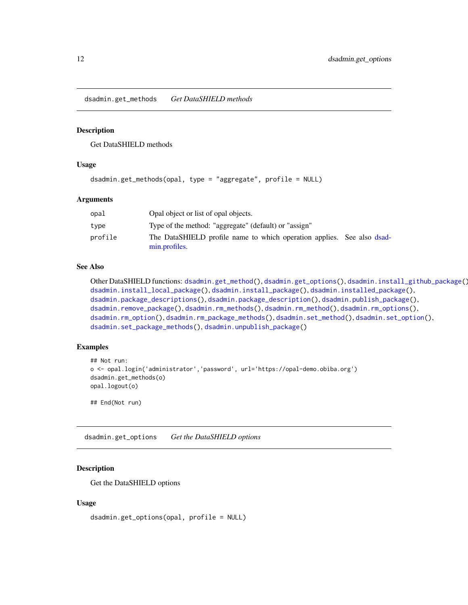<span id="page-11-1"></span><span id="page-11-0"></span>dsadmin.get\_methods *Get DataSHIELD methods*

#### Description

Get DataSHIELD methods

## Usage

```
dsadmin.get_methods(opal, type = "aggregate", profile = NULL)
```
#### Arguments

| opal    | Opal object or list of opal objects.                                                    |
|---------|-----------------------------------------------------------------------------------------|
| type    | Type of the method: "aggregate" (default) or "assign"                                   |
| profile | The DataSHIELD profile name to which operation applies. See also dsad-<br>min.profiles. |

#### See Also

```
dsadmin.get_method(dsadmin.get_options(dsadmin.install_github_package()
dsadmin.install_local_package(), dsadmin.install_package(), dsadmin.installed_package(),
dsadmin.package_descriptions(), dsadmin.package_description(), dsadmin.publish_package(),
dsadmin.remove_package(), dsadmin.rm_methods(), dsadmin.rm_method(), dsadmin.rm_options(),
dsadmin.rm_option(), dsadmin.rm_package_methods(), dsadmin.set_method(), dsadmin.set_option(),
dsadmin.set_package_methods(), dsadmin.unpublish_package()
```
#### Examples

```
## Not run:
o <- opal.login('administrator','password', url='https://opal-demo.obiba.org')
dsadmin.get_methods(o)
opal.logout(o)
```
## End(Not run)

<span id="page-11-2"></span>dsadmin.get\_options *Get the DataSHIELD options*

# Description

Get the DataSHIELD options

#### Usage

```
dsadmin.get_options(opal, profile = NULL)
```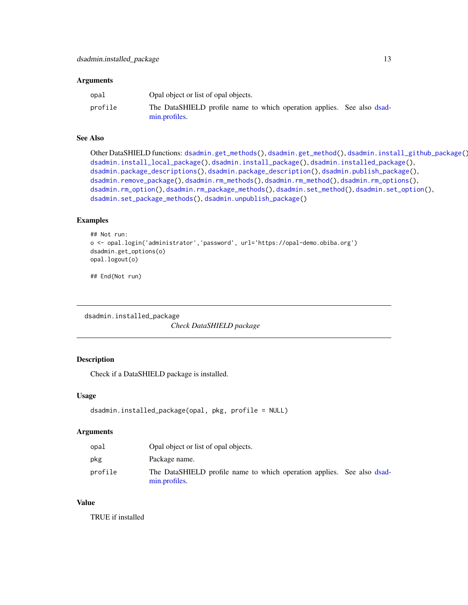#### <span id="page-12-0"></span>**Arguments**

| opal    | Opal object or list of opal objects.                                                    |  |
|---------|-----------------------------------------------------------------------------------------|--|
| profile | The DataSHIELD profile name to which operation applies. See also dsad-<br>min.profiles. |  |

# See Also

```
dsadmin.get_methods(dsadmin.get_method(dsadmin.install_github_package()
dsadmin.install_local_package(), dsadmin.install_package(), dsadmin.installed_package(),
dsadmin.package_descriptions(), dsadmin.package_description(), dsadmin.publish_package(),
dsadmin.remove_package(), dsadmin.rm_methods(), dsadmin.rm_method(), dsadmin.rm_options(),
dsadmin.rm_option(), dsadmin.rm_package_methods(), dsadmin.set_method(), dsadmin.set_option(),
dsadmin.set_package_methods(), dsadmin.unpublish_package()
```
#### Examples

```
## Not run:
o <- opal.login('administrator','password', url='https://opal-demo.obiba.org')
dsadmin.get_options(o)
opal.logout(o)
```
## End(Not run)

<span id="page-12-1"></span>dsadmin.installed\_package

*Check DataSHIELD package*

# Description

Check if a DataSHIELD package is installed.

#### Usage

```
dsadmin.installed_package(opal, pkg, profile = NULL)
```
#### Arguments

| opal    | Opal object or list of opal objects.                                                    |  |
|---------|-----------------------------------------------------------------------------------------|--|
| pkg     | Package name.                                                                           |  |
| profile | The DataSHIELD profile name to which operation applies. See also dsad-<br>min.profiles. |  |

#### Value

TRUE if installed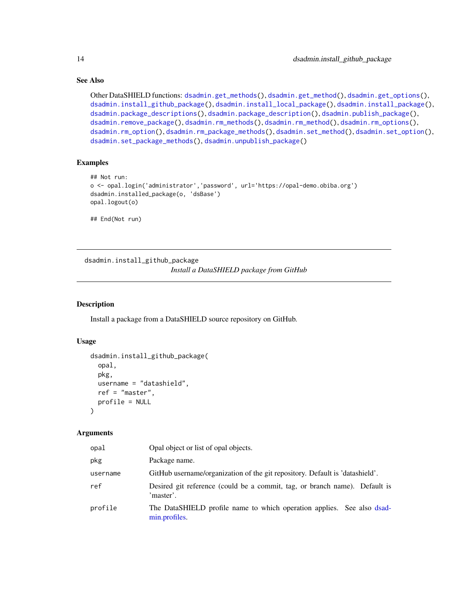# See Also

```
Other DataSHIELD functions: dsadmin.get_methods(), dsadmin.get_method(), dsadmin.get_options(),
dsadmin.install_github_package(), dsadmin.install_local_package(), dsadmin.install_package(),
dsadmin.package_descriptions(), dsadmin.package_description(), dsadmin.publish_package(),
dsadmin.remove_package(), dsadmin.rm_methods(), dsadmin.rm_method(), dsadmin.rm_options(),
dsadmin.rm_option(), dsadmin.rm_package_methods(), dsadmin.set_method(), dsadmin.set_option(),
dsadmin.set_package_methods(), dsadmin.unpublish_package()
```
#### Examples

```
## Not run:
o <- opal.login('administrator','password', url='https://opal-demo.obiba.org')
dsadmin.installed_package(o, 'dsBase')
opal.logout(o)
## End(Not run)
```
<span id="page-13-1"></span>dsadmin.install\_github\_package

*Install a DataSHIELD package from GitHub*

#### Description

Install a package from a DataSHIELD source repository on GitHub.

# Usage

```
dsadmin.install_github_package(
  opal,
 pkg,
 username = "datashield",
  ref = "master",
 profile = NULL
\lambda
```
#### Arguments

| opal     | Opal object or list of opal objects.                                                    |
|----------|-----------------------------------------------------------------------------------------|
| pkg      | Package name.                                                                           |
| username | GitHub username/organization of the git repository. Default is 'datashield'.            |
| ref      | Desired git reference (could be a commit, tag, or branch name). Default is<br>'master'. |
| profile  | The DataSHIELD profile name to which operation applies. See also dsad-<br>min.profiles. |

<span id="page-13-0"></span>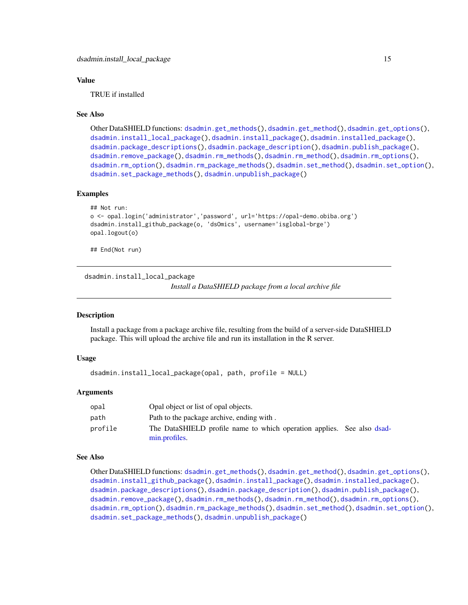# <span id="page-14-0"></span>Value

TRUE if installed

#### See Also

Other DataSHIELD functions: [dsadmin.get\\_methods\(](#page-11-1)), [dsadmin.get\\_method\(](#page-10-1)), [dsadmin.get\\_options\(](#page-11-2)), [dsadmin.install\\_local\\_package\(](#page-14-1)), [dsadmin.install\\_package\(](#page-15-1)), [dsadmin.installed\\_package\(](#page-12-1)), [dsadmin.package\\_descriptions\(](#page-17-1)), [dsadmin.package\\_description\(](#page-16-1)), [dsadmin.publish\\_package\(](#page-30-1)), [dsadmin.remove\\_package\(](#page-31-1)), [dsadmin.rm\\_methods\(](#page-32-1)), [dsadmin.rm\\_method\(](#page-31-2)), [dsadmin.rm\\_options\(](#page-34-1)), [dsadmin.rm\\_option\(](#page-33-1)), [dsadmin.rm\\_package\\_methods\(](#page-35-1)), [dsadmin.set\\_method\(](#page-36-1)), [dsadmin.set\\_option\(](#page-37-1)), [dsadmin.set\\_package\\_methods\(](#page-38-1)), [dsadmin.unpublish\\_package\(](#page-39-1))

# Examples

```
## Not run:
o <- opal.login('administrator','password', url='https://opal-demo.obiba.org')
dsadmin.install_github_package(o, 'dsOmics', username='isglobal-brge')
opal.logout(o)
```
## End(Not run)

<span id="page-14-1"></span>dsadmin.install\_local\_package *Install a DataSHIELD package from a local archive file*

#### Description

Install a package from a package archive file, resulting from the build of a server-side DataSHIELD package. This will upload the archive file and run its installation in the R server.

#### Usage

```
dsadmin.install_local_package(opal, path, profile = NULL)
```
#### Arguments

| opal    | Opal object or list of opal objects.                                                    |  |
|---------|-----------------------------------------------------------------------------------------|--|
| path    | Path to the package archive, ending with.                                               |  |
| profile | The DataSHIELD profile name to which operation applies. See also dsad-<br>min.profiles. |  |

#### See Also

Other DataSHIELD functions: [dsadmin.get\\_methods\(](#page-11-1)), [dsadmin.get\\_method\(](#page-10-1)), [dsadmin.get\\_options\(](#page-11-2)), [dsadmin.install\\_github\\_package\(](#page-13-1)), [dsadmin.install\\_package\(](#page-15-1)), [dsadmin.installed\\_package\(](#page-12-1)), [dsadmin.package\\_descriptions\(](#page-17-1)), [dsadmin.package\\_description\(](#page-16-1)), [dsadmin.publish\\_package\(](#page-30-1)), [dsadmin.remove\\_package\(](#page-31-1)), [dsadmin.rm\\_methods\(](#page-32-1)), [dsadmin.rm\\_method\(](#page-31-2)), [dsadmin.rm\\_options\(](#page-34-1)), [dsadmin.rm\\_option\(](#page-33-1)), [dsadmin.rm\\_package\\_methods\(](#page-35-1)), [dsadmin.set\\_method\(](#page-36-1)), [dsadmin.set\\_option\(](#page-37-1)), [dsadmin.set\\_package\\_methods\(](#page-38-1)), [dsadmin.unpublish\\_package\(](#page-39-1))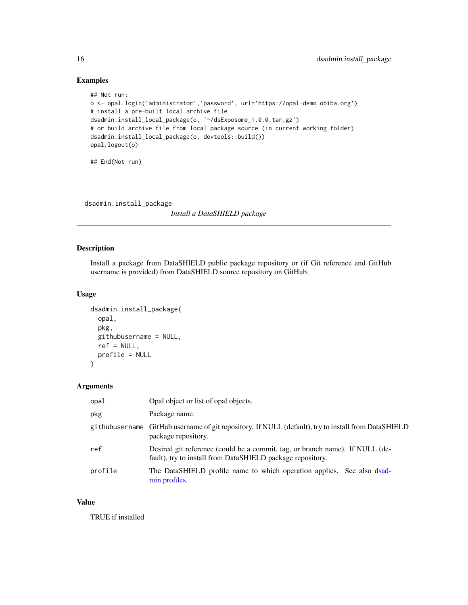# Examples

```
## Not run:
o <- opal.login('administrator','password', url='https://opal-demo.obiba.org')
# install a pre-built local archive file
dsadmin.install_local_package(o, '~/dsExposome_1.0.0.tar.gz')
# or build archive file from local package source (in current working folder)
dsadmin.install_local_package(o, devtools::build())
opal.logout(o)
## End(Not run)
```
<span id="page-15-1"></span>dsadmin.install\_package

*Install a DataSHIELD package*

# Description

Install a package from DataSHIELD public package repository or (if Git reference and GitHub username is provided) from DataSHIELD source repository on GitHub.

# Usage

```
dsadmin.install_package(
  opal,
 pkg,
 githubusername = NULL,
 ref = NULL,
 profile = NULL
)
```
# Arguments

| opal    | Opal object or list of opal objects.                                                                                                       |
|---------|--------------------------------------------------------------------------------------------------------------------------------------------|
| pkg     | Package name.                                                                                                                              |
|         | githubusername GitHub username of git repository. If NULL (default), try to install from DataSHIELD<br>package repository.                 |
| ref     | Desired git reference (could be a commit, tag, or branch name). If NULL (de-<br>fault), try to install from DataSHIELD package repository. |
| profile | The DataSHIELD profile name to which operation applies. See also dsad-<br>min.profiles.                                                    |

#### Value

TRUE if installed

<span id="page-15-0"></span>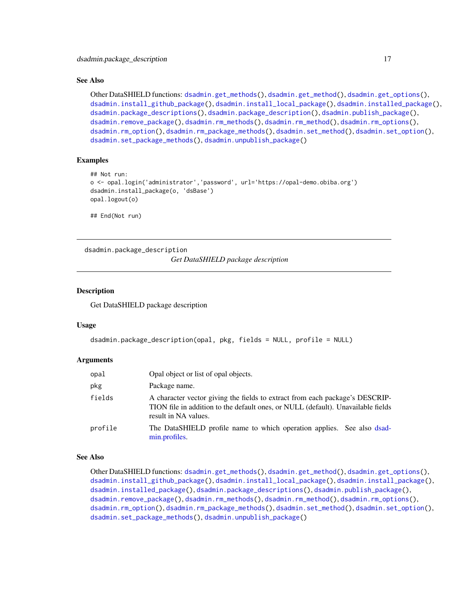#### <span id="page-16-0"></span>See Also

```
Other DataSHIELD functions: dsadmin.get_methods(), dsadmin.get_method(), dsadmin.get_options(),
dsadmin.install_github_package(), dsadmin.install_local_package(), dsadmin.installed_package(),
dsadmin.package_descriptions(), dsadmin.package_description(), dsadmin.publish_package(),
dsadmin.remove_package(), dsadmin.rm_methods(), dsadmin.rm_method(), dsadmin.rm_options(),
dsadmin.rm_option(), dsadmin.rm_package_methods(), dsadmin.set_method(), dsadmin.set_option(),
dsadmin.set_package_methods(), dsadmin.unpublish_package()
```
# Examples

```
## Not run:
o <- opal.login('administrator','password', url='https://opal-demo.obiba.org')
dsadmin.install_package(o, 'dsBase')
opal.logout(o)
```
## End(Not run)

<span id="page-16-1"></span>dsadmin.package\_description *Get DataSHIELD package description*

#### **Description**

Get DataSHIELD package description

#### Usage

```
dsadmin.package_description(opal, pkg, fields = NULL, profile = NULL)
```
#### Arguments

| opal    | Opal object or list of opal objects.                                                                                                                                                     |
|---------|------------------------------------------------------------------------------------------------------------------------------------------------------------------------------------------|
| pkg     | Package name.                                                                                                                                                                            |
| fields  | A character vector giving the fields to extract from each package's DESCRIP-<br>TION file in addition to the default ones, or NULL (default). Unavailable fields<br>result in NA values. |
| profile | The DataSHIELD profile name to which operation applies. See also dsad-<br>min.profiles.                                                                                                  |

#### See Also

Other DataSHIELD functions: [dsadmin.get\\_methods\(](#page-11-1)), [dsadmin.get\\_method\(](#page-10-1)), [dsadmin.get\\_options\(](#page-11-2)), [dsadmin.install\\_github\\_package\(](#page-13-1)), [dsadmin.install\\_local\\_package\(](#page-14-1)), [dsadmin.install\\_package\(](#page-15-1)), [dsadmin.installed\\_package\(](#page-12-1)), [dsadmin.package\\_descriptions\(](#page-17-1)), [dsadmin.publish\\_package\(](#page-30-1)), [dsadmin.remove\\_package\(](#page-31-1)), [dsadmin.rm\\_methods\(](#page-32-1)), [dsadmin.rm\\_method\(](#page-31-2)), [dsadmin.rm\\_options\(](#page-34-1)), [dsadmin.rm\\_option\(](#page-33-1)), [dsadmin.rm\\_package\\_methods\(](#page-35-1)), [dsadmin.set\\_method\(](#page-36-1)), [dsadmin.set\\_option\(](#page-37-1)), [dsadmin.set\\_package\\_methods\(](#page-38-1)), [dsadmin.unpublish\\_package\(](#page-39-1))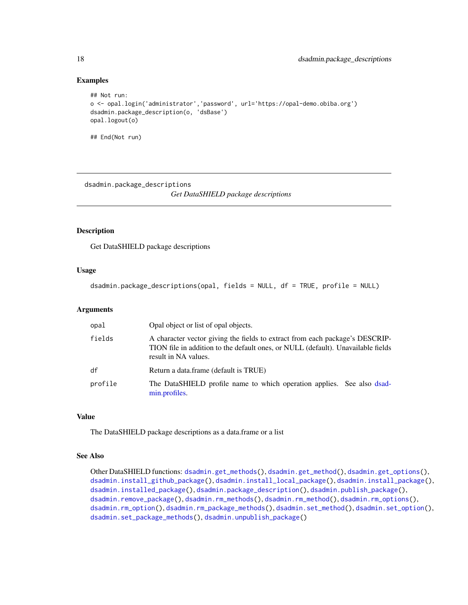#### Examples

```
## Not run:
o <- opal.login('administrator','password', url='https://opal-demo.obiba.org')
dsadmin.package_description(o, 'dsBase')
opal.logout(o)
## End(Not run)
```
<span id="page-17-1"></span>dsadmin.package\_descriptions

*Get DataSHIELD package descriptions*

# Description

Get DataSHIELD package descriptions

#### Usage

```
dsadmin.package_descriptions(opal, fields = NULL, df = TRUE, profile = NULL)
```
#### Arguments

| opal    | Opal object or list of opal objects.                                                                                                                                                     |
|---------|------------------------------------------------------------------------------------------------------------------------------------------------------------------------------------------|
| fields  | A character vector giving the fields to extract from each package's DESCRIP-<br>TION file in addition to the default ones, or NULL (default). Unavailable fields<br>result in NA values. |
| df      | Return a data.frame (default is TRUE)                                                                                                                                                    |
| profile | The DataSHIELD profile name to which operation applies. See also dsad-<br>min.profiles.                                                                                                  |

# Value

The DataSHIELD package descriptions as a data.frame or a list

#### See Also

Other DataSHIELD functions: [dsadmin.get\\_methods\(](#page-11-1)), [dsadmin.get\\_method\(](#page-10-1)), [dsadmin.get\\_options\(](#page-11-2)), [dsadmin.install\\_github\\_package\(](#page-13-1)), [dsadmin.install\\_local\\_package\(](#page-14-1)), [dsadmin.install\\_package\(](#page-15-1)), [dsadmin.installed\\_package\(](#page-12-1)), [dsadmin.package\\_description\(](#page-16-1)), [dsadmin.publish\\_package\(](#page-30-1)), [dsadmin.remove\\_package\(](#page-31-1)), [dsadmin.rm\\_methods\(](#page-32-1)), [dsadmin.rm\\_method\(](#page-31-2)), [dsadmin.rm\\_options\(](#page-34-1)), [dsadmin.rm\\_option\(](#page-33-1)), [dsadmin.rm\\_package\\_methods\(](#page-35-1)), [dsadmin.set\\_method\(](#page-36-1)), [dsadmin.set\\_option\(](#page-37-1)), [dsadmin.set\\_package\\_methods\(](#page-38-1)), [dsadmin.unpublish\\_package\(](#page-39-1))

<span id="page-17-0"></span>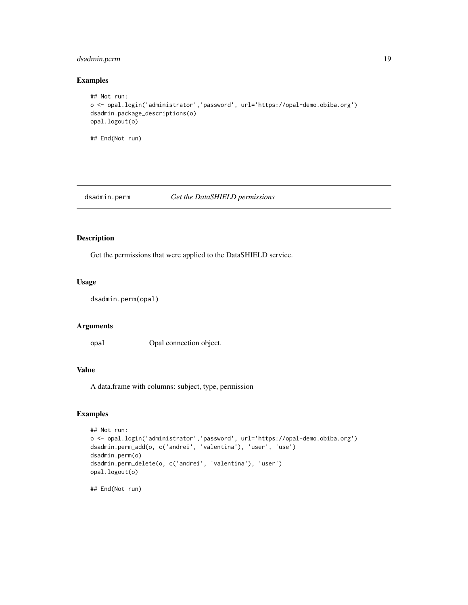# <span id="page-18-0"></span>dsadmin.perm 19

# Examples

```
## Not run:
o <- opal.login('administrator','password', url='https://opal-demo.obiba.org')
dsadmin.package_descriptions(o)
opal.logout(o)
## End(Not run)
```
#### dsadmin.perm *Get the DataSHIELD permissions*

# Description

Get the permissions that were applied to the DataSHIELD service.

# Usage

```
dsadmin.perm(opal)
```
#### Arguments

opal Opal connection object.

# Value

A data.frame with columns: subject, type, permission

# Examples

```
## Not run:
o <- opal.login('administrator','password', url='https://opal-demo.obiba.org')
dsadmin.perm_add(o, c('andrei', 'valentina'), 'user', 'use')
dsadmin.perm(o)
dsadmin.perm_delete(o, c('andrei', 'valentina'), 'user')
opal.logout(o)
## End(Not run)
```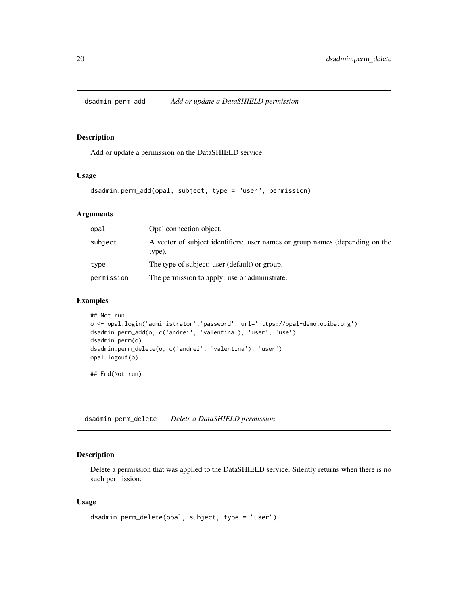<span id="page-19-0"></span>dsadmin.perm\_add *Add or update a DataSHIELD permission*

#### Description

Add or update a permission on the DataSHIELD service.

# Usage

dsadmin.perm\_add(opal, subject, type = "user", permission)

# Arguments

| opal       | Opal connection object.                                                                |  |
|------------|----------------------------------------------------------------------------------------|--|
| subject    | A vector of subject identifiers: user names or group names (depending on the<br>type). |  |
| type       | The type of subject: user (default) or group.                                          |  |
| permission | The permission to apply: use or administrate.                                          |  |

#### Examples

```
## Not run:
o <- opal.login('administrator','password', url='https://opal-demo.obiba.org')
dsadmin.perm_add(o, c('andrei', 'valentina'), 'user', 'use')
dsadmin.perm(o)
dsadmin.perm_delete(o, c('andrei', 'valentina'), 'user')
opal.logout(o)
```
## End(Not run)

dsadmin.perm\_delete *Delete a DataSHIELD permission*

# Description

Delete a permission that was applied to the DataSHIELD service. Silently returns when there is no such permission.

# Usage

```
dsadmin.perm_delete(opal, subject, type = "user")
```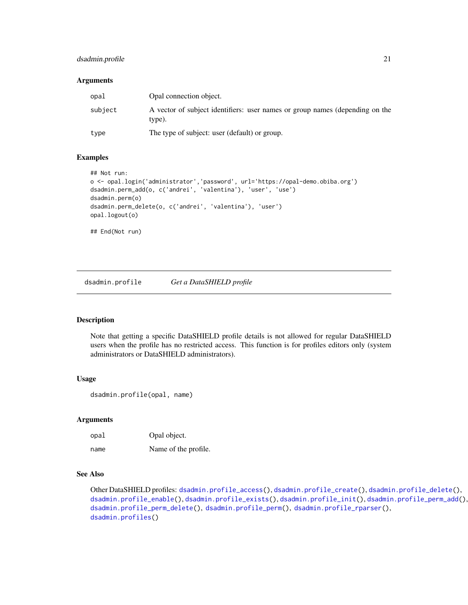# <span id="page-20-0"></span>dsadmin.profile 21

#### **Arguments**

| opal    | Opal connection object.                                                                |
|---------|----------------------------------------------------------------------------------------|
| subject | A vector of subject identifiers: user names or group names (depending on the<br>type). |
| type    | The type of subject: user (default) or group.                                          |

#### Examples

```
## Not run:
o <- opal.login('administrator','password', url='https://opal-demo.obiba.org')
dsadmin.perm_add(o, c('andrei', 'valentina'), 'user', 'use')
dsadmin.perm(o)
dsadmin.perm_delete(o, c('andrei', 'valentina'), 'user')
opal.logout(o)
## End(Not run)
```
<span id="page-20-1"></span>dsadmin.profile *Get a DataSHIELD profile*

### Description

Note that getting a specific DataSHIELD profile details is not allowed for regular DataSHIELD users when the profile has no restricted access. This function is for profiles editors only (system administrators or DataSHIELD administrators).

#### Usage

dsadmin.profile(opal, name)

# Arguments

| opal | Opal object.         |
|------|----------------------|
| name | Name of the profile. |

# See Also

Other DataSHIELD profiles: [dsadmin.profile\\_access\(](#page-22-1)), [dsadmin.profile\\_create\(](#page-22-2)), [dsadmin.profile\\_delete\(](#page-23-1)), [dsadmin.profile\\_enable\(](#page-24-1)), [dsadmin.profile\\_exists\(](#page-25-1)), [dsadmin.profile\\_init\(](#page-25-2)), [dsadmin.profile\\_perm\\_add\(](#page-27-1)), [dsadmin.profile\\_perm\\_delete\(](#page-28-1)), [dsadmin.profile\\_perm\(](#page-26-1)), [dsadmin.profile\\_rparser\(](#page-29-1)), [dsadmin.profiles\(](#page-21-1))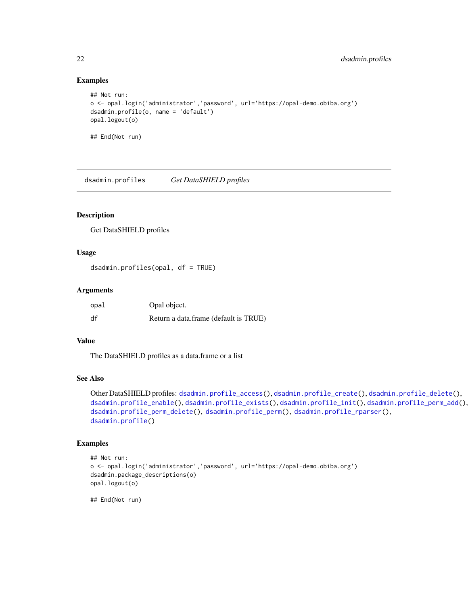# Examples

```
## Not run:
o <- opal.login('administrator','password', url='https://opal-demo.obiba.org')
dsadmin.profile(o, name = 'default')
opal.logout(o)
## End(Not run)
```
<span id="page-21-1"></span>dsadmin.profiles *Get DataSHIELD profiles*

# Description

Get DataSHIELD profiles

# Usage

dsadmin.profiles(opal, df = TRUE)

# Arguments

| opal | Opal object.                          |
|------|---------------------------------------|
| df   | Return a data.frame (default is TRUE) |

#### Value

The DataSHIELD profiles as a data.frame or a list

#### See Also

```
dsadmin.profile_access(dsadmin.profile_create(dsadmin.profile_delete(),
dsadmin.profile_enable(), dsadmin.profile_exists(), dsadmin.profile_init(), dsadmin.profile_perm_add(),
dsadmin.profile_perm_delete(), dsadmin.profile_perm(), dsadmin.profile_rparser(),
dsadmin.profile()
```
### Examples

```
## Not run:
o <- opal.login('administrator','password', url='https://opal-demo.obiba.org')
dsadmin.package_descriptions(o)
opal.logout(o)
```
<span id="page-21-0"></span>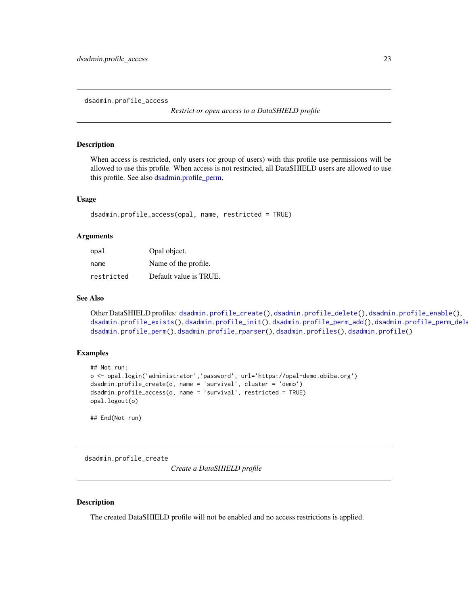<span id="page-22-1"></span><span id="page-22-0"></span>dsadmin.profile\_access

*Restrict or open access to a DataSHIELD profile*

#### Description

When access is restricted, only users (or group of users) with this profile use permissions will be allowed to use this profile. When access is not restricted, all DataSHIELD users are allowed to use this profile. See also [dsadmin.profile\\_perm.](#page-26-1)

#### Usage

dsadmin.profile\_access(opal, name, restricted = TRUE)

#### Arguments

| opal       | Opal object.           |
|------------|------------------------|
| name       | Name of the profile.   |
| restricted | Default value is TRUE. |

#### See Also

Other DataSHIELD profiles: [dsadmin.profile\\_create\(](#page-22-2)), [dsadmin.profile\\_delete\(](#page-23-1)), [dsadmin.profile\\_enable\(](#page-24-1)), [dsadmin.profile\\_exists\(](#page-25-1)),[dsadmin.profile\\_init\(](#page-25-2)),[dsadmin.profile\\_perm\\_add\(](#page-27-1)),dsadmin.profile\_perm\_dele [dsadmin.profile\\_perm\(](#page-26-1)), [dsadmin.profile\\_rparser\(](#page-29-1)), [dsadmin.profiles\(](#page-21-1)), [dsadmin.profile\(](#page-20-1))

#### Examples

```
## Not run:
o <- opal.login('administrator','password', url='https://opal-demo.obiba.org')
dsadmin.profile_create(o, name = 'survival', cluster = 'demo')
dsadmin.profile_access(o, name = 'survival', restricted = TRUE)
opal.logout(o)
```
## End(Not run)

<span id="page-22-2"></span>dsadmin.profile\_create

*Create a DataSHIELD profile*

#### Description

The created DataSHIELD profile will not be enabled and no access restrictions is applied.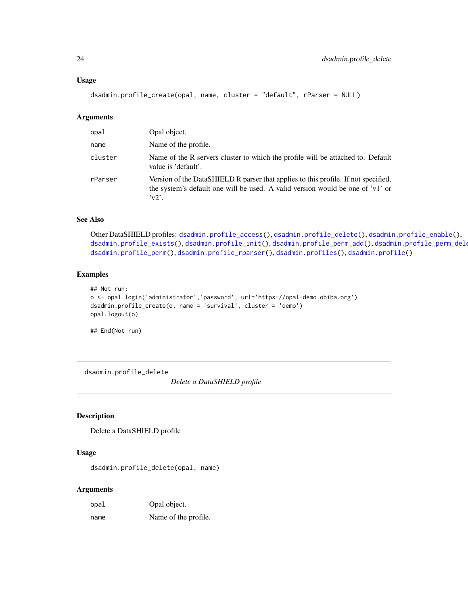#### <span id="page-23-0"></span>Usage

dsadmin.profile\_create(opal, name, cluster = "default", rParser = NULL)

# Arguments

| opal    | Opal object.                                                                                                                                                                          |
|---------|---------------------------------------------------------------------------------------------------------------------------------------------------------------------------------------|
| name    | Name of the profile.                                                                                                                                                                  |
| cluster | Name of the R servers cluster to which the profile will be attached to. Default<br>value is 'default'.                                                                                |
| rParser | Version of the DataSHIELD R parser that applies to this profile. If not specified,<br>the system's default one will be used. A valid version would be one of 'v1' or<br>$\gamma v2$ . |

# See Also

Other DataSHIELD profiles: [dsadmin.profile\\_access\(](#page-22-1)), [dsadmin.profile\\_delete\(](#page-23-1)), [dsadmin.profile\\_enable\(](#page-24-1)), [dsadmin.profile\\_exists\(](#page-25-1)), [dsadmin.profile\\_init\(](#page-25-2)), [dsadmin.profile\\_perm\\_add\(](#page-27-1)), [dsadmin.profile\\_perm\\_delete\(](#page-28-1)), [dsadmin.profile\\_perm\(](#page-26-1)), [dsadmin.profile\\_rparser\(](#page-29-1)), [dsadmin.profiles\(](#page-21-1)), [dsadmin.profile\(](#page-20-1))

# Examples

```
## Not run:
o <- opal.login('administrator','password', url='https://opal-demo.obiba.org')
dsadmin.profile_create(o, name = 'survival', cluster = 'demo')
opal.logout(o)
```
## End(Not run)

<span id="page-23-1"></span>dsadmin.profile\_delete

*Delete a DataSHIELD profile*

# Description

Delete a DataSHIELD profile

# Usage

dsadmin.profile\_delete(opal, name)

#### Arguments

| opal | Opal object.         |
|------|----------------------|
| name | Name of the profile. |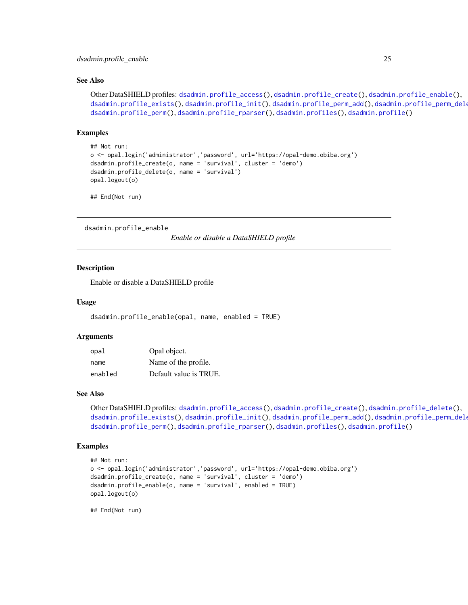#### <span id="page-24-0"></span>dsadmin.profile\_enable 25

#### See Also

```
dsadmin.profile_access(dsadmin.profile_create(dsadmin.profile_enable(),
dsadmin.profile_exists(dsadmin.profile_init(dsadmin.profile_perm_add(), dsadmin.profile_perm_dele
dsadmin.profile_perm(), dsadmin.profile_rparser(), dsadmin.profiles(), dsadmin.profile()
```
#### Examples

```
## Not run:
o <- opal.login('administrator','password', url='https://opal-demo.obiba.org')
dsadmin.profile_create(o, name = 'survival', cluster = 'demo')
dsadmin.profile_delete(o, name = 'survival')
opal.logout(o)
```
## End(Not run)

<span id="page-24-1"></span>dsadmin.profile\_enable

*Enable or disable a DataSHIELD profile*

#### Description

Enable or disable a DataSHIELD profile

## Usage

dsadmin.profile\_enable(opal, name, enabled = TRUE)

#### Arguments

| opal    | Opal object.           |
|---------|------------------------|
| name    | Name of the profile.   |
| enabled | Default value is TRUE. |

#### See Also

```
dsadmin.profile_access(dsadmin.profile_create(dsadmin.profile_delete(),
dsadmin.profile_exists(dsadmin.profile_init(dsadmin.profile_perm_add(),dsadmin.profile_perm_dele
dsadmin.profile_perm(), dsadmin.profile_rparser(), dsadmin.profiles(), dsadmin.profile()
```
#### Examples

```
## Not run:
o <- opal.login('administrator','password', url='https://opal-demo.obiba.org')
dsadmin.profile_create(o, name = 'survival', cluster = 'demo')
dsadmin.profile_enable(o, name = 'survival', enabled = TRUE)
opal.logout(o)
```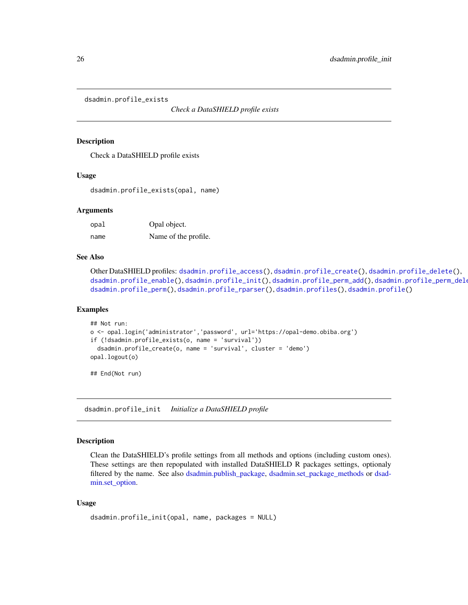<span id="page-25-1"></span><span id="page-25-0"></span>dsadmin.profile\_exists

*Check a DataSHIELD profile exists*

#### Description

Check a DataSHIELD profile exists

#### Usage

dsadmin.profile\_exists(opal, name)

#### Arguments

| opal | Opal object.         |
|------|----------------------|
| name | Name of the profile. |

# See Also

```
dsadmin.profile_access(dsadmin.profile_create(dsadmin.profile_delete(),
dsadmin.profile_enable(dsadmin.profile_init(dsadmin.profile_perm_add(),dsadmin.profile_perm_dele
dsadmin.profile_perm(), dsadmin.profile_rparser(), dsadmin.profiles(), dsadmin.profile()
```
#### Examples

```
## Not run:
o <- opal.login('administrator','password', url='https://opal-demo.obiba.org')
if (!dsadmin.profile_exists(o, name = 'survival'))
 dsadmin.profile_create(o, name = 'survival', cluster = 'demo')
opal.logout(o)
```
## End(Not run)

<span id="page-25-2"></span>dsadmin.profile\_init *Initialize a DataSHIELD profile*

# Description

Clean the DataSHIELD's profile settings from all methods and options (including custom ones). These settings are then repopulated with installed DataSHIELD R packages settings, optionaly filtered by the name. See also [dsadmin.publish\\_package,](#page-30-1) [dsadmin.set\\_package\\_methods](#page-38-1) or [dsad](#page-37-1)[min.set\\_option.](#page-37-1)

# Usage

```
dsadmin.profile_init(opal, name, packages = NULL)
```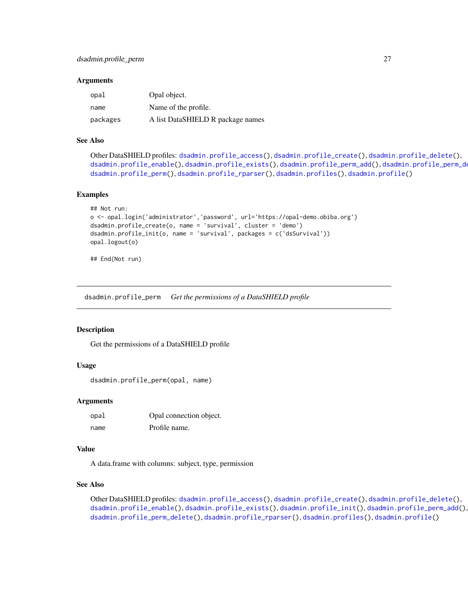#### <span id="page-26-0"></span>**Arguments**

| opal     | Opal object.                      |
|----------|-----------------------------------|
| name     | Name of the profile.              |
| packages | A list DataSHIELD R package names |

#### See Also

```
dsadmin.profile_access(dsadmin.profile_create(dsadmin.profile_delete(),
dsadmin.profile_enable(dsadmin.profile_exists(dsadmin.profile_perm_add(), dsadmin.profile_perm_de
dsadmin.profile_perm(), dsadmin.profile_rparser(), dsadmin.profiles(), dsadmin.profile()
```
#### Examples

```
## Not run:
o <- opal.login('administrator','password', url='https://opal-demo.obiba.org')
dsadmin.profile_create(o, name = 'survival', cluster = 'demo')
dsadmin.profile_init(o, name = 'survival', packages = c('dsSurvival'))
opal.logout(o)
```
## End(Not run)

<span id="page-26-1"></span>dsadmin.profile\_perm *Get the permissions of a DataSHIELD profile*

#### **Description**

Get the permissions of a DataSHIELD profile

#### Usage

dsadmin.profile\_perm(opal, name)

#### Arguments

opal Opal connection object. name Profile name.

#### Value

A data.frame with columns: subject, type, permission

#### See Also

Other DataSHIELD profiles: [dsadmin.profile\\_access\(](#page-22-1)), [dsadmin.profile\\_create\(](#page-22-2)), [dsadmin.profile\\_delete\(](#page-23-1)), [dsadmin.profile\\_enable\(](#page-24-1)), [dsadmin.profile\\_exists\(](#page-25-1)), [dsadmin.profile\\_init\(](#page-25-2)), [dsadmin.profile\\_perm\\_add\(](#page-27-1)), [dsadmin.profile\\_perm\\_delete\(](#page-28-1)), [dsadmin.profile\\_rparser\(](#page-29-1)), [dsadmin.profiles\(](#page-21-1)), [dsadmin.profile\(](#page-20-1))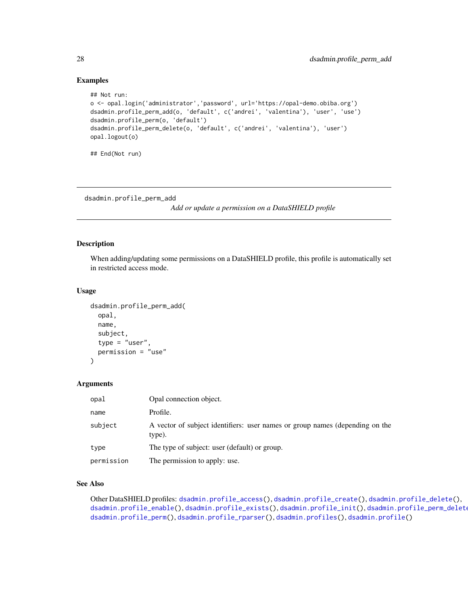# Examples

```
## Not run:
o <- opal.login('administrator','password', url='https://opal-demo.obiba.org')
dsadmin.profile_perm_add(o, 'default', c('andrei', 'valentina'), 'user', 'use')
dsadmin.profile_perm(o, 'default')
dsadmin.profile_perm_delete(o, 'default', c('andrei', 'valentina'), 'user')
opal.logout(o)
```
## End(Not run)

<span id="page-27-1"></span>dsadmin.profile\_perm\_add

*Add or update a permission on a DataSHIELD profile*

#### Description

When adding/updating some permissions on a DataSHIELD profile, this profile is automatically set in restricted access mode.

#### Usage

```
dsadmin.profile_perm_add(
  opal,
  name,
  subject,
  type = "user",
  permission = "use"
)
```
#### Arguments

| opal       | Opal connection object.                                                                |
|------------|----------------------------------------------------------------------------------------|
| name       | Profile.                                                                               |
| subject    | A vector of subject identifiers: user names or group names (depending on the<br>type). |
| type       | The type of subject: user (default) or group.                                          |
| permission | The permission to apply: use.                                                          |

#### See Also

Other DataSHIELD profiles: [dsadmin.profile\\_access\(](#page-22-1)), [dsadmin.profile\\_create\(](#page-22-2)), [dsadmin.profile\\_delete\(](#page-23-1)), [dsadmin.profile\\_enable\(](#page-24-1)), [dsadmin.profile\\_exists\(](#page-25-1)), [dsadmin.profile\\_init\(](#page-25-2)), dsadmin.profile\_perm\_delete [dsadmin.profile\\_perm\(](#page-26-1)), [dsadmin.profile\\_rparser\(](#page-29-1)), [dsadmin.profiles\(](#page-21-1)), [dsadmin.profile\(](#page-20-1))

<span id="page-27-0"></span>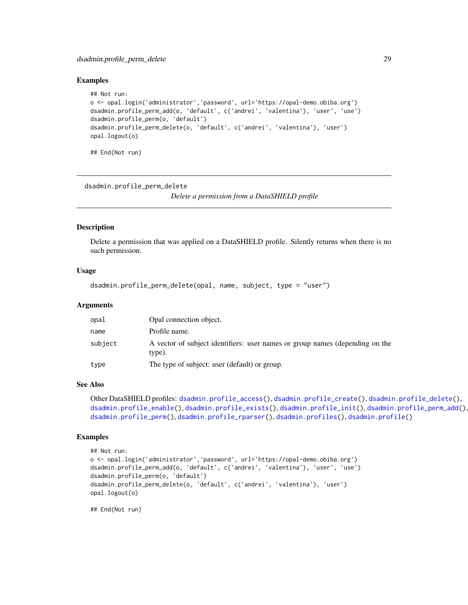# <span id="page-28-0"></span>dsadmin.profile\_perm\_delete 29

#### Examples

```
## Not run:
o <- opal.login('administrator','password', url='https://opal-demo.obiba.org')
dsadmin.profile_perm_add(o, 'default', c('andrei', 'valentina'), 'user', 'use')
dsadmin.profile_perm(o, 'default')
dsadmin.profile_perm_delete(o, 'default', c('andrei', 'valentina'), 'user')
opal.logout(o)
```
## End(Not run)

<span id="page-28-1"></span>dsadmin.profile\_perm\_delete

*Delete a permission from a DataSHIELD profile*

#### Description

Delete a permission that was applied on a DataSHIELD profile. Silently returns when there is no such permission.

#### Usage

```
dsadmin.profile_perm_delete(opal, name, subject, type = "user")
```
# Arguments

| opal    | Opal connection object.                                                                |
|---------|----------------------------------------------------------------------------------------|
| name    | Profile name.                                                                          |
| subject | A vector of subject identifiers: user names or group names (depending on the<br>type). |
| type    | The type of subject: user (default) or group.                                          |

#### See Also

```
dsadmin.profile_access(dsadmin.profile_create(dsadmin.profile_delete(),
dsadmin.profile_enable(dsadmin.profile_exists(dsadmin.profile_init(dsadmin.profile_perm_add(),
dsadmin.profile_perm(), dsadmin.profile_rparser(), dsadmin.profiles(), dsadmin.profile()
```
#### Examples

```
## Not run:
o <- opal.login('administrator','password', url='https://opal-demo.obiba.org')
dsadmin.profile_perm_add(o, 'default', c('andrei', 'valentina'), 'user', 'use')
dsadmin.profile_perm(o, 'default')
dsadmin.profile_perm_delete(o, 'default', c('andrei', 'valentina'), 'user')
opal.logout(o)
```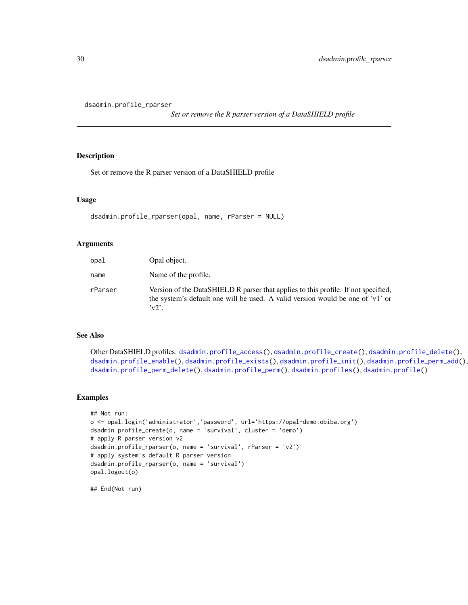<span id="page-29-1"></span><span id="page-29-0"></span>dsadmin.profile\_rparser

*Set or remove the R parser version of a DataSHIELD profile*

# Description

Set or remove the R parser version of a DataSHIELD profile

#### Usage

```
dsadmin.profile_rparser(opal, name, rParser = NULL)
```
#### Arguments

| opal    | Opal object.                                                                                                                                                                         |
|---------|--------------------------------------------------------------------------------------------------------------------------------------------------------------------------------------|
| name    | Name of the profile.                                                                                                                                                                 |
| rParser | Version of the DataSHIELD R parser that applies to this profile. If not specified,<br>the system's default one will be used. A valid version would be one of 'v1' or<br>$\mathbf{v}$ |

#### See Also

Other DataSHIELD profiles: [dsadmin.profile\\_access\(](#page-22-1)), [dsadmin.profile\\_create\(](#page-22-2)), [dsadmin.profile\\_delete\(](#page-23-1)), [dsadmin.profile\\_enable\(](#page-24-1)), [dsadmin.profile\\_exists\(](#page-25-1)), [dsadmin.profile\\_init\(](#page-25-2)), [dsadmin.profile\\_perm\\_add\(](#page-27-1)), [dsadmin.profile\\_perm\\_delete\(](#page-28-1)), [dsadmin.profile\\_perm\(](#page-26-1)), [dsadmin.profiles\(](#page-21-1)), [dsadmin.profile\(](#page-20-1))

#### Examples

```
## Not run:
o <- opal.login('administrator','password', url='https://opal-demo.obiba.org')
dsadmin.profile_create(o, name = 'survival', cluster = 'demo')
# apply R parser version v2
dsadmin.profile_rparser(o, name = 'survival', rParser = 'v2')
# apply system's default R parser version
dsadmin.profile_rparser(o, name = 'survival')
opal.logout(o)
```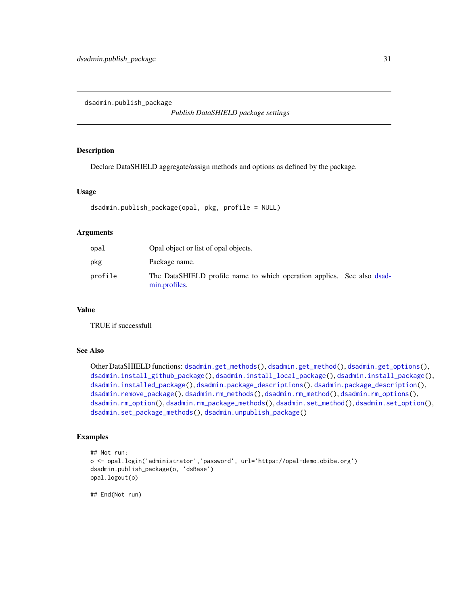<span id="page-30-1"></span><span id="page-30-0"></span>dsadmin.publish\_package

*Publish DataSHIELD package settings*

# Description

Declare DataSHIELD aggregate/assign methods and options as defined by the package.

#### Usage

```
dsadmin.publish_package(opal, pkg, profile = NULL)
```
# Arguments

| opal    | Opal object or list of opal objects.                                                    |  |
|---------|-----------------------------------------------------------------------------------------|--|
| pkg     | Package name.                                                                           |  |
| profile | The DataSHIELD profile name to which operation applies. See also dsad-<br>min.profiles. |  |

#### Value

TRUE if successfull

# See Also

Other DataSHIELD functions: [dsadmin.get\\_methods\(](#page-11-1)), [dsadmin.get\\_method\(](#page-10-1)), [dsadmin.get\\_options\(](#page-11-2)), [dsadmin.install\\_github\\_package\(](#page-13-1)), [dsadmin.install\\_local\\_package\(](#page-14-1)), [dsadmin.install\\_package\(](#page-15-1)), [dsadmin.installed\\_package\(](#page-12-1)), [dsadmin.package\\_descriptions\(](#page-17-1)), [dsadmin.package\\_description\(](#page-16-1)), [dsadmin.remove\\_package\(](#page-31-1)), [dsadmin.rm\\_methods\(](#page-32-1)), [dsadmin.rm\\_method\(](#page-31-2)), [dsadmin.rm\\_options\(](#page-34-1)), [dsadmin.rm\\_option\(](#page-33-1)), [dsadmin.rm\\_package\\_methods\(](#page-35-1)), [dsadmin.set\\_method\(](#page-36-1)), [dsadmin.set\\_option\(](#page-37-1)), [dsadmin.set\\_package\\_methods\(](#page-38-1)), [dsadmin.unpublish\\_package\(](#page-39-1))

# Examples

```
## Not run:
o <- opal.login('administrator','password', url='https://opal-demo.obiba.org')
dsadmin.publish_package(o, 'dsBase')
opal.logout(o)
```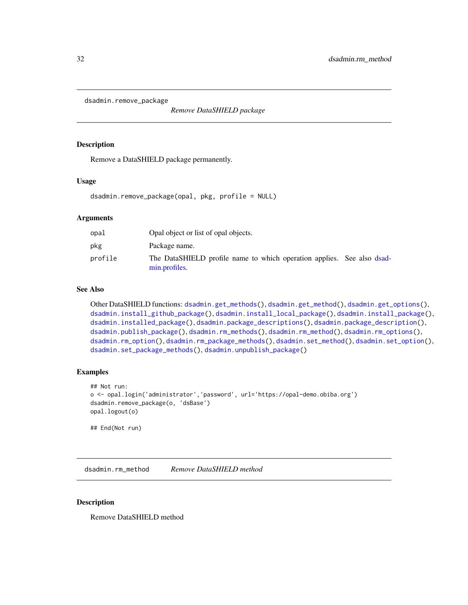<span id="page-31-1"></span><span id="page-31-0"></span>dsadmin.remove\_package

*Remove DataSHIELD package*

#### Description

Remove a DataSHIELD package permanently.

#### Usage

dsadmin.remove\_package(opal, pkg, profile = NULL)

# Arguments

| opal    | Opal object or list of opal objects.                                                    |  |
|---------|-----------------------------------------------------------------------------------------|--|
| pkg     | Package name.                                                                           |  |
| profile | The DataSHIELD profile name to which operation applies. See also dsad-<br>min.profiles. |  |

# See Also

Other DataSHIELD functions: [dsadmin.get\\_methods\(](#page-11-1)), [dsadmin.get\\_method\(](#page-10-1)), [dsadmin.get\\_options\(](#page-11-2)), [dsadmin.install\\_github\\_package\(](#page-13-1)), [dsadmin.install\\_local\\_package\(](#page-14-1)), [dsadmin.install\\_package\(](#page-15-1)), [dsadmin.installed\\_package\(](#page-12-1)), [dsadmin.package\\_descriptions\(](#page-17-1)), [dsadmin.package\\_description\(](#page-16-1)), [dsadmin.publish\\_package\(](#page-30-1)), [dsadmin.rm\\_methods\(](#page-32-1)), [dsadmin.rm\\_method\(](#page-31-2)), [dsadmin.rm\\_options\(](#page-34-1)), [dsadmin.rm\\_option\(](#page-33-1)), [dsadmin.rm\\_package\\_methods\(](#page-35-1)), [dsadmin.set\\_method\(](#page-36-1)), [dsadmin.set\\_option\(](#page-37-1)), [dsadmin.set\\_package\\_methods\(](#page-38-1)), [dsadmin.unpublish\\_package\(](#page-39-1))

# Examples

```
## Not run:
o <- opal.login('administrator','password', url='https://opal-demo.obiba.org')
dsadmin.remove_package(o, 'dsBase')
opal.logout(o)
## End(Not run)
```
<span id="page-31-2"></span>dsadmin.rm\_method *Remove DataSHIELD method*

#### Description

Remove DataSHIELD method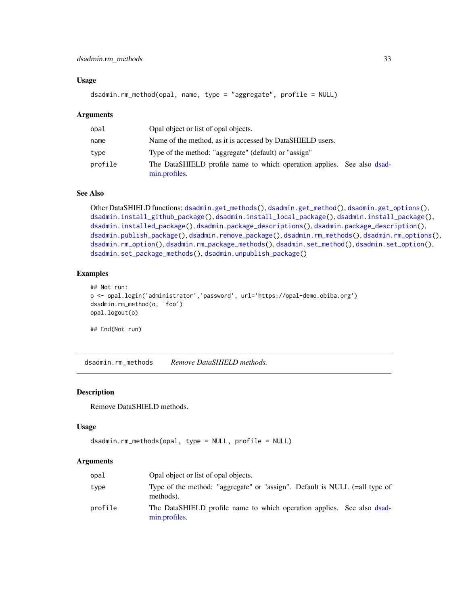#### <span id="page-32-0"></span>Usage

```
dsadmin.rm_method(opal, name, type = "aggregate", profile = NULL)
```
#### **Arguments**

| opal    | Opal object or list of opal objects.                                                    |
|---------|-----------------------------------------------------------------------------------------|
| name    | Name of the method, as it is accessed by DataSHIELD users.                              |
| type    | Type of the method: "aggregate" (default) or "assign"                                   |
| profile | The DataSHIELD profile name to which operation applies. See also dsad-<br>min.profiles. |

# See Also

```
Other DataSHIELD functions: dsadmin.get_methods(), dsadmin.get_method(), dsadmin.get_options(),
dsadmin.install_github_package(), dsadmin.install_local_package(), dsadmin.install_package(),
dsadmin.installed_package(), dsadmin.package_descriptions(), dsadmin.package_description(),
dsadmin.publish_package(), dsadmin.remove_package(), dsadmin.rm_methods(), dsadmin.rm_options(),
dsadmin.rm_option(), dsadmin.rm_package_methods(), dsadmin.set_method(), dsadmin.set_option(),
dsadmin.set_package_methods(), dsadmin.unpublish_package()
```
#### Examples

```
## Not run:
o <- opal.login('administrator','password', url='https://opal-demo.obiba.org')
dsadmin.rm_method(o, 'foo')
opal.logout(o)
```
## End(Not run)

<span id="page-32-1"></span>dsadmin.rm\_methods *Remove DataSHIELD methods.*

# Description

Remove DataSHIELD methods.

#### Usage

```
dsadmin.rm_methods(opal, type = NULL, profile = NULL)
```
#### Arguments

| opal    | Opal object or list of opal objects.                                                    |
|---------|-----------------------------------------------------------------------------------------|
| type    | Type of the method: "aggregate" or "assign". Default is NULL (=all type of<br>methods). |
| profile | The DataSHIELD profile name to which operation applies. See also dsad-<br>min.profiles. |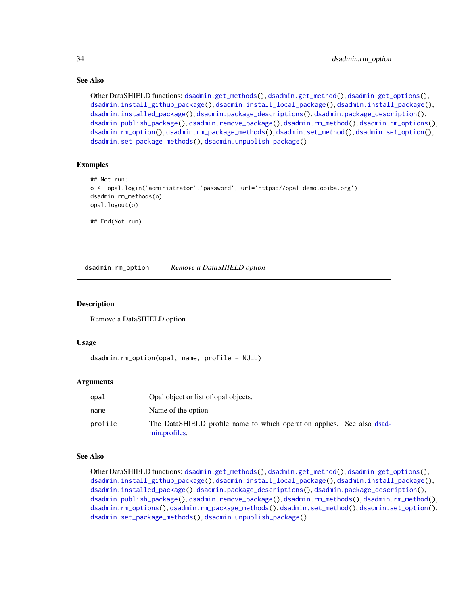# See Also

```
Other DataSHIELD functions: dsadmin.get_methods(), dsadmin.get_method(), dsadmin.get_options(),
dsadmin.install_github_package(), dsadmin.install_local_package(), dsadmin.install_package(),
dsadmin.installed_package(), dsadmin.package_descriptions(), dsadmin.package_description(),
dsadmin.publish_package(), dsadmin.remove_package(), dsadmin.rm_method(), dsadmin.rm_options(),
dsadmin.rm_option(), dsadmin.rm_package_methods(), dsadmin.set_method(), dsadmin.set_option(),
dsadmin.set_package_methods(), dsadmin.unpublish_package()
```
# Examples

```
## Not run:
o <- opal.login('administrator','password', url='https://opal-demo.obiba.org')
dsadmin.rm_methods(o)
opal.logout(o)
```
## End(Not run)

<span id="page-33-1"></span>dsadmin.rm\_option *Remove a DataSHIELD option*

#### Description

Remove a DataSHIELD option

# Usage

```
dsadmin.rm_option(opal, name, profile = NULL)
```
#### Arguments

| opal    | Opal object or list of opal objects.                                                    |
|---------|-----------------------------------------------------------------------------------------|
| name    | Name of the option                                                                      |
| profile | The DataSHIELD profile name to which operation applies. See also dsad-<br>min.profiles. |

#### See Also

Other DataSHIELD functions: [dsadmin.get\\_methods\(](#page-11-1)), [dsadmin.get\\_method\(](#page-10-1)), [dsadmin.get\\_options\(](#page-11-2)), [dsadmin.install\\_github\\_package\(](#page-13-1)), [dsadmin.install\\_local\\_package\(](#page-14-1)), [dsadmin.install\\_package\(](#page-15-1)), [dsadmin.installed\\_package\(](#page-12-1)), [dsadmin.package\\_descriptions\(](#page-17-1)), [dsadmin.package\\_description\(](#page-16-1)), [dsadmin.publish\\_package\(](#page-30-1)), [dsadmin.remove\\_package\(](#page-31-1)), [dsadmin.rm\\_methods\(](#page-32-1)), [dsadmin.rm\\_method\(](#page-31-2)), [dsadmin.rm\\_options\(](#page-34-1)), [dsadmin.rm\\_package\\_methods\(](#page-35-1)), [dsadmin.set\\_method\(](#page-36-1)), [dsadmin.set\\_option\(](#page-37-1)), [dsadmin.set\\_package\\_methods\(](#page-38-1)), [dsadmin.unpublish\\_package\(](#page-39-1))

<span id="page-33-0"></span>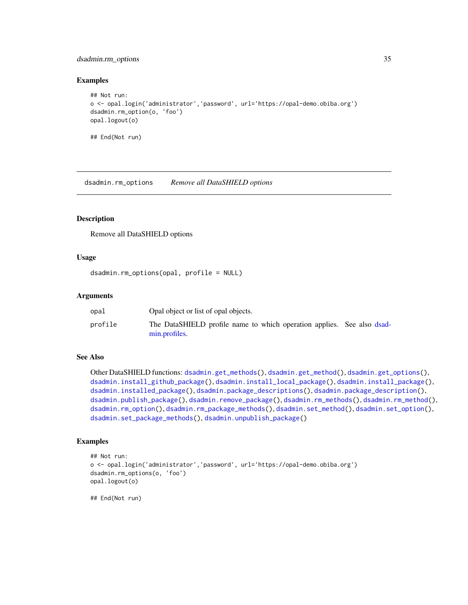# <span id="page-34-0"></span>dsadmin.rm\_options 35

#### Examples

```
## Not run:
o <- opal.login('administrator','password', url='https://opal-demo.obiba.org')
dsadmin.rm_option(o, 'foo')
opal.logout(o)
## End(Not run)
```
<span id="page-34-1"></span>dsadmin.rm\_options *Remove all DataSHIELD options*

# Description

Remove all DataSHIELD options

#### Usage

```
dsadmin.rm_options(opal, profile = NULL)
```
#### Arguments

| opal    | Opal object or list of opal objects.                                                    |  |
|---------|-----------------------------------------------------------------------------------------|--|
| profile | The DataSHIELD profile name to which operation applies. See also dsad-<br>min.profiles. |  |

# See Also

```
Other DataSHIELD functions: dsadmin.get_methods(), dsadmin.get_method(), dsadmin.get_options(),
dsadmin.install_github_package(), dsadmin.install_local_package(), dsadmin.install_package(),
dsadmin.installed_package(), dsadmin.package_descriptions(), dsadmin.package_description(),
dsadmin.publish_package(), dsadmin.remove_package(), dsadmin.rm_methods(), dsadmin.rm_method(),
dsadmin.rm_option(), dsadmin.rm_package_methods(), dsadmin.set_method(), dsadmin.set_option(),
dsadmin.set_package_methods(), dsadmin.unpublish_package()
```
# Examples

```
## Not run:
o <- opal.login('administrator','password', url='https://opal-demo.obiba.org')
dsadmin.rm_options(o, 'foo')
opal.logout(o)
```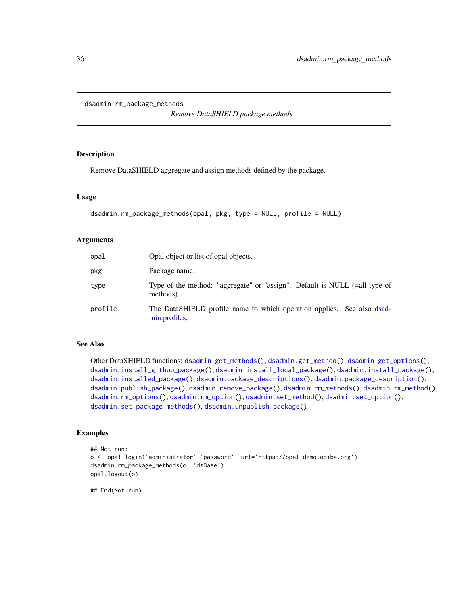```
dsadmin.rm_package_methods
```
*Remove DataSHIELD package methods*

# Description

Remove DataSHIELD aggregate and assign methods defined by the package.

# Usage

```
dsadmin.rm_package_methods(opal, pkg, type = NULL, profile = NULL)
```
### Arguments

| opal    | Opal object or list of opal objects.                                                    |
|---------|-----------------------------------------------------------------------------------------|
| pkg     | Package name.                                                                           |
| type    | Type of the method: "aggregate" or "assign". Default is NULL (=all type of<br>methods). |
| profile | The DataSHIELD profile name to which operation applies. See also dsad-<br>min.profiles. |

# See Also

Other DataSHIELD functions: [dsadmin.get\\_methods\(](#page-11-1)), [dsadmin.get\\_method\(](#page-10-1)), [dsadmin.get\\_options\(](#page-11-2)), [dsadmin.install\\_github\\_package\(](#page-13-1)), [dsadmin.install\\_local\\_package\(](#page-14-1)), [dsadmin.install\\_package\(](#page-15-1)), [dsadmin.installed\\_package\(](#page-12-1)), [dsadmin.package\\_descriptions\(](#page-17-1)), [dsadmin.package\\_description\(](#page-16-1)), [dsadmin.publish\\_package\(](#page-30-1)), [dsadmin.remove\\_package\(](#page-31-1)), [dsadmin.rm\\_methods\(](#page-32-1)), [dsadmin.rm\\_method\(](#page-31-2)), [dsadmin.rm\\_options\(](#page-34-1)), [dsadmin.rm\\_option\(](#page-33-1)), [dsadmin.set\\_method\(](#page-36-1)), [dsadmin.set\\_option\(](#page-37-1)), [dsadmin.set\\_package\\_methods\(](#page-38-1)), [dsadmin.unpublish\\_package\(](#page-39-1))

# Examples

```
## Not run:
o <- opal.login('administrator','password', url='https://opal-demo.obiba.org')
dsadmin.rm_package_methods(o, 'dsBase')
opal.logout(o)
```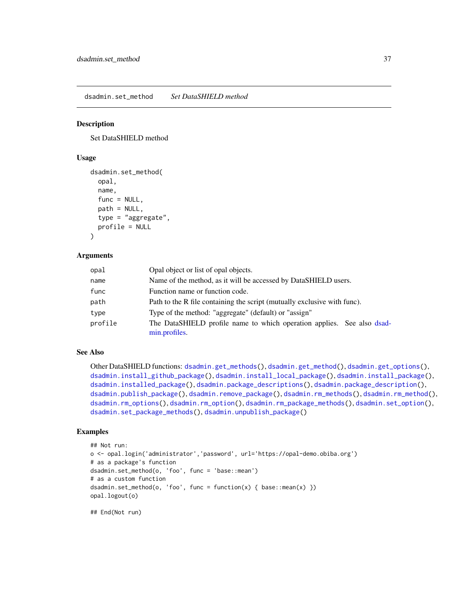<span id="page-36-0"></span>dsadmin.set\_method *Set DataSHIELD method*

#### Description

Set DataSHIELD method

#### Usage

```
dsadmin.set_method(
  opal,
 name,
  func = NULL,path = NULL,
  type = "aggregate",
 profile = NULL
```
#### $\lambda$

### Arguments

| opal    | Opal object or list of opal objects.                                                    |
|---------|-----------------------------------------------------------------------------------------|
| name    | Name of the method, as it will be accessed by DataSHIELD users.                         |
| func    | Function name or function code.                                                         |
| path    | Path to the R file containing the script (mutually exclusive with func).                |
| type    | Type of the method: "aggregate" (default) or "assign"                                   |
| profile | The DataSHIELD profile name to which operation applies. See also dsad-<br>min.profiles. |

# See Also

Other DataSHIELD functions: [dsadmin.get\\_methods\(](#page-11-0)), [dsadmin.get\\_method\(](#page-10-0)), [dsadmin.get\\_options\(](#page-11-1)), [dsadmin.install\\_github\\_package\(](#page-13-0)), [dsadmin.install\\_local\\_package\(](#page-14-0)), [dsadmin.install\\_package\(](#page-15-0)), [dsadmin.installed\\_package\(](#page-12-0)), [dsadmin.package\\_descriptions\(](#page-17-0)), [dsadmin.package\\_description\(](#page-16-0)), [dsadmin.publish\\_package\(](#page-30-0)), [dsadmin.remove\\_package\(](#page-31-0)), [dsadmin.rm\\_methods\(](#page-32-0)), [dsadmin.rm\\_method\(](#page-31-1)), [dsadmin.rm\\_options\(](#page-34-0)), [dsadmin.rm\\_option\(](#page-33-0)), [dsadmin.rm\\_package\\_methods\(](#page-35-0)), [dsadmin.set\\_option\(](#page-37-0)), [dsadmin.set\\_package\\_methods\(](#page-38-0)), [dsadmin.unpublish\\_package\(](#page-39-0))

#### Examples

```
## Not run:
o <- opal.login('administrator','password', url='https://opal-demo.obiba.org')
# as a package's function
dsadmin.set_method(o, 'foo', func = 'base::mean')
# as a custom function
dsadmin.set_method(o, 'foo', func = function(x) { base::mean(x) })
opal.logout(o)
```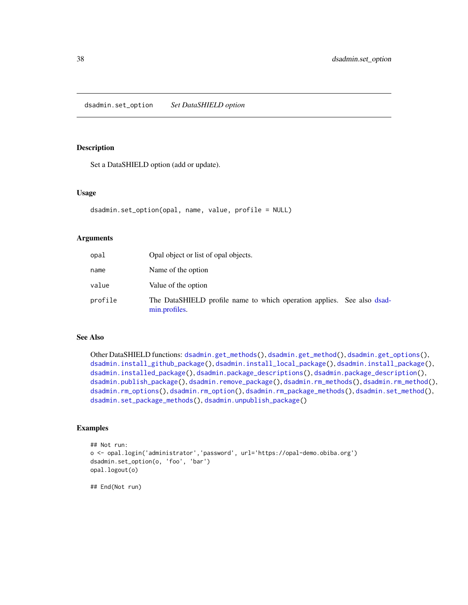<span id="page-37-0"></span>dsadmin.set\_option *Set DataSHIELD option*

# Description

Set a DataSHIELD option (add or update).

#### Usage

```
dsadmin.set_option(opal, name, value, profile = NULL)
```
### Arguments

| opal    | Opal object or list of opal objects.                                                    |  |
|---------|-----------------------------------------------------------------------------------------|--|
| name    | Name of the option                                                                      |  |
| value   | Value of the option                                                                     |  |
| profile | The DataSHIELD profile name to which operation applies. See also dsad-<br>min.profiles. |  |

# See Also

Other DataSHIELD functions: [dsadmin.get\\_methods\(](#page-11-0)), [dsadmin.get\\_method\(](#page-10-0)), [dsadmin.get\\_options\(](#page-11-1)), [dsadmin.install\\_github\\_package\(](#page-13-0)), [dsadmin.install\\_local\\_package\(](#page-14-0)), [dsadmin.install\\_package\(](#page-15-0)), [dsadmin.installed\\_package\(](#page-12-0)), [dsadmin.package\\_descriptions\(](#page-17-0)), [dsadmin.package\\_description\(](#page-16-0)), [dsadmin.publish\\_package\(](#page-30-0)), [dsadmin.remove\\_package\(](#page-31-0)), [dsadmin.rm\\_methods\(](#page-32-0)), [dsadmin.rm\\_method\(](#page-31-1)), [dsadmin.rm\\_options\(](#page-34-0)), [dsadmin.rm\\_option\(](#page-33-0)), [dsadmin.rm\\_package\\_methods\(](#page-35-0)), [dsadmin.set\\_method\(](#page-36-0)), [dsadmin.set\\_package\\_methods\(](#page-38-0)), [dsadmin.unpublish\\_package\(](#page-39-0))

# Examples

```
## Not run:
o <- opal.login('administrator','password', url='https://opal-demo.obiba.org')
dsadmin.set_option(o, 'foo', 'bar')
opal.logout(o)
```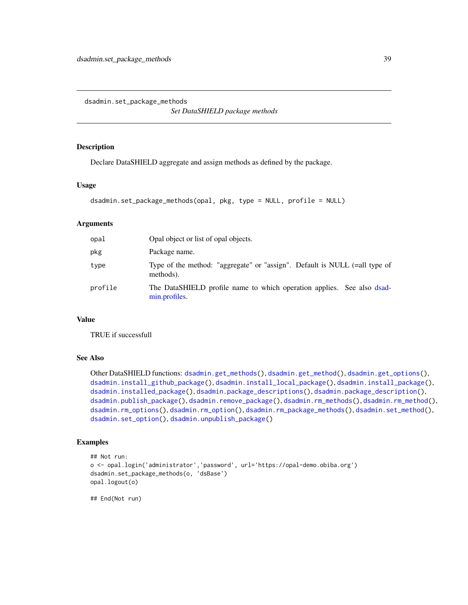<span id="page-38-0"></span>dsadmin.set\_package\_methods

*Set DataSHIELD package methods*

### Description

Declare DataSHIELD aggregate and assign methods as defined by the package.

### Usage

```
dsadmin.set_package_methods(opal, pkg, type = NULL, profile = NULL)
```
### Arguments

| opal    | Opal object or list of opal objects.                                                    |
|---------|-----------------------------------------------------------------------------------------|
| pkg     | Package name.                                                                           |
| type    | Type of the method: "aggregate" or "assign". Default is NULL (=all type of<br>methods). |
| profile | The DataSHIELD profile name to which operation applies. See also dsad-<br>min.profiles. |

# Value

TRUE if successfull

# See Also

Other DataSHIELD functions: [dsadmin.get\\_methods\(](#page-11-0)), [dsadmin.get\\_method\(](#page-10-0)), [dsadmin.get\\_options\(](#page-11-1)), [dsadmin.install\\_github\\_package\(](#page-13-0)), [dsadmin.install\\_local\\_package\(](#page-14-0)), [dsadmin.install\\_package\(](#page-15-0)), [dsadmin.installed\\_package\(](#page-12-0)), [dsadmin.package\\_descriptions\(](#page-17-0)), [dsadmin.package\\_description\(](#page-16-0)), [dsadmin.publish\\_package\(](#page-30-0)), [dsadmin.remove\\_package\(](#page-31-0)), [dsadmin.rm\\_methods\(](#page-32-0)), [dsadmin.rm\\_method\(](#page-31-1)), [dsadmin.rm\\_options\(](#page-34-0)), [dsadmin.rm\\_option\(](#page-33-0)), [dsadmin.rm\\_package\\_methods\(](#page-35-0)), [dsadmin.set\\_method\(](#page-36-0)), [dsadmin.set\\_option\(](#page-37-0)), [dsadmin.unpublish\\_package\(](#page-39-0))

# Examples

```
## Not run:
o <- opal.login('administrator','password', url='https://opal-demo.obiba.org')
dsadmin.set_package_methods(o, 'dsBase')
opal.logout(o)
```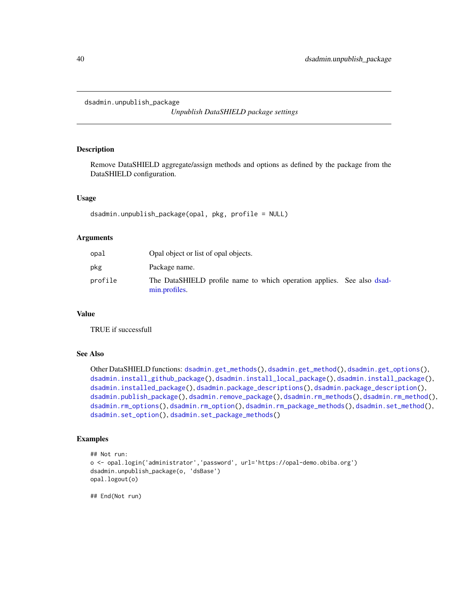```
dsadmin.unpublish_package
```
*Unpublish DataSHIELD package settings*

#### Description

Remove DataSHIELD aggregate/assign methods and options as defined by the package from the DataSHIELD configuration.

# Usage

dsadmin.unpublish\_package(opal, pkg, profile = NULL)

### Arguments

| opal    | Opal object or list of opal objects.                                                    |  |
|---------|-----------------------------------------------------------------------------------------|--|
| pkg     | Package name.                                                                           |  |
| profile | The DataSHIELD profile name to which operation applies. See also dsad-<br>min.profiles. |  |

# Value

TRUE if successfull

# See Also

Other DataSHIELD functions: [dsadmin.get\\_methods\(](#page-11-0)), [dsadmin.get\\_method\(](#page-10-0)), [dsadmin.get\\_options\(](#page-11-1)), [dsadmin.install\\_github\\_package\(](#page-13-0)), [dsadmin.install\\_local\\_package\(](#page-14-0)), [dsadmin.install\\_package\(](#page-15-0)), [dsadmin.installed\\_package\(](#page-12-0)), [dsadmin.package\\_descriptions\(](#page-17-0)), [dsadmin.package\\_description\(](#page-16-0)), [dsadmin.publish\\_package\(](#page-30-0)), [dsadmin.remove\\_package\(](#page-31-0)), [dsadmin.rm\\_methods\(](#page-32-0)), [dsadmin.rm\\_method\(](#page-31-1)), [dsadmin.rm\\_options\(](#page-34-0)), [dsadmin.rm\\_option\(](#page-33-0)), [dsadmin.rm\\_package\\_methods\(](#page-35-0)), [dsadmin.set\\_method\(](#page-36-0)), [dsadmin.set\\_option\(](#page-37-0)), [dsadmin.set\\_package\\_methods\(](#page-38-0))

### Examples

```
## Not run:
o <- opal.login('administrator','password', url='https://opal-demo.obiba.org')
dsadmin.unpublish_package(o, 'dsBase')
opal.logout(o)
```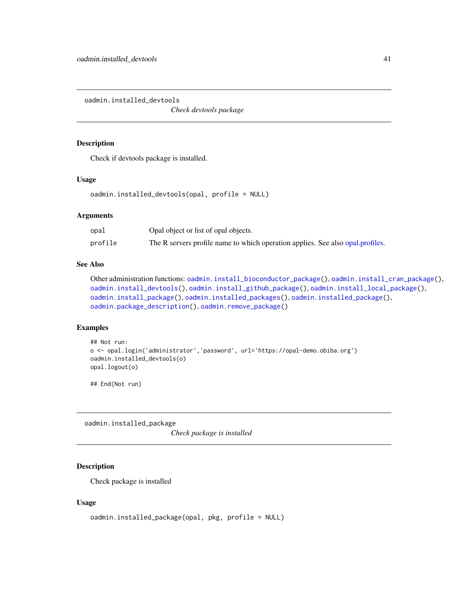<span id="page-40-1"></span>oadmin.installed\_devtools

*Check devtools package*

# Description

Check if devtools package is installed.

### Usage

```
oadmin.installed_devtools(opal, profile = NULL)
```
#### Arguments

| opal    | Opal object or list of opal objects.                                           |
|---------|--------------------------------------------------------------------------------|
| profile | The R servers profile name to which operation applies. See also opal profiles. |

# See Also

```
Other administration functions: oadmin.install_bioconductor_package(), oadmin.install_cran_package(),
oadmin.install_devtools(), oadmin.install_github_package(), oadmin.install_local_package(),
oadmin.install_package(), oadmin.installed_packages(), oadmin.installed_package(),
oadmin.package_description(), oadmin.remove_package()
```
# Examples

```
## Not run:
o <- opal.login('administrator','password', url='https://opal-demo.obiba.org')
oadmin.installed_devtools(o)
opal.logout(o)
```
## End(Not run)

<span id="page-40-0"></span>oadmin.installed\_package

*Check package is installed*

# Description

Check package is installed

### Usage

```
oadmin.installed_package(opal, pkg, profile = NULL)
```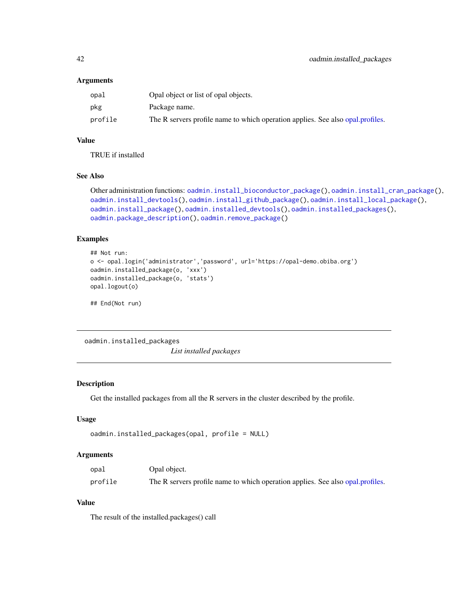#### **Arguments**

| opal    | Opal object or list of opal objects.                                           |
|---------|--------------------------------------------------------------------------------|
| pkg     | Package name.                                                                  |
| profile | The R servers profile name to which operation applies. See also opal profiles. |

### Value

TRUE if installed

# See Also

```
Other administration functions: oadmin.install_bioconductor_package(), oadmin.install_cran_package(),
oadmin.install_devtools(), oadmin.install_github_package(), oadmin.install_local_package(),
oadmin.install_package(), oadmin.installed_devtools(), oadmin.installed_packages(),
oadmin.package_description(), oadmin.remove_package()
```
# Examples

```
## Not run:
o <- opal.login('administrator','password', url='https://opal-demo.obiba.org')
oadmin.installed_package(o, 'xxx')
oadmin.installed_package(o, 'stats')
opal.logout(o)
```
## End(Not run)

<span id="page-41-0"></span>oadmin.installed\_packages *List installed packages*

## Description

Get the installed packages from all the R servers in the cluster described by the profile.

### Usage

```
oadmin.installed_packages(opal, profile = NULL)
```
#### Arguments

| opal    | Opal object.                                                                   |
|---------|--------------------------------------------------------------------------------|
| profile | The R servers profile name to which operation applies. See also opal profiles. |

# Value

The result of the installed.packages() call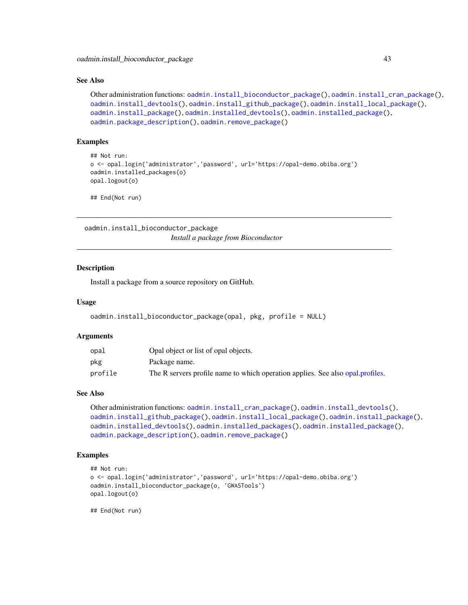#### See Also

```
Other administration functions: oadmin.install_bioconductor_package(), oadmin.install_cran_package(),
oadmin.install_devtools(), oadmin.install_github_package(), oadmin.install_local_package(),
oadmin.install_package(), oadmin.installed_devtools(), oadmin.installed_package(),
oadmin.package_description(), oadmin.remove_package()
```
### Examples

```
## Not run:
o <- opal.login('administrator','password', url='https://opal-demo.obiba.org')
oadmin.installed_packages(o)
opal.logout(o)
```
## End(Not run)

<span id="page-42-0"></span>oadmin.install\_bioconductor\_package *Install a package from Bioconductor*

#### **Description**

Install a package from a source repository on GitHub.

#### Usage

```
oadmin.install_bioconductor_package(opal, pkg, profile = NULL)
```
#### Arguments

| opal    | Opal object or list of opal objects.                                           |
|---------|--------------------------------------------------------------------------------|
| pkg     | Package name.                                                                  |
| profile | The R servers profile name to which operation applies. See also opal profiles. |

#### See Also

```
Other administration functions: oadmin.install_cran_package(), oadmin.install_devtools(),
oadmin.install_github_package(), oadmin.install_local_package(), oadmin.install_package(),
oadmin.installed_devtools(), oadmin.installed_packages(), oadmin.installed_package(),
oadmin.package_description(), oadmin.remove_package()
```
### Examples

```
## Not run:
o <- opal.login('administrator','password', url='https://opal-demo.obiba.org')
oadmin.install_bioconductor_package(o, 'GWASTools')
opal.logout(o)
```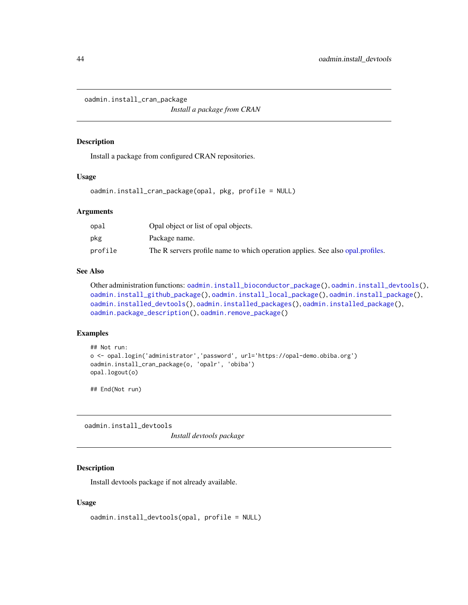<span id="page-43-0"></span>oadmin.install\_cran\_package

*Install a package from CRAN*

#### Description

Install a package from configured CRAN repositories.

### Usage

oadmin.install\_cran\_package(opal, pkg, profile = NULL)

### Arguments

| opal    | Opal object or list of opal objects.                                           |
|---------|--------------------------------------------------------------------------------|
| pkg     | Package name.                                                                  |
| profile | The R servers profile name to which operation applies. See also opal profiles. |

### See Also

Other administration functions: [oadmin.install\\_bioconductor\\_package\(](#page-42-0)), [oadmin.install\\_devtools\(](#page-43-1)), [oadmin.install\\_github\\_package\(](#page-44-0)), [oadmin.install\\_local\\_package\(](#page-45-0)), [oadmin.install\\_package\(](#page-46-0)), [oadmin.installed\\_devtools\(](#page-40-1)), [oadmin.installed\\_packages\(](#page-41-0)), [oadmin.installed\\_package\(](#page-40-0)), [oadmin.package\\_description\(](#page-47-0)), [oadmin.remove\\_package\(](#page-50-0))

#### Examples

```
## Not run:
o <- opal.login('administrator','password', url='https://opal-demo.obiba.org')
oadmin.install_cran_package(o, 'opalr', 'obiba')
opal.logout(o)
```
## End(Not run)

<span id="page-43-1"></span>oadmin.install\_devtools

*Install devtools package*

### Description

Install devtools package if not already available.

### Usage

```
oadmin.install_devtools(opal, profile = NULL)
```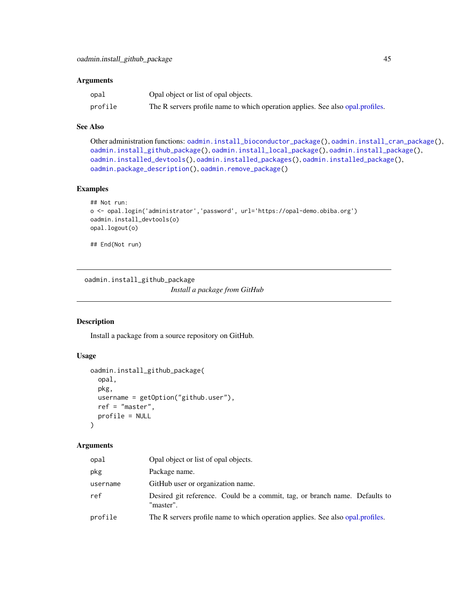#### Arguments

| opal    | Opal object or list of opal objects.                                           |
|---------|--------------------------------------------------------------------------------|
| profile | The R servers profile name to which operation applies. See also opal profiles. |

## See Also

Other administration functions: [oadmin.install\\_bioconductor\\_package\(](#page-42-0)), [oadmin.install\\_cran\\_package\(](#page-43-0)), [oadmin.install\\_github\\_package\(](#page-44-0)), [oadmin.install\\_local\\_package\(](#page-45-0)), [oadmin.install\\_package\(](#page-46-0)), [oadmin.installed\\_devtools\(](#page-40-1)), [oadmin.installed\\_packages\(](#page-41-0)), [oadmin.installed\\_package\(](#page-40-0)), [oadmin.package\\_description\(](#page-47-0)), [oadmin.remove\\_package\(](#page-50-0))

# Examples

```
## Not run:
o <- opal.login('administrator','password', url='https://opal-demo.obiba.org')
oadmin.install_devtools(o)
opal.logout(o)
```
## End(Not run)

<span id="page-44-0"></span>oadmin.install\_github\_package *Install a package from GitHub*

### Description

Install a package from a source repository on GitHub.

# Usage

```
oadmin.install_github_package(
  opal,
  pkg,
 username = getOption("github.user"),
  ref = "master",
 profile = NULL
)
```
#### Arguments

| opal     | Opal object or list of opal objects.                                                    |
|----------|-----------------------------------------------------------------------------------------|
| pkg      | Package name.                                                                           |
| username | GitHub user or organization name.                                                       |
| ref      | Desired git reference. Could be a commit, tag, or branch name. Defaults to<br>"master". |
| profile  | The R servers profile name to which operation applies. See also opal profiles.          |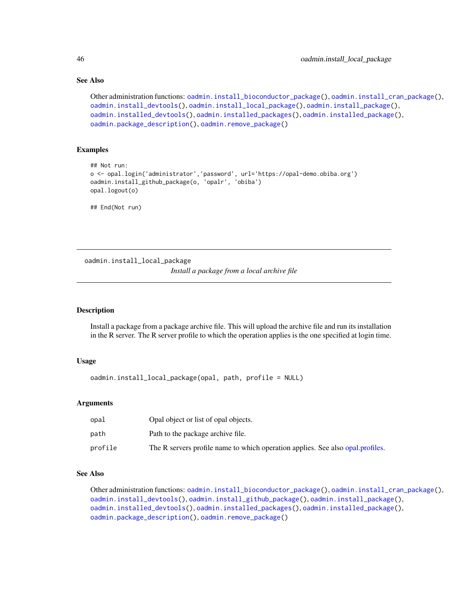# See Also

```
Other administration functions: oadmin.install_bioconductor_package(), oadmin.install_cran_package(),
oadmin.install_devtools(), oadmin.install_local_package(), oadmin.install_package(),
oadmin.installed_devtools(), oadmin.installed_packages(), oadmin.installed_package(),
oadmin.package_description(), oadmin.remove_package()
```
## Examples

```
## Not run:
o <- opal.login('administrator','password', url='https://opal-demo.obiba.org')
oadmin.install_github_package(o, 'opalr', 'obiba')
opal.logout(o)
```
## End(Not run)

<span id="page-45-0"></span>oadmin.install\_local\_package

```
Install a package from a local archive file
```
# Description

Install a package from a package archive file. This will upload the archive file and run its installation in the R server. The R server profile to which the operation applies is the one specified at login time.

# Usage

```
oadmin.install_local_package(opal, path, profile = NULL)
```
### Arguments

| opal    | Opal object or list of opal objects.                                           |
|---------|--------------------------------------------------------------------------------|
| path    | Path to the package archive file.                                              |
| profile | The R servers profile name to which operation applies. See also opal profiles. |

### See Also

Other administration functions: [oadmin.install\\_bioconductor\\_package\(](#page-42-0)), [oadmin.install\\_cran\\_package\(](#page-43-0)), [oadmin.install\\_devtools\(](#page-43-1)), [oadmin.install\\_github\\_package\(](#page-44-0)), [oadmin.install\\_package\(](#page-46-0)), [oadmin.installed\\_devtools\(](#page-40-1)), [oadmin.installed\\_packages\(](#page-41-0)), [oadmin.installed\\_package\(](#page-40-0)), [oadmin.package\\_description\(](#page-47-0)), [oadmin.remove\\_package\(](#page-50-0))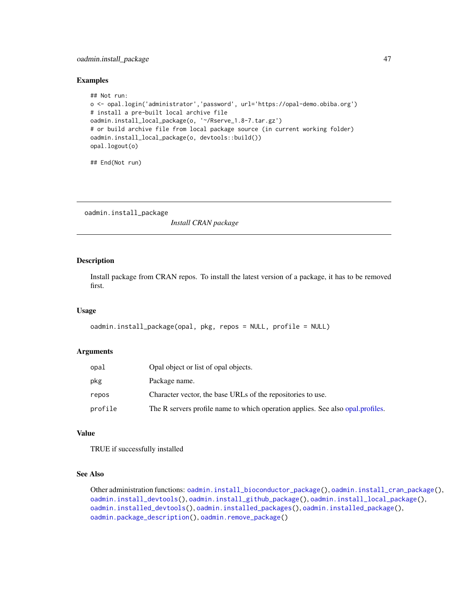# oadmin.install\_package 47

#### Examples

```
## Not run:
o <- opal.login('administrator','password', url='https://opal-demo.obiba.org')
# install a pre-built local archive file
oadmin.install_local_package(o, '~/Rserve_1.8-7.tar.gz')
# or build archive file from local package source (in current working folder)
oadmin.install_local_package(o, devtools::build())
opal.logout(o)
```
## End(Not run)

<span id="page-46-0"></span>oadmin.install\_package

*Install CRAN package*

# Description

Install package from CRAN repos. To install the latest version of a package, it has to be removed first.

# Usage

```
oadmin.install_package(opal, pkg, repos = NULL, profile = NULL)
```
#### Arguments

| opal    | Opal object or list of opal objects.                                           |  |
|---------|--------------------------------------------------------------------------------|--|
| pkg     | Package name.                                                                  |  |
| repos   | Character vector, the base URLs of the repositories to use.                    |  |
| profile | The R servers profile name to which operation applies. See also opal profiles. |  |

### Value

TRUE if successfully installed

# See Also

Other administration functions: [oadmin.install\\_bioconductor\\_package\(](#page-42-0)), [oadmin.install\\_cran\\_package\(](#page-43-0)), [oadmin.install\\_devtools\(](#page-43-1)), [oadmin.install\\_github\\_package\(](#page-44-0)), [oadmin.install\\_local\\_package\(](#page-45-0)), [oadmin.installed\\_devtools\(](#page-40-1)), [oadmin.installed\\_packages\(](#page-41-0)), [oadmin.installed\\_package\(](#page-40-0)), [oadmin.package\\_description\(](#page-47-0)), [oadmin.remove\\_package\(](#page-50-0))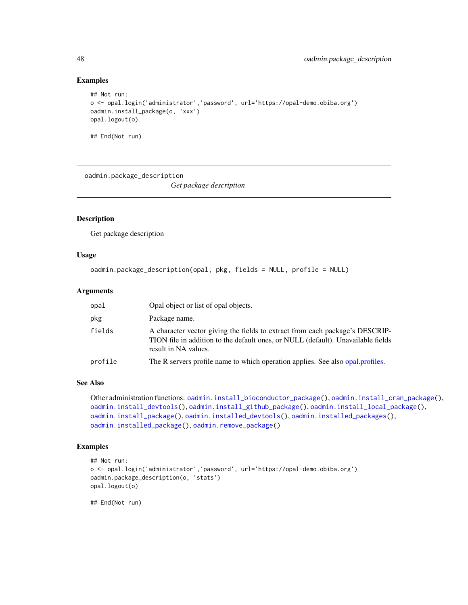### Examples

```
## Not run:
o <- opal.login('administrator','password', url='https://opal-demo.obiba.org')
oadmin.install_package(o, 'xxx')
opal.logout(o)
## End(Not run)
```
<span id="page-47-0"></span>oadmin.package\_description

*Get package description*

# Description

Get package description

### Usage

```
oadmin.package_description(opal, pkg, fields = NULL, profile = NULL)
```
# Arguments

| opal    | Opal object or list of opal objects.                                                                                                                                                     |  |
|---------|------------------------------------------------------------------------------------------------------------------------------------------------------------------------------------------|--|
| pkg     | Package name.                                                                                                                                                                            |  |
| fields  | A character vector giving the fields to extract from each package's DESCRIP-<br>TION file in addition to the default ones, or NULL (default). Unavailable fields<br>result in NA values. |  |
| profile | The R servers profile name to which operation applies. See also opal, profiles.                                                                                                          |  |

#### See Also

```
Other administration functions: oadmin.install_bioconductor_package(), oadmin.install_cran_package(),
oadmin.install_devtools(), oadmin.install_github_package(), oadmin.install_local_package(),
oadmin.install_package(), oadmin.installed_devtools(), oadmin.installed_packages(),
oadmin.installed_package(), oadmin.remove_package()
```
# Examples

```
## Not run:
o <- opal.login('administrator','password', url='https://opal-demo.obiba.org')
oadmin.package_description(o, 'stats')
opal.logout(o)
```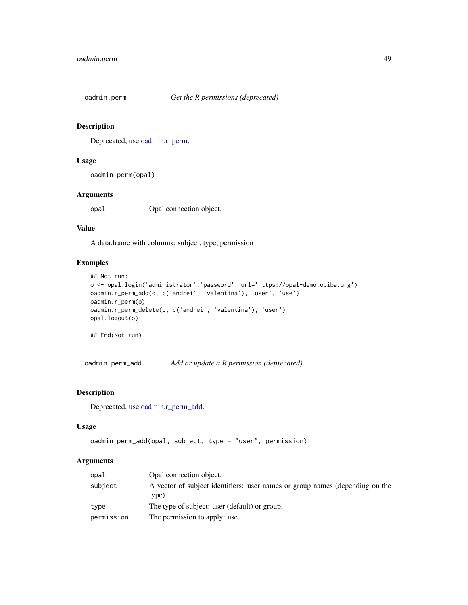# Description

Deprecated, use [oadmin.r\\_perm.](#page-50-1)

### Usage

oadmin.perm(opal)

# Arguments

opal Opal connection object.

### Value

A data.frame with columns: subject, type, permission

# Examples

```
## Not run:
o <- opal.login('administrator','password', url='https://opal-demo.obiba.org')
oadmin.r_perm_add(o, c('andrei', 'valentina'), 'user', 'use')
oadmin.r_perm(o)
oadmin.r_perm_delete(o, c('andrei', 'valentina'), 'user')
opal.logout(o)
```
## End(Not run)

oadmin.perm\_add *Add or update a R permission (deprecated)*

## Description

Deprecated, use [oadmin.r\\_perm\\_add.](#page-51-0)

# Usage

```
oadmin.perm_add(opal, subject, type = "user", permission)
```
# Arguments

| opal       | Opal connection object.                                                                |  |
|------------|----------------------------------------------------------------------------------------|--|
| subject    | A vector of subject identifiers: user names or group names (depending on the<br>type). |  |
| type       | The type of subject: user (default) or group.                                          |  |
| permission | The permission to apply: use.                                                          |  |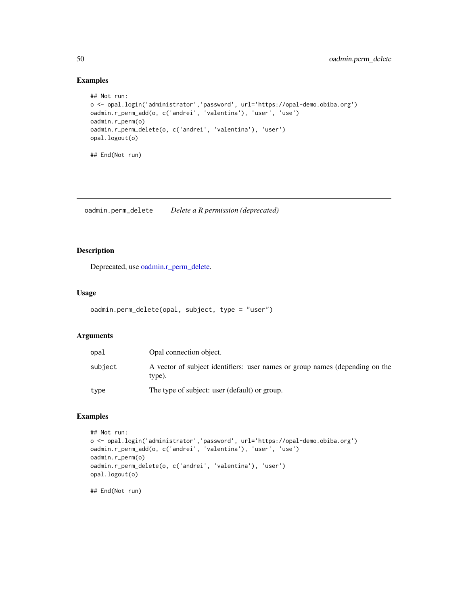# Examples

```
## Not run:
o <- opal.login('administrator','password', url='https://opal-demo.obiba.org')
oadmin.r_perm_add(o, c('andrei', 'valentina'), 'user', 'use')
oadmin.r_perm(o)
oadmin.r_perm_delete(o, c('andrei', 'valentina'), 'user')
opal.logout(o)
## End(Not run)
```
oadmin.perm\_delete *Delete a R permission (deprecated)*

# Description

Deprecated, use [oadmin.r\\_perm\\_delete.](#page-52-0)

#### Usage

```
oadmin.perm_delete(opal, subject, type = "user")
```
# Arguments

| opal    | Opal connection object.                                                                |  |
|---------|----------------------------------------------------------------------------------------|--|
| subject | A vector of subject identifiers: user names or group names (depending on the<br>type). |  |
| type    | The type of subject: user (default) or group.                                          |  |

# Examples

```
## Not run:
o <- opal.login('administrator','password', url='https://opal-demo.obiba.org')
oadmin.r_perm_add(o, c('andrei', 'valentina'), 'user', 'use')
oadmin.r_perm(o)
oadmin.r_perm_delete(o, c('andrei', 'valentina'), 'user')
opal.logout(o)
## End(Not run)
```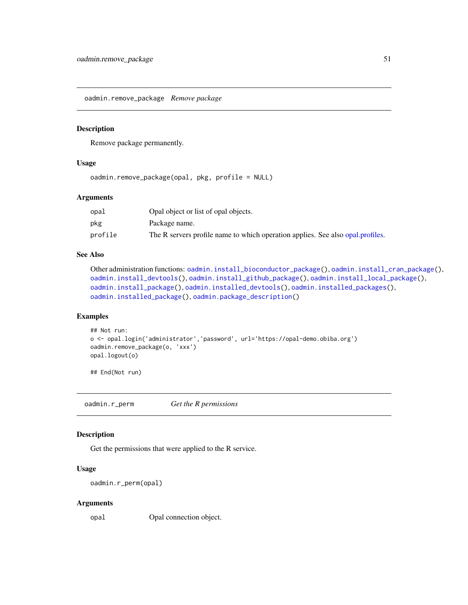<span id="page-50-0"></span>oadmin.remove\_package *Remove package*

#### Description

Remove package permanently.

### Usage

oadmin.remove\_package(opal, pkg, profile = NULL)

#### Arguments

| opal    | Opal object or list of opal objects.                                           |
|---------|--------------------------------------------------------------------------------|
| pkg     | Package name.                                                                  |
| profile | The R servers profile name to which operation applies. See also opal profiles. |

# See Also

```
Other administration functions: oadmin.install_bioconductor_package(), oadmin.install_cran_package(),
oadmin.install_devtools(), oadmin.install_github_package(), oadmin.install_local_package(),
oadmin.install_package(), oadmin.installed_devtools(), oadmin.installed_packages(),
oadmin.installed_package(), oadmin.package_description()
```
### Examples

```
## Not run:
o <- opal.login('administrator','password', url='https://opal-demo.obiba.org')
oadmin.remove_package(o, 'xxx')
opal.logout(o)
```
## End(Not run)

<span id="page-50-1"></span>oadmin.r\_perm *Get the R permissions*

#### Description

Get the permissions that were applied to the R service.

### Usage

```
oadmin.r_perm(opal)
```
#### Arguments

opal Opal connection object.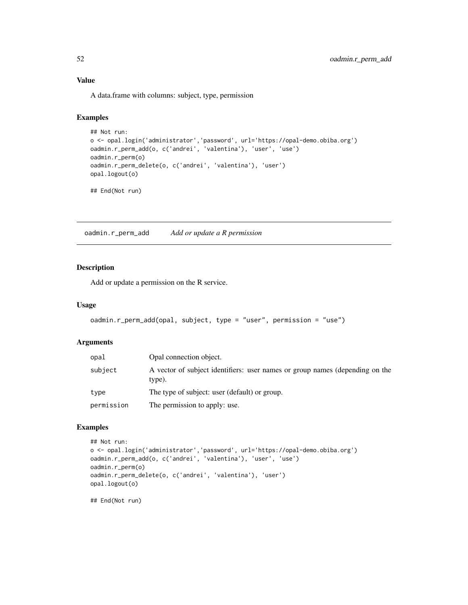# Value

A data.frame with columns: subject, type, permission

# Examples

```
## Not run:
o <- opal.login('administrator','password', url='https://opal-demo.obiba.org')
oadmin.r_perm_add(o, c('andrei', 'valentina'), 'user', 'use')
oadmin.r_perm(o)
oadmin.r_perm_delete(o, c('andrei', 'valentina'), 'user')
opal.logout(o)
```
## End(Not run)

<span id="page-51-0"></span>oadmin.r\_perm\_add *Add or update a R permission*

# Description

Add or update a permission on the R service.

### Usage

```
oadmin.r_perm_add(opal, subject, type = "user", permission = "use")
```
### Arguments

| opal       | Opal connection object.                                                                |  |
|------------|----------------------------------------------------------------------------------------|--|
| subject    | A vector of subject identifiers: user names or group names (depending on the<br>type). |  |
| type       | The type of subject: user (default) or group.                                          |  |
| permission | The permission to apply: use.                                                          |  |

### Examples

```
## Not run:
o <- opal.login('administrator','password', url='https://opal-demo.obiba.org')
oadmin.r_perm_add(o, c('andrei', 'valentina'), 'user', 'use')
oadmin.r_perm(o)
oadmin.r_perm_delete(o, c('andrei', 'valentina'), 'user')
opal.logout(o)
```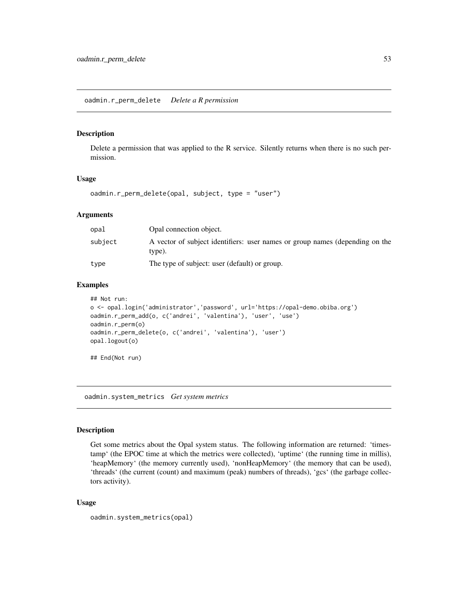#### <span id="page-52-0"></span>Description

Delete a permission that was applied to the R service. Silently returns when there is no such permission.

### Usage

oadmin.r\_perm\_delete(opal, subject, type = "user")

### Arguments

| opal    | Opal connection object.                                                                |  |
|---------|----------------------------------------------------------------------------------------|--|
| subject | A vector of subject identifiers: user names or group names (depending on the<br>type). |  |
| type    | The type of subject: user (default) or group.                                          |  |

# Examples

```
## Not run:
o <- opal.login('administrator','password', url='https://opal-demo.obiba.org')
oadmin.r_perm_add(o, c('andrei', 'valentina'), 'user', 'use')
oadmin.r_perm(o)
oadmin.r_perm_delete(o, c('andrei', 'valentina'), 'user')
opal.logout(o)
## End(Not run)
```
oadmin.system\_metrics *Get system metrics*

#### Description

Get some metrics about the Opal system status. The following information are returned: 'timestamp' (the EPOC time at which the metrics were collected), 'uptime' (the running time in millis), 'heapMemory' (the memory currently used), 'nonHeapMemory' (the memory that can be used), 'threads' (the current (count) and maximum (peak) numbers of threads), 'gcs' (the garbage collectors activity).

### Usage

```
oadmin.system_metrics(opal)
```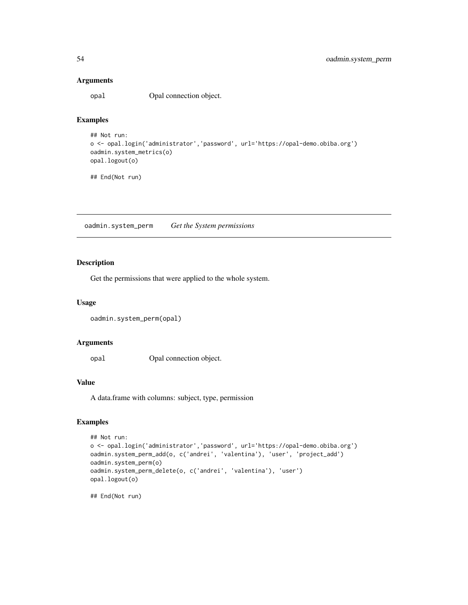#### Arguments

opal Opal connection object.

# Examples

```
## Not run:
o <- opal.login('administrator','password', url='https://opal-demo.obiba.org')
oadmin.system_metrics(o)
opal.logout(o)
```
## End(Not run)

oadmin.system\_perm *Get the System permissions*

# Description

Get the permissions that were applied to the whole system.

### Usage

```
oadmin.system_perm(opal)
```
#### Arguments

opal Opal connection object.

## Value

A data.frame with columns: subject, type, permission

# Examples

```
## Not run:
o <- opal.login('administrator','password', url='https://opal-demo.obiba.org')
oadmin.system_perm_add(o, c('andrei', 'valentina'), 'user', 'project_add')
oadmin.system_perm(o)
oadmin.system_perm_delete(o, c('andrei', 'valentina'), 'user')
opal.logout(o)
```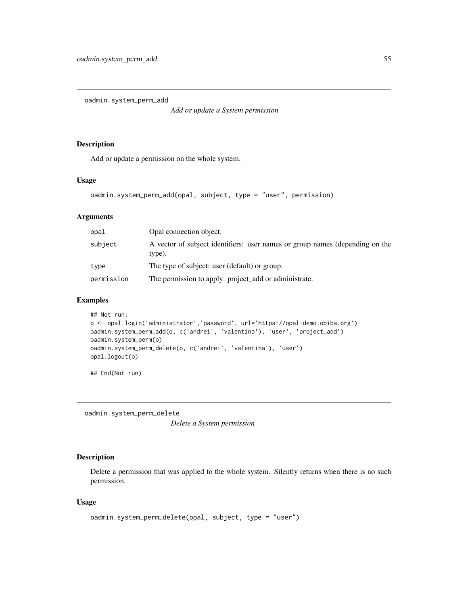oadmin.system\_perm\_add

*Add or update a System permission*

# Description

Add or update a permission on the whole system.

# Usage

```
oadmin.system_perm_add(opal, subject, type = "user", permission)
```
### Arguments

| opal       | Opal connection object.<br>A vector of subject identifiers: user names or group names (depending on the<br>type). |  |
|------------|-------------------------------------------------------------------------------------------------------------------|--|
| subject    |                                                                                                                   |  |
| type       | The type of subject: user (default) or group.                                                                     |  |
| permission | The permission to apply: project_add or administrate.                                                             |  |

#### Examples

```
## Not run:
o <- opal.login('administrator','password', url='https://opal-demo.obiba.org')
oadmin.system_perm_add(o, c('andrei', 'valentina'), 'user', 'project_add')
oadmin.system_perm(o)
oadmin.system_perm_delete(o, c('andrei', 'valentina'), 'user')
opal.logout(o)
```
## End(Not run)

oadmin.system\_perm\_delete

*Delete a System permission*

## Description

Delete a permission that was applied to the whole system. Silently returns when there is no such permission.

#### Usage

```
oadmin.system_perm_delete(opal, subject, type = "user")
```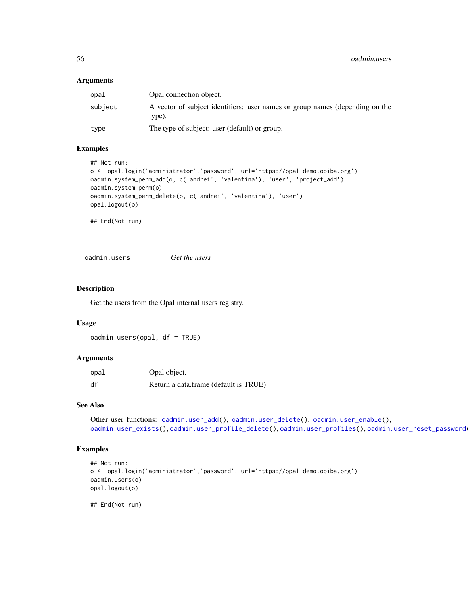### Arguments

| opal    | Opal connection object.                                                                |  |
|---------|----------------------------------------------------------------------------------------|--|
| subject | A vector of subject identifiers: user names or group names (depending on the<br>type). |  |
| type    | The type of subject: user (default) or group.                                          |  |

### Examples

```
## Not run:
o <- opal.login('administrator','password', url='https://opal-demo.obiba.org')
oadmin.system_perm_add(o, c('andrei', 'valentina'), 'user', 'project_add')
oadmin.system_perm(o)
oadmin.system_perm_delete(o, c('andrei', 'valentina'), 'user')
opal.logout(o)
```
## End(Not run)

<span id="page-55-0"></span>oadmin.users *Get the users*

#### Description

Get the users from the Opal internal users registry.

### Usage

oadmin.users(opal, df = TRUE)

#### Arguments

| opal | Opal object.                          |
|------|---------------------------------------|
| df   | Return a data.frame (default is TRUE) |

#### See Also

```
Other user functions: oadmin.user_add(), oadmin.user_delete(), oadmin.user_enable(),
oadmin.user_exists(), oadmin.user_profile_delete(), oadmin.user_profiles(), oadmin.user_reset_password()
```
# Examples

```
## Not run:
o <- opal.login('administrator','password', url='https://opal-demo.obiba.org')
oadmin.users(o)
opal.logout(o)
```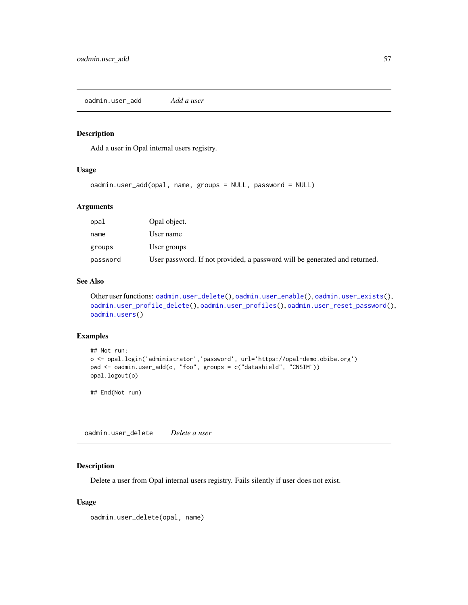<span id="page-56-0"></span>oadmin.user\_add *Add a user*

### Description

Add a user in Opal internal users registry.

## Usage

```
oadmin.user_add(opal, name, groups = NULL, password = NULL)
```
# Arguments

| opal     | Opal object.                                                               |
|----------|----------------------------------------------------------------------------|
| name     | User name                                                                  |
| groups   | User groups                                                                |
| password | User password. If not provided, a password will be generated and returned. |

# See Also

```
Other user functions: oadmin.user_delete(), oadmin.user_enable(), oadmin.user_exists(),
oadmin.user_profile_delete(), oadmin.user_profiles(), oadmin.user_reset_password(),
oadmin.users()
```
# Examples

```
## Not run:
o <- opal.login('administrator','password', url='https://opal-demo.obiba.org')
pwd <- oadmin.user_add(o, "foo", groups = c("datashield", "CNSIM"))
opal.logout(o)
```
## End(Not run)

<span id="page-56-1"></span>oadmin.user\_delete *Delete a user*

### Description

Delete a user from Opal internal users registry. Fails silently if user does not exist.

#### Usage

```
oadmin.user_delete(opal, name)
```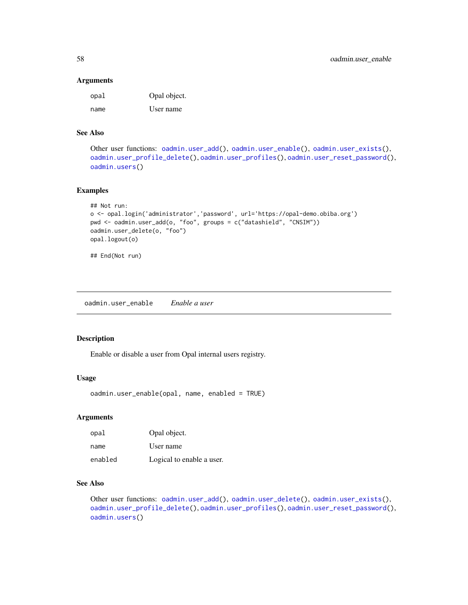#### Arguments

| opal | Opal object. |
|------|--------------|
| name | User name    |

## See Also

```
Other user functions: oadmin.user_add(), oadmin.user_enable(), oadmin.user_exists(),
oadmin.user_profile_delete(), oadmin.user_profiles(), oadmin.user_reset_password(),
oadmin.users()
```
# Examples

```
## Not run:
o <- opal.login('administrator','password', url='https://opal-demo.obiba.org')
pwd <- oadmin.user_add(o, "foo", groups = c("datashield", "CNSIM"))
oadmin.user_delete(o, "foo")
opal.logout(o)
## End(Not run)
```
<span id="page-57-0"></span>oadmin.user\_enable *Enable a user*

### Description

Enable or disable a user from Opal internal users registry.

# Usage

oadmin.user\_enable(opal, name, enabled = TRUE)

#### Arguments

| opal    | Opal object.              |
|---------|---------------------------|
| name    | User name                 |
| enabled | Logical to enable a user. |

# See Also

Other user functions: [oadmin.user\\_add\(](#page-56-0)), [oadmin.user\\_delete\(](#page-56-1)), [oadmin.user\\_exists\(](#page-58-0)), [oadmin.user\\_profile\\_delete\(](#page-59-0)), [oadmin.user\\_profiles\(](#page-59-1)), [oadmin.user\\_reset\\_password\(](#page-60-0)), [oadmin.users\(](#page-55-0))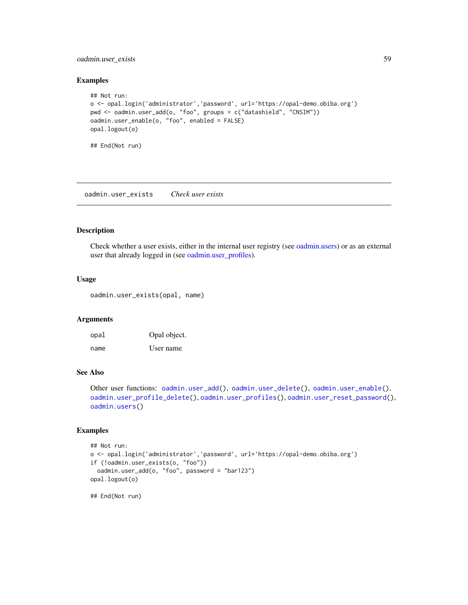# oadmin.user\_exists 59

#### Examples

```
## Not run:
o <- opal.login('administrator','password', url='https://opal-demo.obiba.org')
pwd <- oadmin.user_add(o, "foo", groups = c("datashield", "CNSIM"))
oadmin.user_enable(o, "foo", enabled = FALSE)
opal.logout(o)
```
## End(Not run)

<span id="page-58-0"></span>oadmin.user\_exists *Check user exists*

# Description

Check whether a user exists, either in the internal user registry (see [oadmin.users\)](#page-55-0) or as an external user that already logged in (see [oadmin.user\\_profiles\)](#page-59-1).

#### Usage

oadmin.user\_exists(opal, name)

# Arguments

| opal | Opal object. |
|------|--------------|
| name | User name    |

### See Also

Other user functions: [oadmin.user\\_add\(](#page-56-0)), [oadmin.user\\_delete\(](#page-56-1)), [oadmin.user\\_enable\(](#page-57-0)), [oadmin.user\\_profile\\_delete\(](#page-59-0)), [oadmin.user\\_profiles\(](#page-59-1)), [oadmin.user\\_reset\\_password\(](#page-60-0)), [oadmin.users\(](#page-55-0))

## Examples

```
## Not run:
o <- opal.login('administrator','password', url='https://opal-demo.obiba.org')
if (!oadmin.user_exists(o, "foo"))
 oadmin.user_add(o, "foo", password = "bar123")
opal.logout(o)
```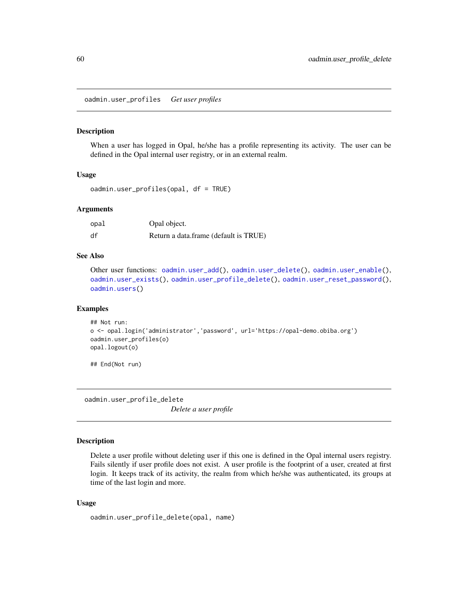<span id="page-59-1"></span>oadmin.user\_profiles *Get user profiles*

#### Description

When a user has logged in Opal, he/she has a profile representing its activity. The user can be defined in the Opal internal user registry, or in an external realm.

#### Usage

```
oadmin.user_profiles(opal, df = TRUE)
```
### **Arguments**

| opal | Opal object.                          |
|------|---------------------------------------|
| df   | Return a data.frame (default is TRUE) |

### See Also

```
Other user functions: oadmin.user_add(), oadmin.user_delete(), oadmin.user_enable(),
oadmin.user_exists(), oadmin.user_profile_delete(), oadmin.user_reset_password(),
oadmin.users()
```
#### Examples

```
## Not run:
o <- opal.login('administrator','password', url='https://opal-demo.obiba.org')
oadmin.user_profiles(o)
opal.logout(o)
```
## End(Not run)

<span id="page-59-0"></span>oadmin.user\_profile\_delete

*Delete a user profile*

## Description

Delete a user profile without deleting user if this one is defined in the Opal internal users registry. Fails silently if user profile does not exist. A user profile is the footprint of a user, created at first login. It keeps track of its activity, the realm from which he/she was authenticated, its groups at time of the last login and more.

### Usage

```
oadmin.user_profile_delete(opal, name)
```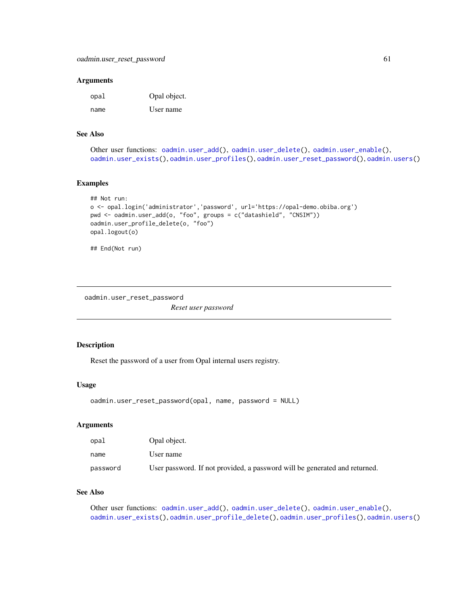#### **Arguments**

| opal | Opal object. |
|------|--------------|
| name | User name    |

# See Also

```
Other user functions: oadmin.user_add(), oadmin.user_delete(), oadmin.user_enable(),
oadmin.user_exists(), oadmin.user_profiles(), oadmin.user_reset_password(), oadmin.users()
```
#### Examples

```
## Not run:
o <- opal.login('administrator','password', url='https://opal-demo.obiba.org')
pwd <- oadmin.user_add(o, "foo", groups = c("datashield", "CNSIM"))
oadmin.user_profile_delete(o, "foo")
opal.logout(o)
```

```
## End(Not run)
```
<span id="page-60-0"></span>oadmin.user\_reset\_password

*Reset user password*

### Description

Reset the password of a user from Opal internal users registry.

#### Usage

```
oadmin.user_reset_password(opal, name, password = NULL)
```
# Arguments

| opal     | Opal object.                                                               |
|----------|----------------------------------------------------------------------------|
| name     | User name                                                                  |
| password | User password. If not provided, a password will be generated and returned. |

# See Also

Other user functions: [oadmin.user\\_add\(](#page-56-0)), [oadmin.user\\_delete\(](#page-56-1)), [oadmin.user\\_enable\(](#page-57-0)), [oadmin.user\\_exists\(](#page-58-0)), [oadmin.user\\_profile\\_delete\(](#page-59-0)), [oadmin.user\\_profiles\(](#page-59-1)), [oadmin.users\(](#page-55-0))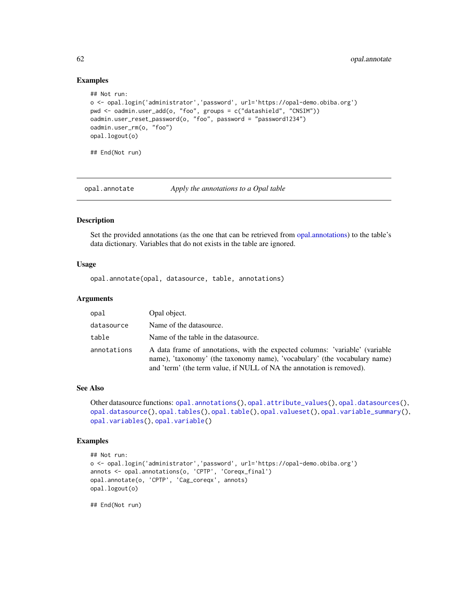### Examples

```
## Not run:
o <- opal.login('administrator','password', url='https://opal-demo.obiba.org')
pwd <- oadmin.user_add(o, "foo", groups = c("datashield", "CNSIM"))
oadmin.user_reset_password(o, "foo", password = "password1234")
oadmin.user_rm(o, "foo")
opal.logout(o)
## End(Not run)
```
<span id="page-61-0"></span>opal.annotate *Apply the annotations to a Opal table*

### Description

Set the provided annotations (as the one that can be retrieved from [opal.annotations\)](#page-62-0) to the table's data dictionary. Variables that do not exists in the table are ignored.

### Usage

opal.annotate(opal, datasource, table, annotations)

## Arguments

| opal        | Opal object.                                                                                                                                                                                                                       |
|-------------|------------------------------------------------------------------------------------------------------------------------------------------------------------------------------------------------------------------------------------|
| datasource  | Name of the datasource.                                                                                                                                                                                                            |
| table       | Name of the table in the datasource.                                                                                                                                                                                               |
| annotations | A data frame of annotations, with the expected columns: 'variable' (variable<br>name), 'taxonomy' (the taxonomy name), 'vocabulary' (the vocabulary name)<br>and 'term' (the term value, if NULL of NA the annotation is removed). |

# See Also

```
Other datasource functions: opal.annotations(), opal.attribute_values(), opal.datasources(),
opal.datasource(), opal.tables(), opal.table(), opal.valueset(), opal.variable_summary(),
opal.variables(), opal.variable()
```
# Examples

```
## Not run:
o <- opal.login('administrator','password', url='https://opal-demo.obiba.org')
annots <- opal.annotations(o, 'CPTP', 'Coreqx_final')
opal.annotate(o, 'CPTP', 'Cag_coreqx', annots)
opal.logout(o)
```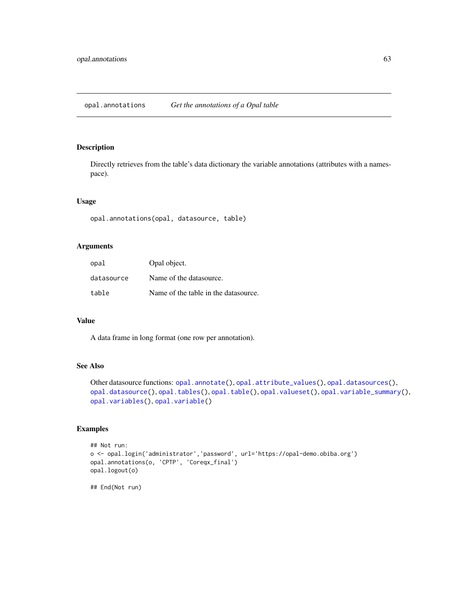# <span id="page-62-0"></span>Description

Directly retrieves from the table's data dictionary the variable annotations (attributes with a namespace).

# Usage

```
opal.annotations(opal, datasource, table)
```
### Arguments

| opal       | Opal object.                         |
|------------|--------------------------------------|
| datasource | Name of the datasource.              |
| table      | Name of the table in the datasource. |

### Value

A data frame in long format (one row per annotation).

### See Also

```
Other datasource functions: opal.annotate(), opal.attribute_values(), opal.datasources(),
opal.datasource(), opal.tables(), opal.table(), opal.valueset(), opal.variable_summary(),
opal.variables(), opal.variable()
```
# Examples

```
## Not run:
o <- opal.login('administrator','password', url='https://opal-demo.obiba.org')
opal.annotations(o, 'CPTP', 'Coreqx_final')
opal.logout(o)
```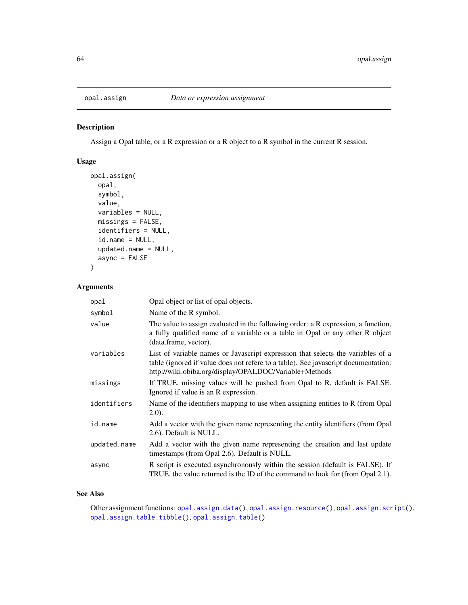<span id="page-63-0"></span>

### Description

Assign a Opal table, or a R expression or a R object to a R symbol in the current R session.

# Usage

```
opal.assign(
  opal,
  symbol,
 value,
 variables = NULL,
 missings = FALSE,
  identifiers = NULL,
  id.name = NULL,updated.name = NULL,
  async = FALSE
)
```
# Arguments

| opal         | Opal object or list of opal objects.                                                                                                                                                                                            |
|--------------|---------------------------------------------------------------------------------------------------------------------------------------------------------------------------------------------------------------------------------|
| symbol       | Name of the R symbol.                                                                                                                                                                                                           |
| value        | The value to assign evaluated in the following order: a R expression, a function,<br>a fully qualified name of a variable or a table in Opal or any other R object<br>(data.frame, vector).                                     |
| variables    | List of variable names or Javascript expression that selects the variables of a<br>table (ignored if value does not refere to a table). See javascript documentation:<br>http://wiki.obiba.org/display/OPALDOC/Variable+Methods |
| missings     | If TRUE, missing values will be pushed from Opal to R, default is FALSE.<br>Ignored if value is an R expression.                                                                                                                |
| identifiers  | Name of the identifiers mapping to use when assigning entities to R (from Opal<br>(2.0).                                                                                                                                        |
| id.name      | Add a vector with the given name representing the entity identifiers (from Opal<br>2.6). Default is NULL.                                                                                                                       |
| updated.name | Add a vector with the given name representing the creation and last update<br>timestamps (from Opal 2.6). Default is NULL.                                                                                                      |
| async        | R script is executed asynchronously within the session (default is FALSE). If<br>TRUE, the value returned is the ID of the command to look for (from Opal 2.1).                                                                 |

# See Also

Other assignment functions: [opal.assign.data\(](#page-64-0)), [opal.assign.resource\(](#page-65-0)), [opal.assign.script\(](#page-66-0)), [opal.assign.table.tibble\(](#page-68-0)), [opal.assign.table\(](#page-66-1))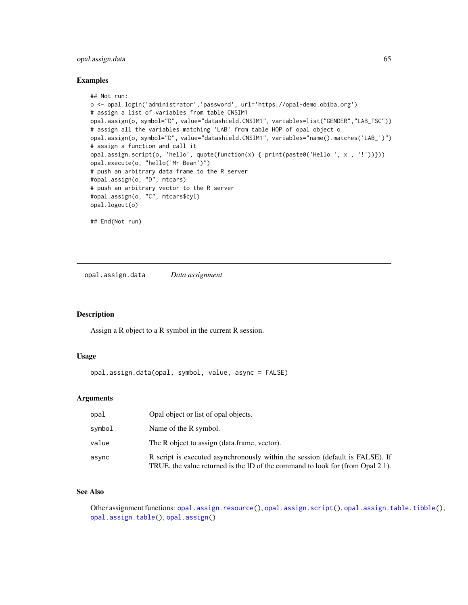# opal.assign.data 65

#### Examples

```
## Not run:
o <- opal.login('administrator','password', url='https://opal-demo.obiba.org')
# assign a list of variables from table CNSIM1
opal.assign(o, symbol="D", value="datashield.CNSIM1", variables=list("GENDER","LAB_TSC"))
# assign all the variables matching 'LAB' from table HOP of opal object o
opal.assign(o, symbol="D", value="datashield.CNSIM1", variables="name().matches('LAB_')")
# assign a function and call it
opal.assign.script(o, 'hello', quote(function(x) { print(paste0('Hello ', x , '!'))}))
opal.execute(o, "hello('Mr Bean')")
# push an arbitrary data frame to the R server
#opal.assign(o, "D", mtcars)
# push an arbitrary vector to the R server
#opal.assign(o, "C", mtcars$cyl)
opal.logout(o)
## End(Not run)
```
<span id="page-64-0"></span>opal.assign.data *Data assignment*

# Description

Assign a R object to a R symbol in the current R session.

### Usage

opal.assign.data(opal, symbol, value, async = FALSE)

#### Arguments

| opal   | Opal object or list of opal objects.                                                                                                                            |
|--------|-----------------------------------------------------------------------------------------------------------------------------------------------------------------|
| symbol | Name of the R symbol.                                                                                                                                           |
| value  | The R object to assign (data frame, vector).                                                                                                                    |
| async  | R script is executed asynchronously within the session (default is FALSE). If<br>TRUE, the value returned is the ID of the command to look for (from Opal 2.1). |

### See Also

Other assignment functions: [opal.assign.resource\(](#page-65-0)), [opal.assign.script\(](#page-66-0)), [opal.assign.table.tibble\(](#page-68-0)), [opal.assign.table\(](#page-66-1)), [opal.assign\(](#page-63-0))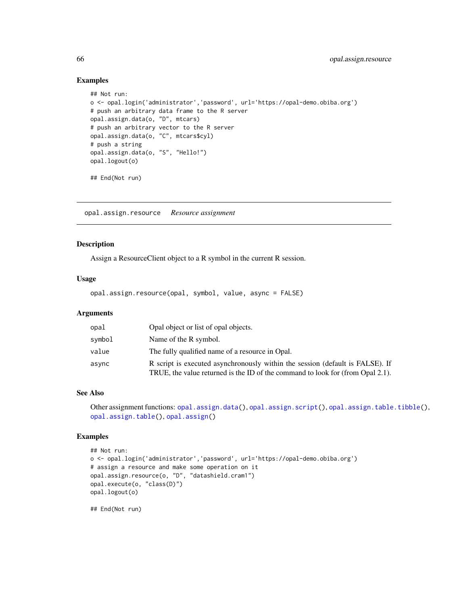### Examples

```
## Not run:
o <- opal.login('administrator','password', url='https://opal-demo.obiba.org')
# push an arbitrary data frame to the R server
opal.assign.data(o, "D", mtcars)
# push an arbitrary vector to the R server
opal.assign.data(o, "C", mtcars$cyl)
# push a string
opal.assign.data(o, "S", "Hello!")
opal.logout(o)
## End(Not run)
```
<span id="page-65-0"></span>opal.assign.resource *Resource assignment*

# Description

Assign a ResourceClient object to a R symbol in the current R session.

### Usage

opal.assign.resource(opal, symbol, value, async = FALSE)

### Arguments

| opal   | Opal object or list of opal objects.                                                                                                                            |
|--------|-----------------------------------------------------------------------------------------------------------------------------------------------------------------|
| symbol | Name of the R symbol.                                                                                                                                           |
| value  | The fully qualified name of a resource in Opal.                                                                                                                 |
| async  | R script is executed asynchronously within the session (default is FALSE). If<br>TRUE, the value returned is the ID of the command to look for (from Opal 2.1). |

## See Also

```
opal.assign.data(opal.assign.script(opal.assign.table.tibble(),
opal.assign.table(), opal.assign()
```
# Examples

```
## Not run:
o <- opal.login('administrator','password', url='https://opal-demo.obiba.org')
# assign a resource and make some operation on it
opal.assign.resource(o, "D", "datashield.cram1")
opal.execute(o, "class(D)")
opal.logout(o)
```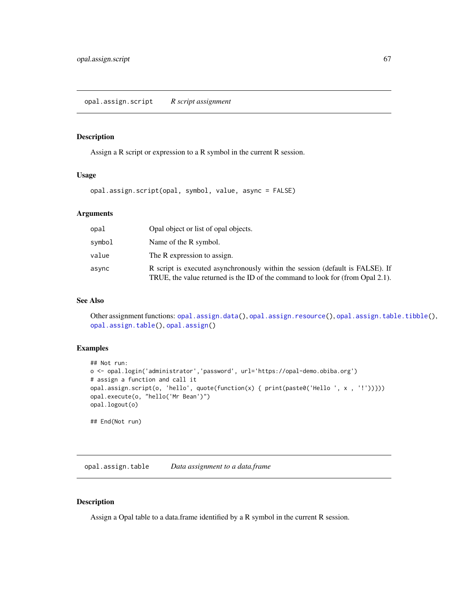### <span id="page-66-0"></span>Description

Assign a R script or expression to a R symbol in the current R session.

### Usage

opal.assign.script(opal, symbol, value, async = FALSE)

# Arguments

| opal   | Opal object or list of opal objects.                                                                                                                            |
|--------|-----------------------------------------------------------------------------------------------------------------------------------------------------------------|
| symbol | Name of the R symbol.                                                                                                                                           |
| value  | The R expression to assign.                                                                                                                                     |
| async  | R script is executed asynchronously within the session (default is FALSE). If<br>TRUE, the value returned is the ID of the command to look for (from Opal 2.1). |

### See Also

Other assignment functions: [opal.assign.data\(](#page-64-0)), [opal.assign.resource\(](#page-65-0)), [opal.assign.table.tibble\(](#page-68-0)), [opal.assign.table\(](#page-66-1)), [opal.assign\(](#page-63-0))

# Examples

```
## Not run:
o <- opal.login('administrator','password', url='https://opal-demo.obiba.org')
# assign a function and call it
opal.assign.script(o, 'hello', quote(function(x) { print(paste0('Hello ', x , '!'))}))
opal.execute(o, "hello('Mr Bean')")
opal.logout(o)
## End(Not run)
```
<span id="page-66-1"></span>opal.assign.table *Data assignment to a data.frame*

#### Description

Assign a Opal table to a data.frame identified by a R symbol in the current R session.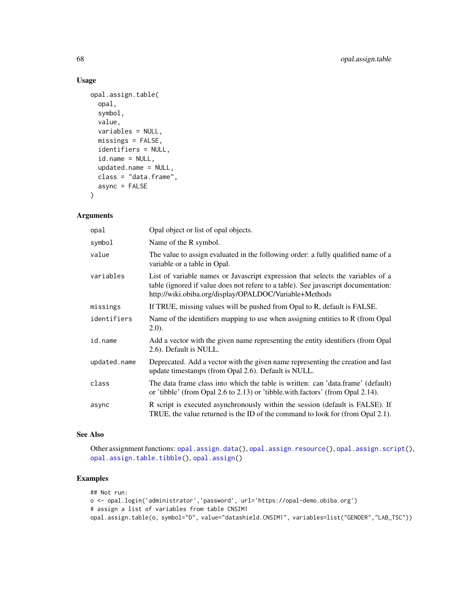# Usage

```
opal.assign.table(
 opal,
  symbol,
 value,
 variables = NULL,
 missings = FALSE,
  identifiers = NULL,
  id.name = NULL,updated.name = NULL,
  class = "data.frame",
  async = FALSE
\mathcal{L}
```
### Arguments

| opal         | Opal object or list of opal objects.                                                                                                                                                                                            |
|--------------|---------------------------------------------------------------------------------------------------------------------------------------------------------------------------------------------------------------------------------|
| symbol       | Name of the R symbol.                                                                                                                                                                                                           |
| value        | The value to assign evaluated in the following order: a fully qualified name of a<br>variable or a table in Opal.                                                                                                               |
| variables    | List of variable names or Javascript expression that selects the variables of a<br>table (ignored if value does not refere to a table). See javascript documentation:<br>http://wiki.obiba.org/display/OPALDOC/Variable+Methods |
| missings     | If TRUE, missing values will be pushed from Opal to R, default is FALSE.                                                                                                                                                        |
| identifiers  | Name of the identifiers mapping to use when assigning entities to R (from Opal<br>(2.0).                                                                                                                                        |
| id.name      | Add a vector with the given name representing the entity identifiers (from Opal<br>2.6). Default is NULL.                                                                                                                       |
| updated.name | Deprecated. Add a vector with the given name representing the creation and last<br>update timestamps (from Opal 2.6). Default is NULL.                                                                                          |
| class        | The data frame class into which the table is written: can 'data.frame' (default)<br>or 'tibble' (from Opal 2.6 to 2.13) or 'tibble.with.factors' (from Opal 2.14).                                                              |
| async        | R script is executed asynchronously within the session (default is FALSE). If<br>TRUE, the value returned is the ID of the command to look for (from Opal 2.1).                                                                 |

# See Also

Other assignment functions: [opal.assign.data\(](#page-64-0)), [opal.assign.resource\(](#page-65-0)), [opal.assign.script\(](#page-66-0)), [opal.assign.table.tibble\(](#page-68-0)), [opal.assign\(](#page-63-0))

# Examples

```
## Not run:
o <- opal.login('administrator','password', url='https://opal-demo.obiba.org')
# assign a list of variables from table CNSIM1
opal.assign.table(o, symbol="D", value="datashield.CNSIM1", variables=list("GENDER","LAB_TSC"))
```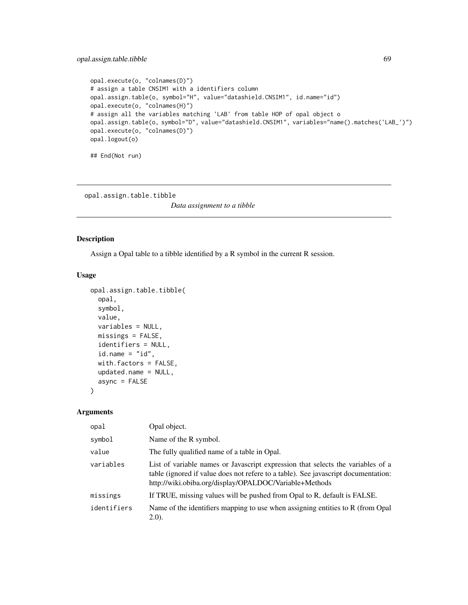```
opal.execute(o, "colnames(D)")
# assign a table CNSIM1 with a identifiers column
opal.assign.table(o, symbol="H", value="datashield.CNSIM1", id.name="id")
opal.execute(o, "colnames(H)")
# assign all the variables matching 'LAB' from table HOP of opal object o
opal.assign.table(o, symbol="D", value="datashield.CNSIM1", variables="name().matches('LAB_')")
opal.execute(o, "colnames(D)")
opal.logout(o)
## End(Not run)
```
<span id="page-68-0"></span>opal.assign.table.tibble

*Data assignment to a tibble*

# Description

Assign a Opal table to a tibble identified by a R symbol in the current R session.

#### Usage

```
opal.assign.table.tibble(
  opal,
  symbol,
  value,
  variables = NULL,
  missings = FALSE,
  identifiers = NULL,
  id.name = "id",with.factors = FALSE,
  updated.name = NULL,
  async = FALSE)
```
# Arguments

| opal        | Opal object.                                                                                                                                                                                                                    |  |
|-------------|---------------------------------------------------------------------------------------------------------------------------------------------------------------------------------------------------------------------------------|--|
| symbol      | Name of the R symbol.                                                                                                                                                                                                           |  |
| value       | The fully qualified name of a table in Opal.                                                                                                                                                                                    |  |
| variables   | List of variable names or Javascript expression that selects the variables of a<br>table (ignored if value does not refere to a table). See javascript documentation:<br>http://wiki.obiba.org/display/OPALDOC/Variable+Methods |  |
| missings    | If TRUE, missing values will be pushed from Opal to R, default is FALSE.                                                                                                                                                        |  |
| identifiers | Name of the identifiers mapping to use when assigning entities to R (from Opal<br>(2.0).                                                                                                                                        |  |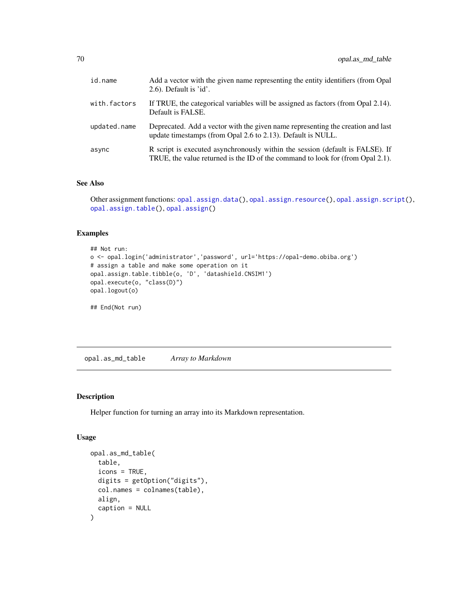| id.name      | Add a vector with the given name representing the entity identifiers (from Opal<br>$2.6$ ). Default is 'id'.                                                    |
|--------------|-----------------------------------------------------------------------------------------------------------------------------------------------------------------|
| with.factors | If TRUE, the categorical variables will be assigned as factors (from Opal 2.14).<br>Default is FALSE.                                                           |
| updated.name | Deprecated. Add a vector with the given name representing the creation and last<br>update timestamps (from Opal 2.6 to 2.13). Default is NULL.                  |
| async        | R script is executed asynchronously within the session (default is FALSE). If<br>TRUE, the value returned is the ID of the command to look for (from Opal 2.1). |

# See Also

Other assignment functions: [opal.assign.data\(](#page-64-0)), [opal.assign.resource\(](#page-65-0)), [opal.assign.script\(](#page-66-0)), [opal.assign.table\(](#page-66-1)), [opal.assign\(](#page-63-0))

# Examples

```
## Not run:
o <- opal.login('administrator','password', url='https://opal-demo.obiba.org')
# assign a table and make some operation on it
opal.assign.table.tibble(o, 'D', 'datashield.CNSIM1')
opal.execute(o, "class(D)")
opal.logout(o)
## End(Not run)
```
opal.as\_md\_table *Array to Markdown*

#### Description

Helper function for turning an array into its Markdown representation.

# Usage

```
opal.as_md_table(
  table,
  icons = TRUE,
  digits = getOption("digits"),
  col.names = colnames(table),
  align,
  caption = NULL
)
```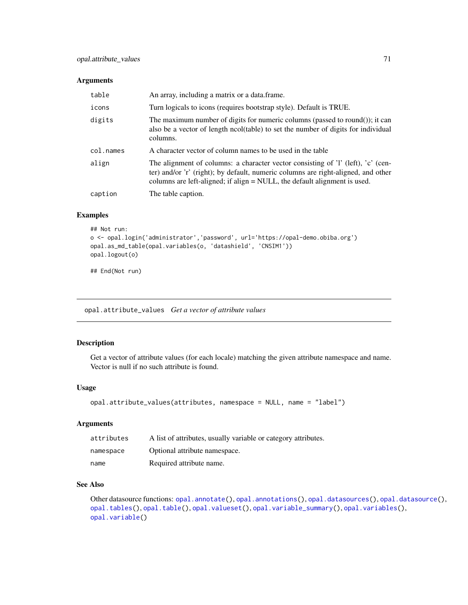### Arguments

| table     | An array, including a matrix or a data frame.                                                                                                                                                                                                      |
|-----------|----------------------------------------------------------------------------------------------------------------------------------------------------------------------------------------------------------------------------------------------------|
| icons     | Turn logicals to icons (requires bootstrap style). Default is TRUE.                                                                                                                                                                                |
| digits    | The maximum number of digits for numeric columns (passed to round()); it can<br>also be a vector of length ncol(table) to set the number of digits for individual<br>columns.                                                                      |
| col.names | A character vector of column names to be used in the table                                                                                                                                                                                         |
| align     | The alignment of columns: a character vector consisting of 'l' (left), 'c' (cen-<br>ter) and/or 'r' (right); by default, numeric columns are right-aligned, and other<br>columns are left-aligned; if align = NULL, the default alignment is used. |
| caption   | The table caption.                                                                                                                                                                                                                                 |

# Examples

```
## Not run:
o <- opal.login('administrator','password', url='https://opal-demo.obiba.org')
opal.as_md_table(opal.variables(o, 'datashield', 'CNSIM1'))
opal.logout(o)
```
## End(Not run)

<span id="page-70-0"></span>opal.attribute\_values *Get a vector of attribute values*

# Description

Get a vector of attribute values (for each locale) matching the given attribute namespace and name. Vector is null if no such attribute is found.

# Usage

```
opal.attribute_values(attributes, namespace = NULL, name = "label")
```
# Arguments

| attributes | A list of attributes, usually variable or category attributes. |
|------------|----------------------------------------------------------------|
| namespace  | Optional attribute namespace.                                  |
| name       | Required attribute name.                                       |

### See Also

Other datasource functions: [opal.annotate\(](#page-61-0)), [opal.annotations\(](#page-62-0)), [opal.datasources\(](#page-75-0)), [opal.datasource\(](#page-74-0)), [opal.tables\(](#page-125-0)), [opal.table\(](#page-124-0)), [opal.valueset\(](#page-155-0)), [opal.variable\\_summary\(](#page-157-0)), [opal.variables\(](#page-156-0)), [opal.variable\(](#page-156-1))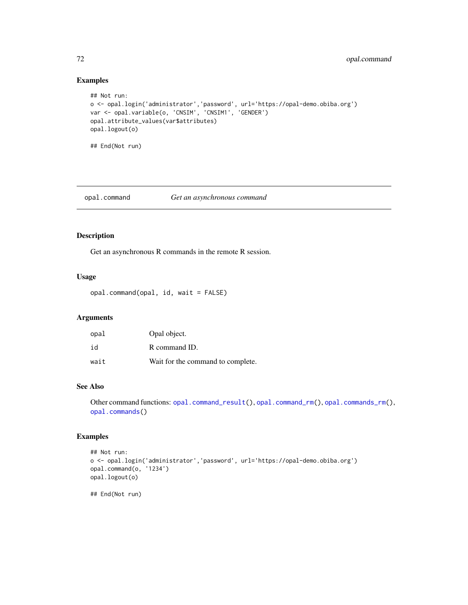# Examples

```
## Not run:
o <- opal.login('administrator','password', url='https://opal-demo.obiba.org')
var <- opal.variable(o, 'CNSIM', 'CNSIM1', 'GENDER')
opal.attribute_values(var$attributes)
opal.logout(o)
## End(Not run)
```
opal.command *Get an asynchronous command*

# Description

Get an asynchronous R commands in the remote R session.

# Usage

opal.command(opal, id, wait = FALSE)

# Arguments

| opal | Opal object.                      |
|------|-----------------------------------|
| id   | R command ID.                     |
| wait | Wait for the command to complete. |

# See Also

Other command functions: [opal.command\\_result\(](#page-73-0)), [opal.command\\_rm\(](#page-74-1)), [opal.commands\\_rm\(](#page-72-0)), [opal.commands\(](#page-72-1))

# Examples

```
## Not run:
o <- opal.login('administrator','password', url='https://opal-demo.obiba.org')
opal.command(o, '1234')
opal.logout(o)
```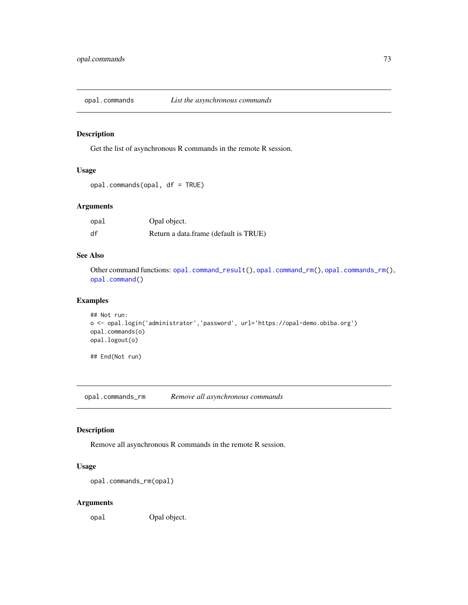<span id="page-72-1"></span>

# Description

Get the list of asynchronous R commands in the remote R session.

### Usage

```
opal.commands(opal, df = TRUE)
```
### Arguments

| opal | Opal object.                          |
|------|---------------------------------------|
| df   | Return a data.frame (default is TRUE) |

### See Also

Other command functions: [opal.command\\_result\(](#page-73-0)), [opal.command\\_rm\(](#page-74-0)), [opal.commands\\_rm\(](#page-72-0)), [opal.command\(](#page-71-0))

# Examples

```
## Not run:
o <- opal.login('administrator','password', url='https://opal-demo.obiba.org')
opal.commands(o)
opal.logout(o)
## End(Not run)
```
<span id="page-72-0"></span>opal.commands\_rm *Remove all asynchronous commands*

### Description

Remove all asynchronous R commands in the remote R session.

# Usage

```
opal.commands_rm(opal)
```
#### Arguments

opal Opal object.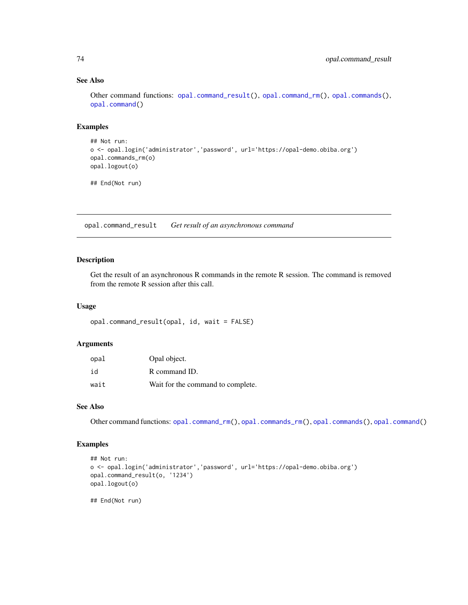### See Also

Other command functions: [opal.command\\_result\(](#page-73-0)), [opal.command\\_rm\(](#page-74-0)), [opal.commands\(](#page-72-1)), [opal.command\(](#page-71-0))

# Examples

```
## Not run:
o <- opal.login('administrator','password', url='https://opal-demo.obiba.org')
opal.commands_rm(o)
opal.logout(o)
```
## End(Not run)

<span id="page-73-0"></span>opal.command\_result *Get result of an asynchronous command*

# Description

Get the result of an asynchronous R commands in the remote R session. The command is removed from the remote R session after this call.

### Usage

```
opal.command_result(opal, id, wait = FALSE)
```
#### Arguments

| opal | Opal object.                      |
|------|-----------------------------------|
| id   | R command ID.                     |
| wait | Wait for the command to complete. |

### See Also

Other command functions: [opal.command\\_rm\(](#page-74-0)), [opal.commands\\_rm\(](#page-72-0)), [opal.commands\(](#page-72-1)), [opal.command\(](#page-71-0))

### Examples

```
## Not run:
o <- opal.login('administrator','password', url='https://opal-demo.obiba.org')
opal.command_result(o, '1234')
opal.logout(o)
```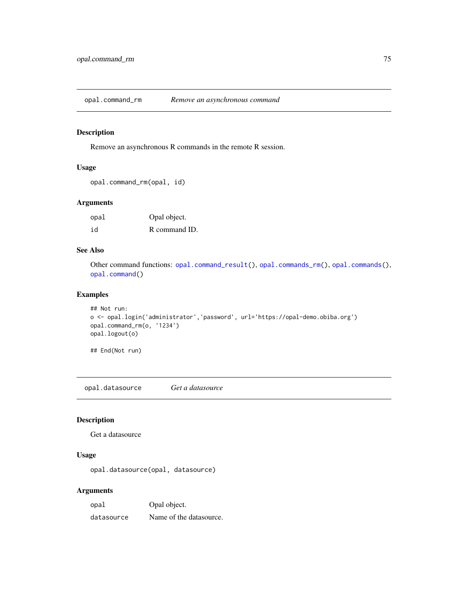<span id="page-74-0"></span>opal.command\_rm *Remove an asynchronous command*

# Description

Remove an asynchronous R commands in the remote R session.

# Usage

```
opal.command_rm(opal, id)
```
### Arguments

| opal | Opal object.  |
|------|---------------|
| id   | R command ID. |

### See Also

Other command functions: [opal.command\\_result\(](#page-73-0)), [opal.commands\\_rm\(](#page-72-0)), [opal.commands\(](#page-72-1)), [opal.command\(](#page-71-0))

### Examples

```
## Not run:
o <- opal.login('administrator','password', url='https://opal-demo.obiba.org')
opal.command_rm(o, '1234')
opal.logout(o)
```
## End(Not run)

<span id="page-74-1"></span>opal.datasource *Get a datasource*

# Description

Get a datasource

# Usage

opal.datasource(opal, datasource)

### Arguments

| opal       | Opal object.            |
|------------|-------------------------|
| datasource | Name of the datasource. |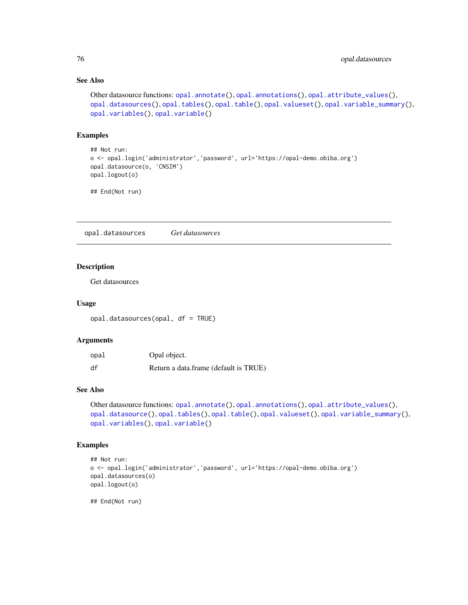### See Also

```
Other datasource functions: opal.annotate(), opal.annotations(), opal.attribute_values(),
opal.datasources(), opal.tables(), opal.table(), opal.valueset(), opal.variable_summary(),
opal.variables(), opal.variable()
```
### Examples

```
## Not run:
o <- opal.login('administrator','password', url='https://opal-demo.obiba.org')
opal.datasource(o, 'CNSIM')
opal.logout(o)
```
## End(Not run)

<span id="page-75-0"></span>opal.datasources *Get datasources*

# Description

Get datasources

### Usage

opal.datasources(opal, df = TRUE)

### Arguments

| opal | Opal object.                          |
|------|---------------------------------------|
| df   | Return a data.frame (default is TRUE) |

# See Also

```
Other datasource functions: opal.annotate(), opal.annotations(), opal.attribute_values(),
opal.datasource(), opal.tables(), opal.table(), opal.valueset(), opal.variable_summary(),
opal.variables(), opal.variable()
```
# Examples

```
## Not run:
o <- opal.login('administrator','password', url='https://opal-demo.obiba.org')
opal.datasources(o)
opal.logout(o)
```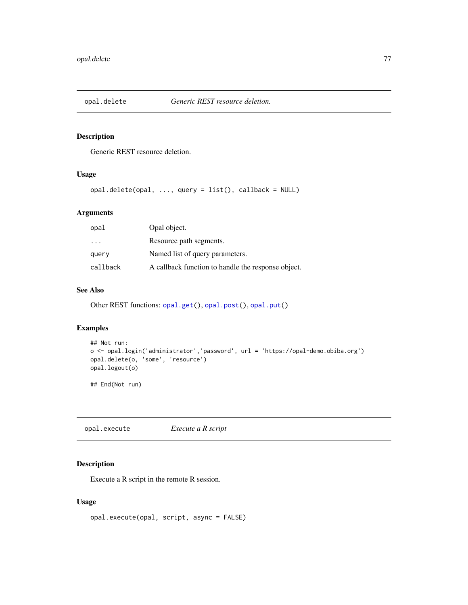<span id="page-76-1"></span>

### Description

Generic REST resource deletion.

# Usage

opal.delete(opal, ..., query = list(), callback = NULL)

# Arguments

| Opal object.                                       |
|----------------------------------------------------|
| Resource path segments.                            |
| Named list of query parameters.                    |
| A callback function to handle the response object. |
|                                                    |

# See Also

Other REST functions: [opal.get\(](#page-88-0)), [opal.post\(](#page-92-0)), [opal.put\(](#page-103-0))

# Examples

```
## Not run:
o <- opal.login('administrator','password', url = 'https://opal-demo.obiba.org')
opal.delete(o, 'some', 'resource')
opal.logout(o)
```
## End(Not run)

<span id="page-76-0"></span>opal.execute *Execute a R script*

### Description

Execute a R script in the remote R session.

### Usage

```
opal.execute(opal, script, async = FALSE)
```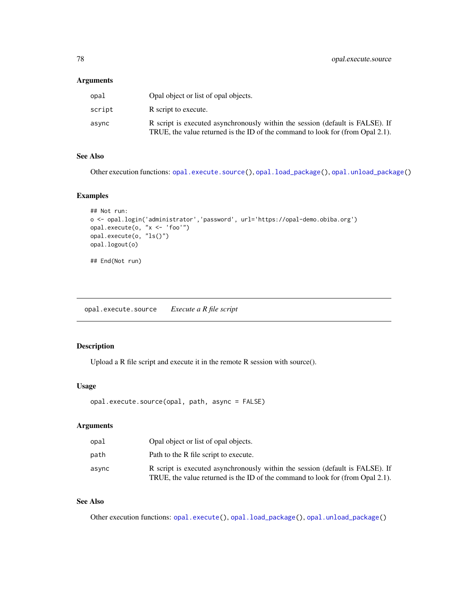# Arguments

| opal   | Opal object or list of opal objects.                                                                                                                            |
|--------|-----------------------------------------------------------------------------------------------------------------------------------------------------------------|
| script | R script to execute.                                                                                                                                            |
| async  | R script is executed asynchronously within the session (default is FALSE). If<br>TRUE, the value returned is the ID of the command to look for (from Opal 2.1). |

# See Also

Other execution functions: [opal.execute.source\(](#page-77-0)), [opal.load\\_package\(](#page-89-0)), [opal.unload\\_package\(](#page-154-0))

# Examples

```
## Not run:
o <- opal.login('administrator','password', url='https://opal-demo.obiba.org')
opal.execute(o, "x <- 'foo'")
opal.execute(o, "ls()")
opal.logout(o)
## End(Not run)
```
<span id="page-77-0"></span>opal.execute.source *Execute a R file script*

# Description

Upload a R file script and execute it in the remote R session with source().

# Usage

```
opal.execute.source(opal, path, async = FALSE)
```
# Arguments

| opal  | Opal object or list of opal objects.                                                                                                                            |
|-------|-----------------------------------------------------------------------------------------------------------------------------------------------------------------|
| path  | Path to the R file script to execute.                                                                                                                           |
| async | R script is executed asynchronously within the session (default is FALSE). If<br>TRUE, the value returned is the ID of the command to look for (from Opal 2.1). |

### See Also

Other execution functions: [opal.execute\(](#page-76-0)), [opal.load\\_package\(](#page-89-0)), [opal.unload\\_package\(](#page-154-0))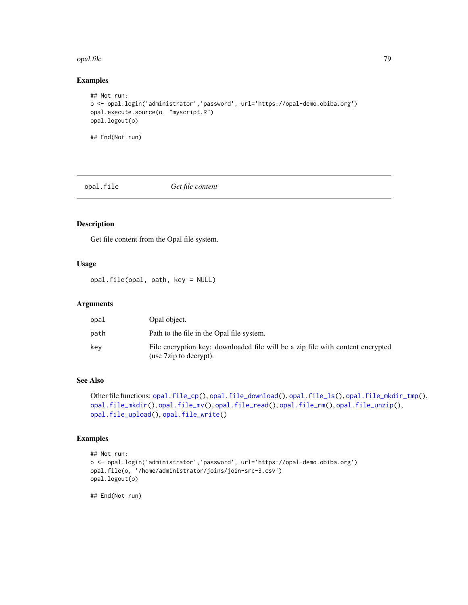#### opal.file 79

# Examples

```
## Not run:
o <- opal.login('administrator','password', url='https://opal-demo.obiba.org')
opal.execute.source(o, "myscript.R")
opal.logout(o)
## End(Not run)
```
<span id="page-78-0"></span>opal.file *Get file content*

# Description

Get file content from the Opal file system.

### Usage

opal.file(opal, path, key = NULL)

### Arguments

| opal | Opal object.                                                                                             |
|------|----------------------------------------------------------------------------------------------------------|
| path | Path to the file in the Opal file system.                                                                |
| kev  | File encryption key: downloaded file will be a zip file with content encrypted<br>(use 7zip to decrypt). |

### See Also

```
Other file functions: opal.file_cp(), opal.file_download(), opal.file_ls(), opal.file_mkdir_tmp(),
opal.file_mkdir(), opal.file_mv(), opal.file_read(), opal.file_rm(), opal.file_unzip(),
opal.file_upload(), opal.file_write()
```
### Examples

```
## Not run:
o <- opal.login('administrator','password', url='https://opal-demo.obiba.org')
opal.file(o, '/home/administrator/joins/join-src-3.csv')
opal.logout(o)
```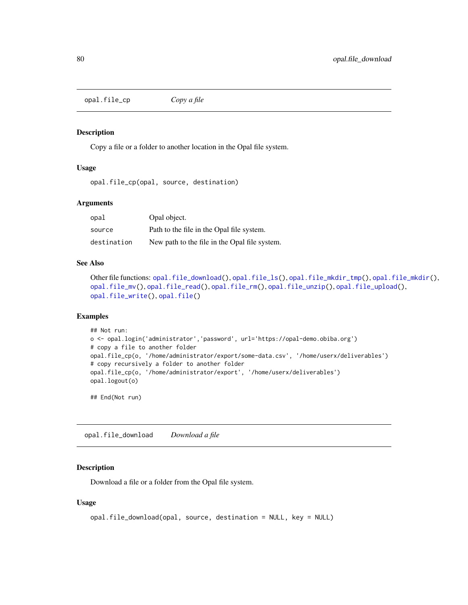<span id="page-79-0"></span>opal.file\_cp *Copy a file*

#### Description

Copy a file or a folder to another location in the Opal file system.

# Usage

opal.file\_cp(opal, source, destination)

#### Arguments

| opal        | Opal object.                                  |
|-------------|-----------------------------------------------|
| source      | Path to the file in the Opal file system.     |
| destination | New path to the file in the Opal file system. |

### See Also

```
Other file functions: opal.file_download(), opal.file_ls(), opal.file_mkdir_tmp(), opal.file_mkdir(),
opal.file_mv(), opal.file_read(), opal.file_rm(), opal.file_unzip(), opal.file_upload(),
opal.file_write(), opal.file()
```
### Examples

```
## Not run:
o <- opal.login('administrator','password', url='https://opal-demo.obiba.org')
# copy a file to another folder
opal.file_cp(o, '/home/administrator/export/some-data.csv', '/home/userx/deliverables')
# copy recursively a folder to another folder
opal.file_cp(o, '/home/administrator/export', '/home/userx/deliverables')
opal.logout(o)
```
## End(Not run)

<span id="page-79-1"></span>opal.file\_download *Download a file*

### Description

Download a file or a folder from the Opal file system.

### Usage

```
opal.file_download(opal, source, destination = NULL, key = NULL)
```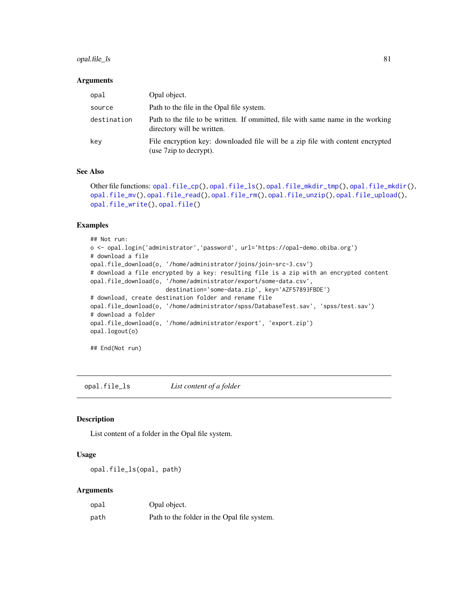# opal.file\_ls 81

#### **Arguments**

| opal        | Opal object.                                                                                                  |
|-------------|---------------------------------------------------------------------------------------------------------------|
| source      | Path to the file in the Opal file system.                                                                     |
| destination | Path to the file to be written. If ommitted, file with same name in the working<br>directory will be written. |
| kev         | File encryption key: downloaded file will be a zip file with content encrypted<br>(use 7zip to decrypt).      |

# See Also

```
Other file functions: opal.file_cp(), opal.file_ls(), opal.file_mkdir_tmp(), opal.file_mkdir(),
opal.file_mv(), opal.file_read(), opal.file_rm(), opal.file_unzip(), opal.file_upload(),
opal.file_write(), opal.file()
```
### Examples

```
## Not run:
o <- opal.login('administrator','password', url='https://opal-demo.obiba.org')
# download a file
opal.file_download(o, '/home/administrator/joins/join-src-3.csv')
# download a file encrypted by a key: resulting file is a zip with an encrypted content
opal.file_download(o, '/home/administrator/export/some-data.csv',
                      destination='some-data.zip', key='AZF57893FBDE')
# download, create destination folder and rename file
opal.file_download(o, '/home/administrator/spss/DatabaseTest.sav', 'spss/test.sav')
# download a folder
opal.file_download(o, '/home/administrator/export', 'export.zip')
opal.logout(o)
## End(Not run)
```
<span id="page-80-0"></span>opal.file\_ls *List content of a folder*

### Description

List content of a folder in the Opal file system.

### Usage

```
opal.file_ls(opal, path)
```
#### Arguments

| opal | Opal object.                                |
|------|---------------------------------------------|
| path | Path to the folder in the Opal file system. |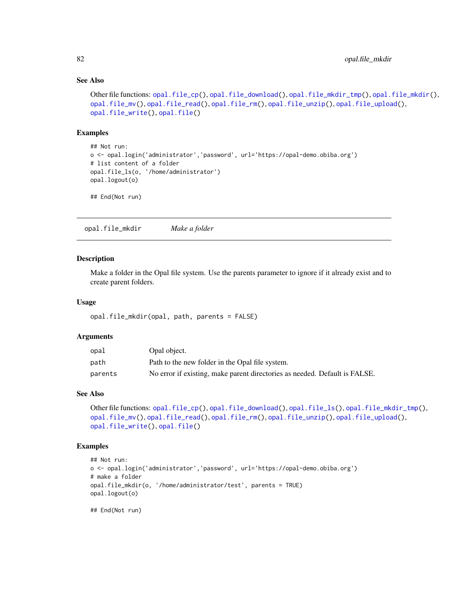# See Also

```
Other file functions: opal.file_cp(), opal.file_download(), opal.file_mkdir_tmp(), opal.file_mkdir(),
opal.file_mv(), opal.file_read(), opal.file_rm(), opal.file_unzip(), opal.file_upload(),
opal.file_write(), opal.file()
```
#### Examples

```
## Not run:
o <- opal.login('administrator','password', url='https://opal-demo.obiba.org')
# list content of a folder
opal.file_ls(o, '/home/administrator')
opal.logout(o)
```
## End(Not run)

<span id="page-81-0"></span>opal.file\_mkdir *Make a folder*

### Description

Make a folder in the Opal file system. Use the parents parameter to ignore if it already exist and to create parent folders.

### Usage

```
opal.file_mkdir(opal, path, parents = FALSE)
```
### **Arguments**

| opal    | Opal object.                                                               |
|---------|----------------------------------------------------------------------------|
| path    | Path to the new folder in the Opal file system.                            |
| parents | No error if existing, make parent directories as needed. Default is FALSE. |

### See Also

```
Other file functions: opal.file_cp(), opal.file_download(), opal.file_ls(), opal.file_mkdir_tmp(),
opal.file_mv(), opal.file_read(), opal.file_rm(), opal.file_unzip(), opal.file_upload(),
opal.file_write(), opal.file()
```
### Examples

```
## Not run:
o <- opal.login('administrator','password', url='https://opal-demo.obiba.org')
# make a folder
opal.file_mkdir(o, '/home/administrator/test', parents = TRUE)
opal.logout(o)
```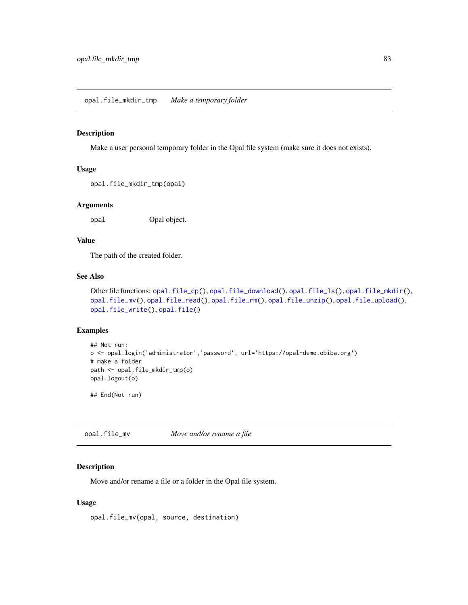<span id="page-82-0"></span>opal.file\_mkdir\_tmp *Make a temporary folder*

### Description

Make a user personal temporary folder in the Opal file system (make sure it does not exists).

#### Usage

```
opal.file_mkdir_tmp(opal)
```
#### Arguments

opal Opal object.

# Value

The path of the created folder.

### See Also

```
Other file functions: opal.file_cp(), opal.file_download(), opal.file_ls(), opal.file_mkdir(),
opal.file_mv(), opal.file_read(), opal.file_rm(), opal.file_unzip(), opal.file_upload(),
opal.file_write(), opal.file()
```
#### Examples

```
## Not run:
o <- opal.login('administrator','password', url='https://opal-demo.obiba.org')
# make a folder
path <- opal.file_mkdir_tmp(o)
opal.logout(o)
```
## End(Not run)

<span id="page-82-1"></span>opal.file\_mv *Move and/or rename a file*

# Description

Move and/or rename a file or a folder in the Opal file system.

### Usage

opal.file\_mv(opal, source, destination)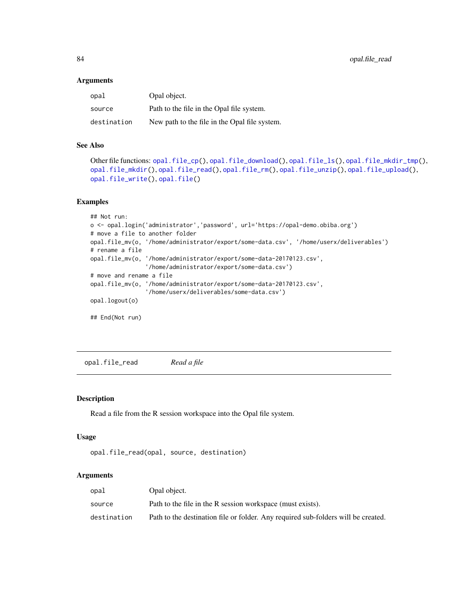#### **Arguments**

| opal        | Opal object.                                  |
|-------------|-----------------------------------------------|
| source      | Path to the file in the Opal file system.     |
| destination | New path to the file in the Opal file system. |

### See Also

```
Other file functions: opal.file_cp(), opal.file_download(), opal.file_ls(), opal.file_mkdir_tmp(),
opal.file_mkdir(), opal.file_read(), opal.file_rm(), opal.file_unzip(), opal.file_upload(),
opal.file_write(), opal.file()
```
### Examples

```
## Not run:
o <- opal.login('administrator','password', url='https://opal-demo.obiba.org')
# move a file to another folder
opal.file_mv(o, '/home/administrator/export/some-data.csv', '/home/userx/deliverables')
# rename a file
opal.file_mv(o, '/home/administrator/export/some-data-20170123.csv',
                '/home/administrator/export/some-data.csv')
# move and rename a file
opal.file_mv(o, '/home/administrator/export/some-data-20170123.csv',
                '/home/userx/deliverables/some-data.csv')
opal.logout(o)
## End(Not run)
```
<span id="page-83-0"></span>opal.file\_read *Read a file*

### Description

Read a file from the R session workspace into the Opal file system.

### Usage

```
opal.file_read(opal, source, destination)
```
### Arguments

| opal        | Opal object.                                                                      |
|-------------|-----------------------------------------------------------------------------------|
| source      | Path to the file in the R session workspace (must exists).                        |
| destination | Path to the destination file or folder. Any required sub-folders will be created. |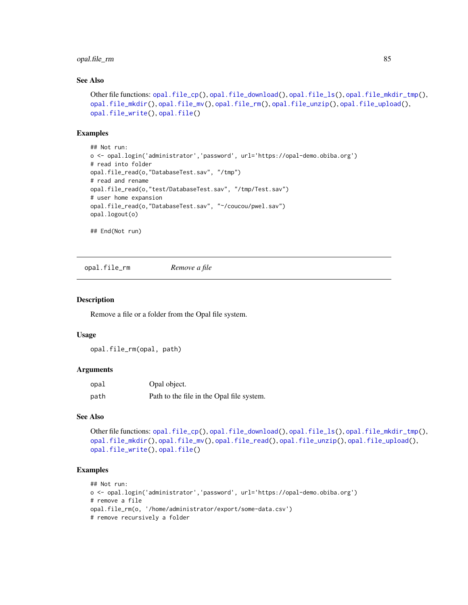# opal.file\_rm 85

# See Also

```
Other file functions: opal.file_cp(), opal.file_download(), opal.file_ls(), opal.file_mkdir_tmp(),
opal.file_mkdir(), opal.file_mv(), opal.file_rm(), opal.file_unzip(), opal.file_upload(),
opal.file_write(), opal.file()
```
### Examples

```
## Not run:
o <- opal.login('administrator','password', url='https://opal-demo.obiba.org')
# read into folder
opal.file_read(o,"DatabaseTest.sav", "/tmp")
# read and rename
opal.file_read(o,"test/DatabaseTest.sav", "/tmp/Test.sav")
# user home expansion
opal.file_read(o,"DatabaseTest.sav", "~/coucou/pwel.sav")
opal.logout(o)
## End(Not run)
```
<span id="page-84-0"></span>opal.file\_rm *Remove a file*

#### Description

Remove a file or a folder from the Opal file system.

### Usage

opal.file\_rm(opal, path)

### Arguments

| opal | Opal object.                              |
|------|-------------------------------------------|
| path | Path to the file in the Opal file system. |

#### See Also

```
Other file functions: opal.file_cp(), opal.file_download(), opal.file_ls(), opal.file_mkdir_tmp(),
opal.file_mkdir(), opal.file_mv(), opal.file_read(), opal.file_unzip(), opal.file_upload(),
opal.file_write(), opal.file()
```
# Examples

```
## Not run:
o <- opal.login('administrator','password', url='https://opal-demo.obiba.org')
# remove a file
opal.file_rm(o, '/home/administrator/export/some-data.csv')
# remove recursively a folder
```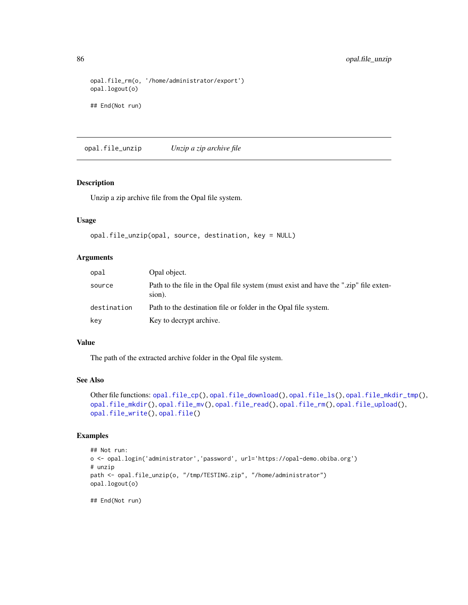```
opal.file_rm(o, '/home/administrator/export')
opal.logout(o)
## End(Not run)
```
<span id="page-85-0"></span>opal.file\_unzip *Unzip a zip archive file*

### Description

Unzip a zip archive file from the Opal file system.

### Usage

```
opal.file_unzip(opal, source, destination, key = NULL)
```
### Arguments

| opal        | Opal object.                                                                                   |
|-------------|------------------------------------------------------------------------------------------------|
| source      | Path to the file in the Opal file system (must exist and have the ".zip" file exten-<br>sion). |
| destination | Path to the destination file or folder in the Opal file system.                                |
| key         | Key to decrypt archive.                                                                        |

### Value

The path of the extracted archive folder in the Opal file system.

### See Also

```
Other file functions: opal.file_cp(), opal.file_download(), opal.file_ls(), opal.file_mkdir_tmp(),
opal.file_mkdir(), opal.file_mv(), opal.file_read(), opal.file_rm(), opal.file_upload(),
opal.file_write(), opal.file()
```
### Examples

```
## Not run:
o <- opal.login('administrator','password', url='https://opal-demo.obiba.org')
# unzip
path <- opal.file_unzip(o, "/tmp/TESTING.zip", "/home/administrator")
opal.logout(o)
```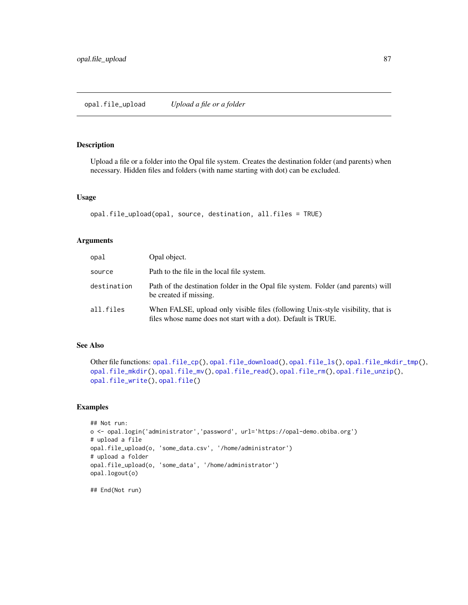<span id="page-86-0"></span>opal.file\_upload *Upload a file or a folder*

#### Description

Upload a file or a folder into the Opal file system. Creates the destination folder (and parents) when necessary. Hidden files and folders (with name starting with dot) can be excluded.

#### Usage

```
opal.file_upload(opal, source, destination, all.files = TRUE)
```
# Arguments

| opal        | Opal object.                                                                                                                                     |
|-------------|--------------------------------------------------------------------------------------------------------------------------------------------------|
| source      | Path to the file in the local file system.                                                                                                       |
| destination | Path of the destination folder in the Opal file system. Folder (and parents) will<br>be created if missing.                                      |
| all.files   | When FALSE, upload only visible files (following Unix-style visibility, that is<br>files whose name does not start with a dot). Default is TRUE. |

### See Also

```
Other file functions: opal.file_cp(), opal.file_download(), opal.file_ls(), opal.file_mkdir_tmp(),
opal.file_mkdir(), opal.file_mv(), opal.file_read(), opal.file_rm(), opal.file_unzip(),
opal.file_write(), opal.file()
```
### Examples

```
## Not run:
o <- opal.login('administrator','password', url='https://opal-demo.obiba.org')
# upload a file
opal.file_upload(o, 'some_data.csv', '/home/administrator')
# upload a folder
opal.file_upload(o, 'some_data', '/home/administrator')
opal.logout(o)
```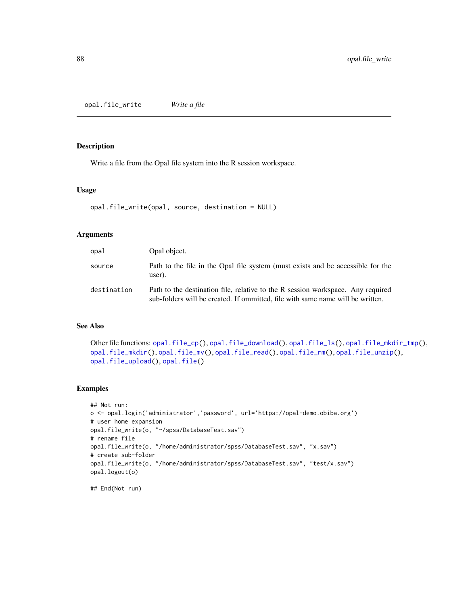<span id="page-87-0"></span>opal.file\_write *Write a file*

# Description

Write a file from the Opal file system into the R session workspace.

### Usage

```
opal.file_write(opal, source, destination = NULL)
```
### Arguments

| opal        | Opal object.                                                                                                                                                      |
|-------------|-------------------------------------------------------------------------------------------------------------------------------------------------------------------|
| source      | Path to the file in the Opal file system (must exists and be accessible for the<br>user).                                                                         |
| destination | Path to the destination file, relative to the R session workspace. Any required<br>sub-folders will be created. If ommitted, file with same name will be written. |

# See Also

```
Other file functions: opal.file_cp(), opal.file_download(), opal.file_ls(), opal.file_mkdir_tmp(),
opal.file_mkdir(), opal.file_mv(), opal.file_read(), opal.file_rm(), opal.file_unzip(),
opal.file_upload(), opal.file()
```
### Examples

```
## Not run:
o <- opal.login('administrator','password', url='https://opal-demo.obiba.org')
# user home expansion
opal.file_write(o, "~/spss/DatabaseTest.sav")
# rename file
opal.file_write(o, "/home/administrator/spss/DatabaseTest.sav", "x.sav")
# create sub-folder
opal.file_write(o, "/home/administrator/spss/DatabaseTest.sav", "test/x.sav")
opal.logout(o)
```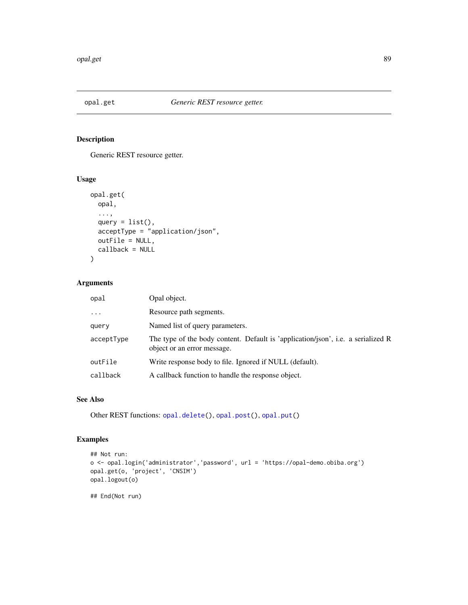<span id="page-88-0"></span>

# Description

Generic REST resource getter.

### Usage

```
opal.get(
 opal,
  ...,
 query = list(),
 acceptType = "application/json",
 outFile = NULL,
 callback = NULL
)
```
# Arguments

| opal       | Opal object.                                                                                                    |
|------------|-----------------------------------------------------------------------------------------------------------------|
| $\cdot$    | Resource path segments.                                                                                         |
| query      | Named list of query parameters.                                                                                 |
| acceptType | The type of the body content. Default is 'application/json', i.e. a serialized R<br>object or an error message. |
| outFile    | Write response body to file. Ignored if NULL (default).                                                         |
| callback   | A callback function to handle the response object.                                                              |

### See Also

Other REST functions: [opal.delete\(](#page-76-1)), [opal.post\(](#page-92-0)), [opal.put\(](#page-103-0))

# Examples

```
## Not run:
o <- opal.login('administrator','password', url = 'https://opal-demo.obiba.org')
opal.get(o, 'project', 'CNSIM')
opal.logout(o)
## End(Not run)
```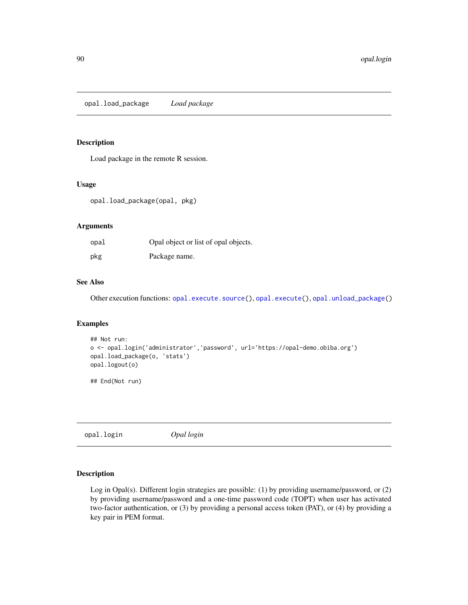<span id="page-89-0"></span>opal.load\_package *Load package*

# Description

Load package in the remote R session.

### Usage

opal.load\_package(opal, pkg)

### Arguments

| opal | Opal object or list of opal objects. |
|------|--------------------------------------|
| pkg  | Package name.                        |

# See Also

Other execution functions: [opal.execute.source\(](#page-77-0)), [opal.execute\(](#page-76-0)), [opal.unload\\_package\(](#page-154-0))

### Examples

```
## Not run:
o <- opal.login('administrator','password', url='https://opal-demo.obiba.org')
opal.load_package(o, 'stats')
opal.logout(o)
```
## End(Not run)

<span id="page-89-1"></span>opal.login *Opal login*

#### Description

Log in Opal(s). Different login strategies are possible: (1) by providing username/password, or (2) by providing username/password and a one-time password code (TOPT) when user has activated two-factor authentication, or (3) by providing a personal access token (PAT), or (4) by providing a key pair in PEM format.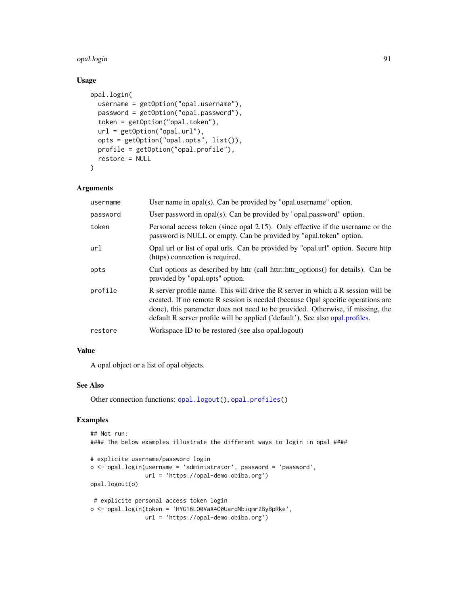#### opal.login 91

### Usage

```
opal.login(
 username = getOption("opal.username"),
 password = getOption("opal.password"),
  token = getOption("opal.token"),
 url = getOption("opal.url"),
 opts = getOption("opal.opts", list()),
 profile = getOption("opal.profile"),
 restore = NULL
)
```
### Arguments

| username | User name in $\text{opal}(s)$ . Can be provided by "opal.username" option.                                                                                                                                                                                                                                                             |
|----------|----------------------------------------------------------------------------------------------------------------------------------------------------------------------------------------------------------------------------------------------------------------------------------------------------------------------------------------|
| password | User password in opal(s). Can be provided by "opal.password" option.                                                                                                                                                                                                                                                                   |
| token    | Personal access token (since opal 2.15). Only effective if the username or the<br>password is NULL or empty. Can be provided by "opal.token" option.                                                                                                                                                                                   |
| url      | Opal url or list of opal urls. Can be provided by "opal.url" option. Secure http<br>(https) connection is required.                                                                                                                                                                                                                    |
| opts     | Curl options as described by httr (call httr::httr_options() for details). Can be<br>provided by "opal.opts" option.                                                                                                                                                                                                                   |
| profile  | R server profile name. This will drive the R server in which a R session will be<br>created. If no remote R session is needed (because Opal specific operations are<br>done), this parameter does not need to be provided. Otherwise, if missing, the<br>default R server profile will be applied ('default'). See also opal.profiles. |
| restore  | Workspace ID to be restored (see also opal.logout)                                                                                                                                                                                                                                                                                     |

#### Value

A opal object or a list of opal objects.

### See Also

Other connection functions: [opal.logout\(](#page-91-0)), [opal.profiles\(](#page-93-0))

# Examples

```
## Not run:
#### The below examples illustrate the different ways to login in opal ####
# explicite username/password login
o <- opal.login(username = 'administrator', password = 'password',
                url = 'https://opal-demo.obiba.org')
opal.logout(o)
# explicite personal access token login
o <- opal.login(token = 'HYG16LO0VaX4O0UardNbiqmr2ByBpRke',
               url = 'https://opal-demo.obiba.org')
```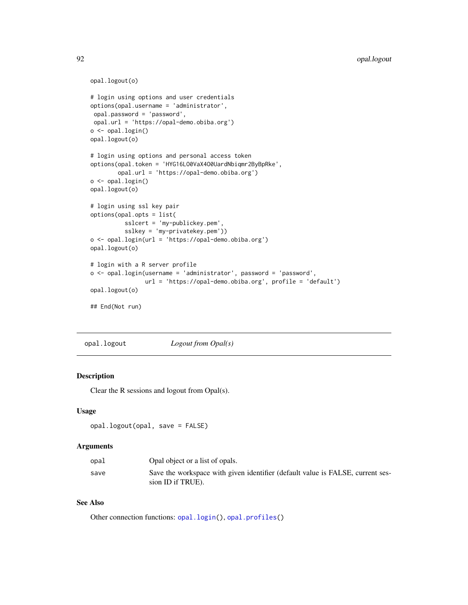```
opal.logout(o)
# login using options and user credentials
options(opal.username = 'administrator',
opal.password = 'password',
opal.url = 'https://opal-demo.obiba.org')
o <- opal.login()
opal.logout(o)
# login using options and personal access token
options(opal.token = 'HYG16LO0VaX4O0UardNbiqmr2ByBpRke',
       opal.url = 'https://opal-demo.obiba.org')
o <- opal.login()
opal.logout(o)
# login using ssl key pair
options(opal.opts = list(
         sslcert = 'my-publickey.pem',
          sslkey = 'my-privatekey.pem'))
o <- opal.login(url = 'https://opal-demo.obiba.org')
opal.logout(o)
# login with a R server profile
o <- opal.login(username = 'administrator', password = 'password',
               url = 'https://opal-demo.obiba.org', profile = 'default')
opal.logout(o)
## End(Not run)
```
<span id="page-91-0"></span>opal.logout *Logout from Opal(s)*

### Description

Clear the R sessions and logout from Opal(s).

#### Usage

```
opal.logout(opal, save = FALSE)
```
### Arguments

| opal | Opal object or a list of opals.                                                                     |
|------|-----------------------------------------------------------------------------------------------------|
| save | Save the workspace with given identifier (default value is FALSE, current ses-<br>sion ID if TRUE). |

# See Also

Other connection functions: [opal.login\(](#page-89-1)), [opal.profiles\(](#page-93-0))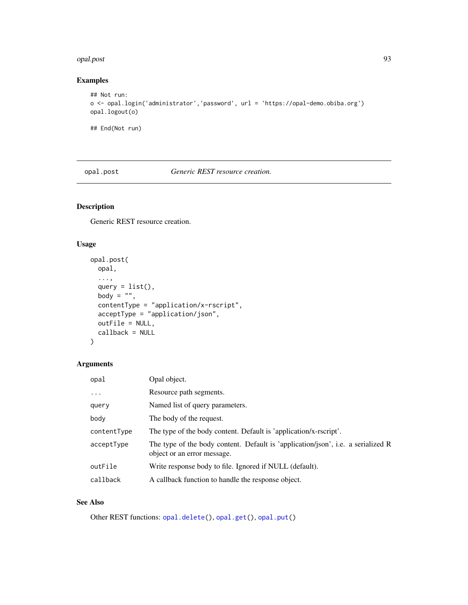#### opal.post 93

# Examples

```
## Not run:
o <- opal.login('administrator','password', url = 'https://opal-demo.obiba.org')
opal.logout(o)
```
## End(Not run)

<span id="page-92-0"></span>opal.post *Generic REST resource creation.*

# Description

Generic REST resource creation.

# Usage

```
opal.post(
 opal,
  ...,
 query = list(),
 body = ",
 contentType = "application/x-rscript",
  acceptType = "application/json",
 outFile = NULL,
 callback = NULL
\mathcal{L}
```
# Arguments

| opal        | Opal object.                                                                                                    |
|-------------|-----------------------------------------------------------------------------------------------------------------|
| $\ddots$    | Resource path segments.                                                                                         |
| query       | Named list of query parameters.                                                                                 |
| body        | The body of the request.                                                                                        |
| contentType | The type of the body content. Default is 'application/x-rscript'.                                               |
| acceptType  | The type of the body content. Default is 'application/json', i.e. a serialized R<br>object or an error message. |
| outFile     | Write response body to file. Ignored if NULL (default).                                                         |
| callback    | A callback function to handle the response object.                                                              |

# See Also

Other REST functions: [opal.delete\(](#page-76-1)), [opal.get\(](#page-88-0)), [opal.put\(](#page-103-0))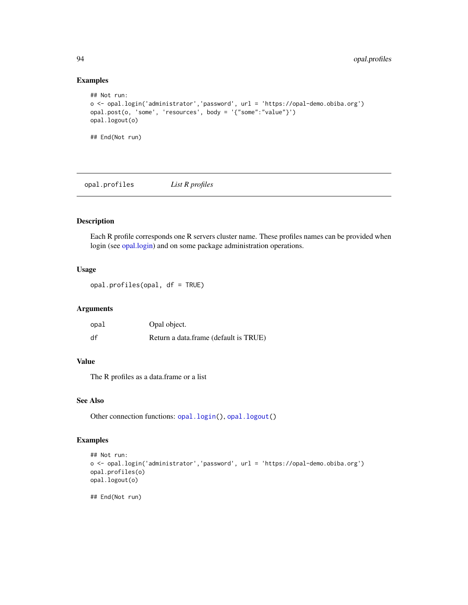# Examples

```
## Not run:
o <- opal.login('administrator','password', url = 'https://opal-demo.obiba.org')
opal.post(o, 'some', 'resources', body = '{"some":"value"}')
opal.logout(o)
## End(Not run)
```
<span id="page-93-0"></span>opal.profiles *List R profiles*

# Description

Each R profile corresponds one R servers cluster name. These profiles names can be provided when login (see [opal.login\)](#page-89-1) and on some package administration operations.

### Usage

opal.profiles(opal, df = TRUE)

### Arguments

| opal | Opal object.                          |
|------|---------------------------------------|
| df   | Return a data.frame (default is TRUE) |

### Value

The R profiles as a data.frame or a list

# See Also

Other connection functions: [opal.login\(](#page-89-1)), [opal.logout\(](#page-91-0))

### Examples

```
## Not run:
o <- opal.login('administrator','password', url = 'https://opal-demo.obiba.org')
opal.profiles(o)
opal.logout(o)
## End(Not run)
```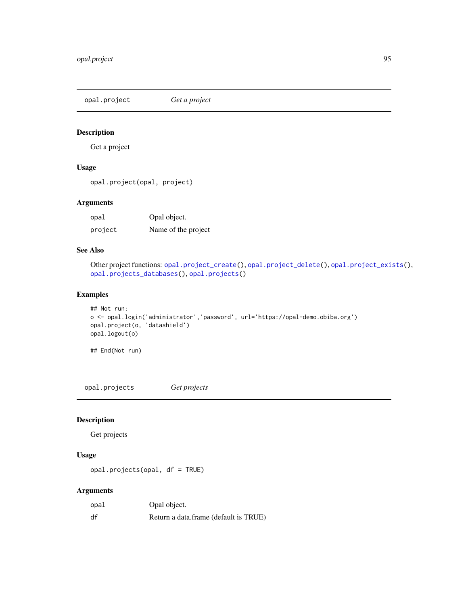<span id="page-94-1"></span>opal.project *Get a project*

# Description

Get a project

# Usage

```
opal.project(opal, project)
```
### Arguments

| opal    | Opal object.        |
|---------|---------------------|
| project | Name of the project |

# See Also

```
Other project functions: opal.project_create(), opal.project_delete(), opal.project_exists(),
opal.projects_databases(), opal.projects()
```
### Examples

```
## Not run:
o <- opal.login('administrator','password', url='https://opal-demo.obiba.org')
opal.project(o, 'datashield')
opal.logout(o)
```
## End(Not run)

<span id="page-94-0"></span>opal.projects *Get projects*

# Description

Get projects

# Usage

```
opal.projects(opal, df = TRUE)
```
# Arguments

| opal | Opal object.                          |
|------|---------------------------------------|
| df   | Return a data.frame (default is TRUE) |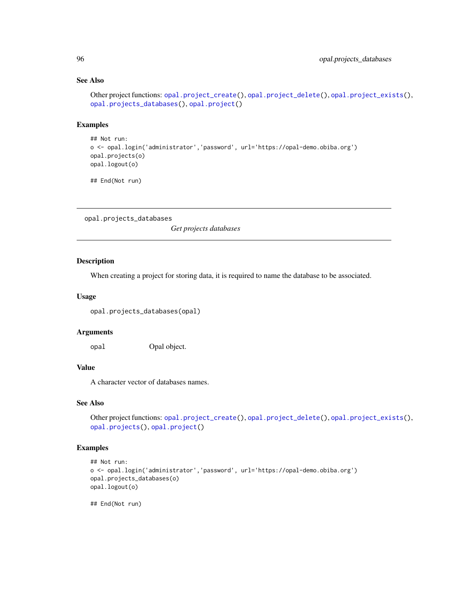# See Also

```
Other project functions: opal.project_create(), opal.project_delete(), opal.project_exists(),
opal.projects_databases(), opal.project()
```
### Examples

```
## Not run:
o <- opal.login('administrator','password', url='https://opal-demo.obiba.org')
opal.projects(o)
opal.logout(o)
```
## End(Not run)

<span id="page-95-0"></span>opal.projects\_databases

*Get projects databases*

# Description

When creating a project for storing data, it is required to name the database to be associated.

#### Usage

```
opal.projects_databases(opal)
```
#### Arguments

opal Opal object.

# Value

A character vector of databases names.

### See Also

```
Other project functions: opal.project_create(), opal.project_delete(), opal.project_exists(),
opal.projects(), opal.project()
```
### Examples

```
## Not run:
o <- opal.login('administrator','password', url='https://opal-demo.obiba.org')
opal.projects_databases(o)
opal.logout(o)
```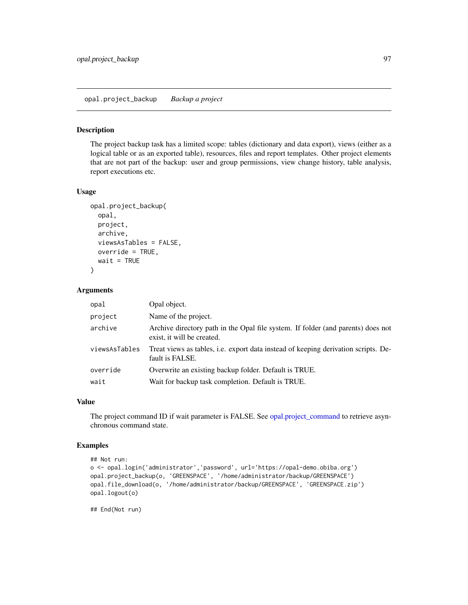opal.project\_backup *Backup a project*

# Description

The project backup task has a limited scope: tables (dictionary and data export), views (either as a logical table or as an exported table), resources, files and report templates. Other project elements that are not part of the backup: user and group permissions, view change history, table analysis, report executions etc.

#### Usage

```
opal.project_backup(
  opal,
 project,
  archive,
  viewsAsTables = FALSE,
  override = TRUE,wait = TRUE\lambda
```
### Arguments

| opal          | Opal object.                                                                                                   |
|---------------|----------------------------------------------------------------------------------------------------------------|
| project       | Name of the project.                                                                                           |
| archive       | Archive directory path in the Opal file system. If folder (and parents) does not<br>exist, it will be created. |
| viewsAsTables | Treat views as tables, <i>i.e.</i> export data instead of keeping derivation scripts. De-<br>fault is FALSE.   |
| override      | Overwrite an existing backup folder. Default is TRUE.                                                          |
| wait          | Wait for backup task completion. Default is TRUE.                                                              |

### Value

The project command ID if wait parameter is FALSE. See [opal.project\\_command](#page-97-1) to retrieve asynchronous command state.

### Examples

```
## Not run:
o <- opal.login('administrator','password', url='https://opal-demo.obiba.org')
opal.project_backup(o, 'GREENSPACE', '/home/administrator/backup/GREENSPACE')
opal.file_download(o, '/home/administrator/backup/GREENSPACE', 'GREENSPACE.zip')
opal.logout(o)
```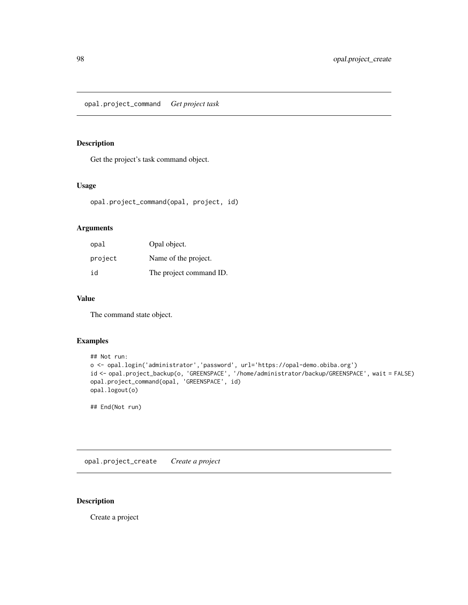<span id="page-97-1"></span>opal.project\_command *Get project task*

### Description

Get the project's task command object.

# Usage

opal.project\_command(opal, project, id)

### Arguments

| opal    | Opal object.            |
|---------|-------------------------|
| project | Name of the project.    |
| id      | The project command ID. |

# Value

The command state object.

# Examples

```
## Not run:
o <- opal.login('administrator','password', url='https://opal-demo.obiba.org')
id <- opal.project_backup(o, 'GREENSPACE', '/home/administrator/backup/GREENSPACE', wait = FALSE)
opal.project_command(opal, 'GREENSPACE', id)
opal.logout(o)
```
## End(Not run)

<span id="page-97-0"></span>opal.project\_create *Create a project*

# Description

Create a project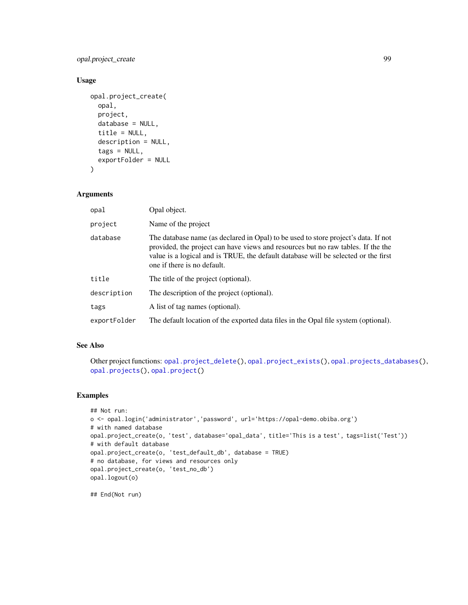opal.project\_create 99

### Usage

```
opal.project_create(
  opal,
  project,
  database = NULL,
  title = NULL,
  description = NULL,
  tags = NULL,exportFolder = NULL
\mathcal{L}
```

```
Arguments
```

| opal         | Opal object.                                                                                                                                                                                                                                                                                |
|--------------|---------------------------------------------------------------------------------------------------------------------------------------------------------------------------------------------------------------------------------------------------------------------------------------------|
| project      | Name of the project                                                                                                                                                                                                                                                                         |
| database     | The database name (as declared in Opal) to be used to store project's data. If not<br>provided, the project can have views and resources but no raw tables. If the the<br>value is a logical and is TRUE, the default database will be selected or the first<br>one if there is no default. |
| title        | The title of the project (optional).                                                                                                                                                                                                                                                        |
| description  | The description of the project (optional).                                                                                                                                                                                                                                                  |
| tags         | A list of tag names (optional).                                                                                                                                                                                                                                                             |
| exportFolder | The default location of the exported data files in the Opal file system (optional).                                                                                                                                                                                                         |

# See Also

```
Other project functions: opal.project_delete(), opal.project_exists(), opal.projects_databases(),
opal.projects(), opal.project()
```
# Examples

```
## Not run:
o <- opal.login('administrator','password', url='https://opal-demo.obiba.org')
# with named database
opal.project_create(o, 'test', database='opal_data', title='This is a test', tags=list('Test'))
# with default database
opal.project_create(o, 'test_default_db', database = TRUE)
# no database, for views and resources only
opal.project_create(o, 'test_no_db')
opal.logout(o)
```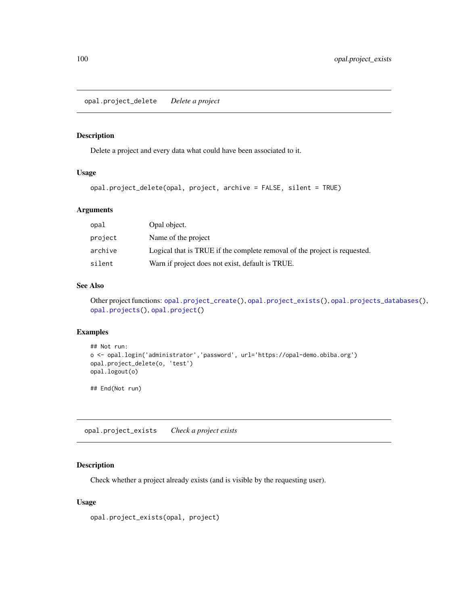<span id="page-99-0"></span>opal.project\_delete *Delete a project*

### Description

Delete a project and every data what could have been associated to it.

# Usage

```
opal.project_delete(opal, project, archive = FALSE, silent = TRUE)
```
# Arguments

| opal    | Opal object.                                                              |
|---------|---------------------------------------------------------------------------|
| project | Name of the project                                                       |
| archive | Logical that is TRUE if the complete removal of the project is requested. |
| silent  | Warn if project does not exist, default is TRUE.                          |

### See Also

Other project functions: [opal.project\\_create\(](#page-97-0)), [opal.project\\_exists\(](#page-99-1)), [opal.projects\\_databases\(](#page-95-0)), [opal.projects\(](#page-94-0)), [opal.project\(](#page-94-1))

### Examples

```
## Not run:
o <- opal.login('administrator','password', url='https://opal-demo.obiba.org')
opal.project_delete(o, 'test')
opal.logout(o)
## End(Not run)
```
<span id="page-99-1"></span>opal.project\_exists *Check a project exists*

### Description

Check whether a project already exists (and is visible by the requesting user).

### Usage

```
opal.project_exists(opal, project)
```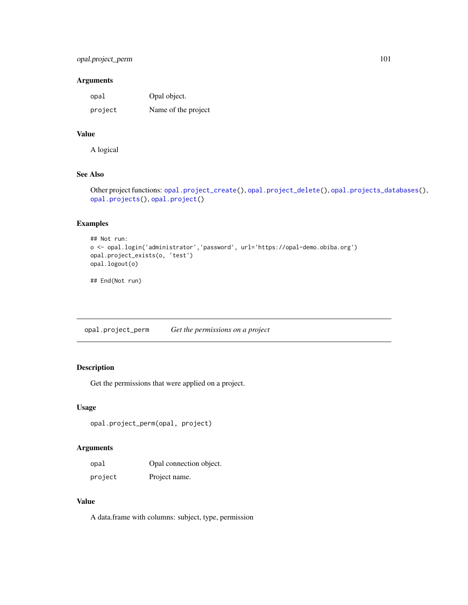# opal.project\_perm 101

### Arguments

| opal    | Opal object.        |
|---------|---------------------|
| project | Name of the project |

# Value

A logical

# See Also

```
Other project functions: opal.project_create(), opal.project_delete(), opal.projects_databases(),
opal.projects(), opal.project()
```
# Examples

```
## Not run:
o <- opal.login('administrator','password', url='https://opal-demo.obiba.org')
opal.project_exists(o, 'test')
opal.logout(o)
```
## End(Not run)

opal.project\_perm *Get the permissions on a project*

# Description

Get the permissions that were applied on a project.

### Usage

```
opal.project_perm(opal, project)
```
# Arguments

| opal    | Opal connection object. |
|---------|-------------------------|
| project | Project name.           |

### Value

A data.frame with columns: subject, type, permission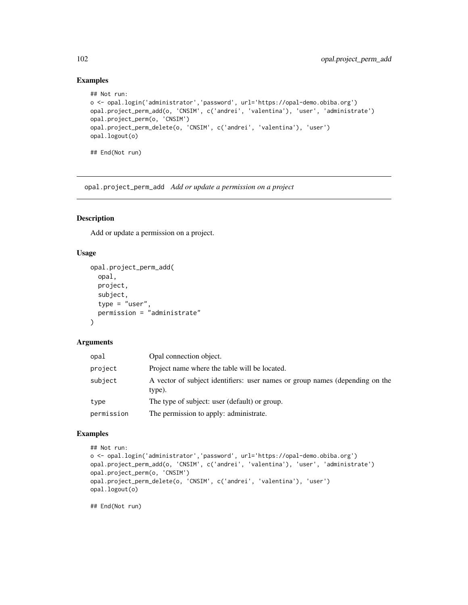# Examples

```
## Not run:
o <- opal.login('administrator','password', url='https://opal-demo.obiba.org')
opal.project_perm_add(o, 'CNSIM', c('andrei', 'valentina'), 'user', 'administrate')
opal.project_perm(o, 'CNSIM')
opal.project_perm_delete(o, 'CNSIM', c('andrei', 'valentina'), 'user')
opal.logout(o)
## End(Not run)
```
opal.project\_perm\_add *Add or update a permission on a project*

# Description

Add or update a permission on a project.

# Usage

```
opal.project_perm_add(
  opal,
  project,
  subject,
  type = "user",
 permission = "administrate"
\lambda
```
### Arguments

| opal       | Opal connection object.                                                                |
|------------|----------------------------------------------------------------------------------------|
| project    | Project name where the table will be located.                                          |
| subject    | A vector of subject identifiers: user names or group names (depending on the<br>type). |
| type       | The type of subject: user (default) or group.                                          |
| permission | The permission to apply: administrate.                                                 |

### Examples

```
## Not run:
o <- opal.login('administrator','password', url='https://opal-demo.obiba.org')
opal.project_perm_add(o, 'CNSIM', c('andrei', 'valentina'), 'user', 'administrate')
opal.project_perm(o, 'CNSIM')
opal.project_perm_delete(o, 'CNSIM', c('andrei', 'valentina'), 'user')
opal.logout(o)
```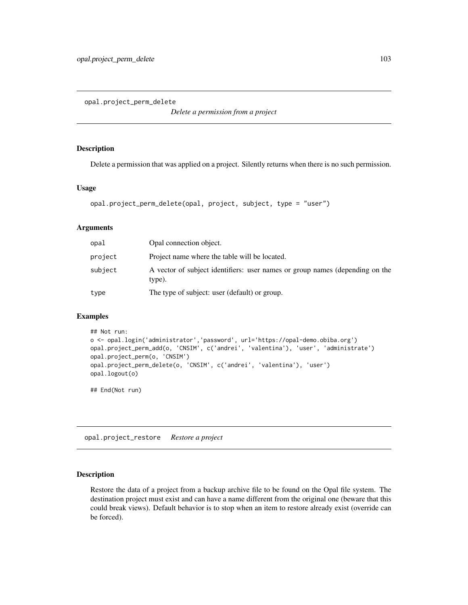opal.project\_perm\_delete

*Delete a permission from a project*

## Description

Delete a permission that was applied on a project. Silently returns when there is no such permission.

### Usage

```
opal.project_perm_delete(opal, project, subject, type = "user")
```
### **Arguments**

| opal    | Opal connection object.                                                                |
|---------|----------------------------------------------------------------------------------------|
| project | Project name where the table will be located.                                          |
| subject | A vector of subject identifiers: user names or group names (depending on the<br>type). |
| type    | The type of subject: user (default) or group.                                          |

#### Examples

```
## Not run:
o <- opal.login('administrator','password', url='https://opal-demo.obiba.org')
opal.project_perm_add(o, 'CNSIM', c('andrei', 'valentina'), 'user', 'administrate')
opal.project_perm(o, 'CNSIM')
opal.project_perm_delete(o, 'CNSIM', c('andrei', 'valentina'), 'user')
opal.logout(o)
```
## End(Not run)

opal.project\_restore *Restore a project*

### Description

Restore the data of a project from a backup archive file to be found on the Opal file system. The destination project must exist and can have a name different from the original one (beware that this could break views). Default behavior is to stop when an item to restore already exist (override can be forced).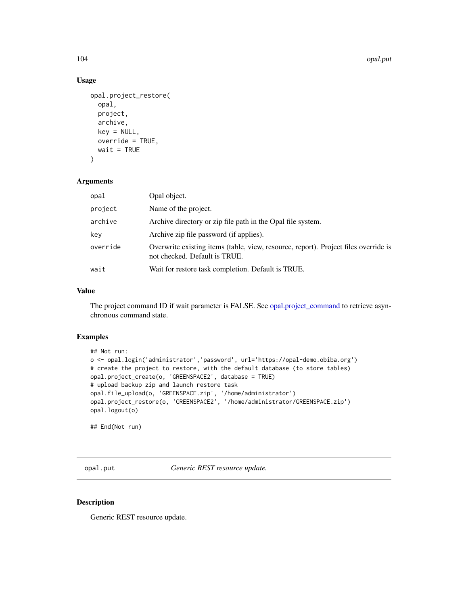104 opal.put of the contract of the contract of the contract of the contract of the contract of the contract of the contract of the contract of the contract of the contract of the contract of the contract of the contract o

### Usage

```
opal.project_restore(
  opal,
  project,
  archive,
 key = NULL,
  override = TRUE,
 wait = TRUE\lambda
```
### Arguments

| opal     | Opal object.                                                                                                         |
|----------|----------------------------------------------------------------------------------------------------------------------|
| project  | Name of the project.                                                                                                 |
| archive  | Archive directory or zip file path in the Opal file system.                                                          |
| key      | Archive zip file password (if applies).                                                                              |
| override | Overwrite existing items (table, view, resource, report). Project files override is<br>not checked. Default is TRUE. |
| wait     | Wait for restore task completion. Default is TRUE.                                                                   |

# Value

The project command ID if wait parameter is FALSE. See [opal.project\\_command](#page-97-1) to retrieve asynchronous command state.

# Examples

```
## Not run:
o <- opal.login('administrator','password', url='https://opal-demo.obiba.org')
# create the project to restore, with the default database (to store tables)
opal.project_create(o, 'GREENSPACE2', database = TRUE)
# upload backup zip and launch restore task
opal.file_upload(o, 'GREENSPACE.zip', '/home/administrator')
opal.project_restore(o, 'GREENSPACE2', '/home/administrator/GREENSPACE.zip')
opal.logout(o)
```
## End(Not run)

<span id="page-103-0"></span>opal.put *Generic REST resource update.*

### Description

Generic REST resource update.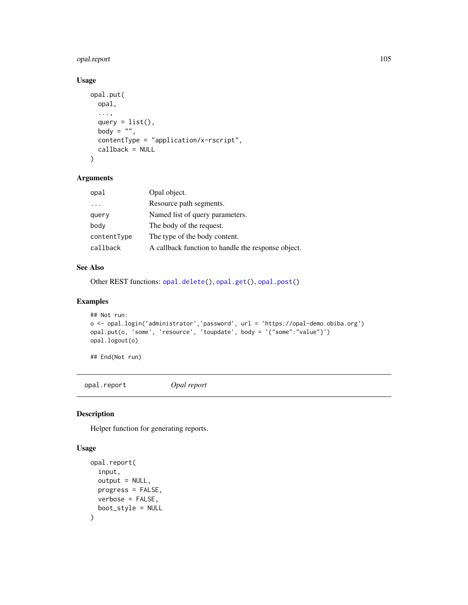# opal.report 105

# Usage

```
opal.put(
 opal,
  ...,
  query = list(),
 body = ",
 contentType = "application/x-rscript",
  callback = NULL
)
```
# Arguments

| opal        | Opal object.                                       |
|-------------|----------------------------------------------------|
| $\cdots$    | Resource path segments.                            |
| query       | Named list of query parameters.                    |
| body        | The body of the request.                           |
| contentType | The type of the body content.                      |
| callback    | A callback function to handle the response object. |

# See Also

Other REST functions: [opal.delete\(](#page-76-1)), [opal.get\(](#page-88-0)), [opal.post\(](#page-92-0))

# Examples

```
## Not run:
o <- opal.login('administrator','password', url = 'https://opal-demo.obiba.org')
opal.put(o, 'some', 'resource', 'toupdate', body = '{"some":"value"}')
opal.logout(o)
```
## End(Not run)

opal.report *Opal report*

# Description

Helper function for generating reports.

### Usage

```
opal.report(
  input,
  output = NULL,progress = FALSE,
  verbose = FALSE,
  boot_style = NULL
\mathcal{L}
```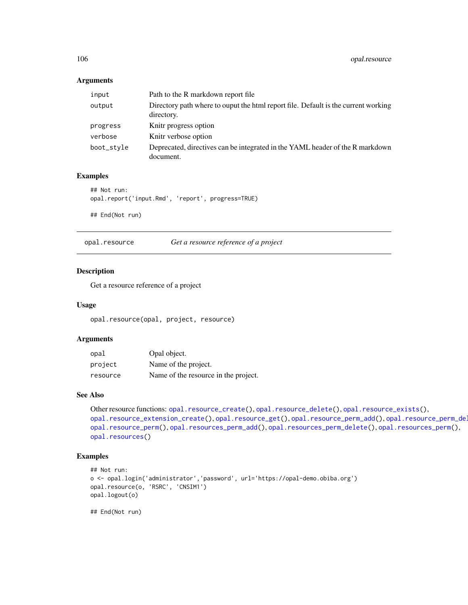### Arguments

| input      | Path to the R markdown report file.                                                              |
|------------|--------------------------------------------------------------------------------------------------|
| output     | Directory path where to ouput the html report file. Default is the current working<br>directory. |
| progress   | Knitr progress option                                                                            |
| verbose    | Knitr verbose option                                                                             |
| boot_style | Deprecated, directives can be integrated in the YAML header of the R markdown<br>document.       |

# Examples

```
## Not run:
opal.report('input.Rmd', 'report', progress=TRUE)
```
## End(Not run)

<span id="page-105-0"></span>

| opal.resource | Get a resource reference of a project |  |  |
|---------------|---------------------------------------|--|--|
|---------------|---------------------------------------|--|--|

# Description

Get a resource reference of a project

### Usage

opal.resource(opal, project, resource)

### Arguments

| opal     | Opal object.                         |
|----------|--------------------------------------|
| project  | Name of the project.                 |
| resource | Name of the resource in the project. |

### See Also

```
Other resource functions: opal.resource_create(), opal.resource_delete(), opal.resource_exists(),
opal.resource_extension_create(opal.resource_get(opal.resource_perm_add(), opal.resource_perm_del
opal.resource_perm(), opal.resources_perm_add(), opal.resources_perm_delete(), opal.resources_perm(),
opal.resources()
```
# Examples

```
## Not run:
o <- opal.login('administrator','password', url='https://opal-demo.obiba.org')
opal.resource(o, 'RSRC', 'CNSIM1')
opal.logout(o)
```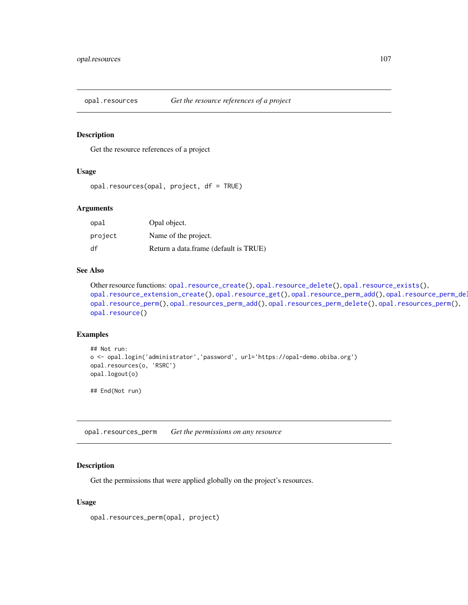<span id="page-106-1"></span>

# **Description**

Get the resource references of a project

### Usage

```
opal.resources(opal, project, df = TRUE)
```
### Arguments

| opal    | Opal object.                          |
|---------|---------------------------------------|
| project | Name of the project.                  |
| df      | Return a data.frame (default is TRUE) |

### See Also

```
Other resource functions: opal.resource_create(), opal.resource_delete(), opal.resource_exists(),
opal.resource_extension_create(opal.resource_get(opal.resource_perm_add(), opal.resource_perm_del
opal.resource_perm(), opal.resources_perm_add(), opal.resources_perm_delete(), opal.resources_perm(),
opal.resource()
```
### Examples

```
## Not run:
o <- opal.login('administrator','password', url='https://opal-demo.obiba.org')
opal.resources(o, 'RSRC')
opal.logout(o)
```
## End(Not run)

<span id="page-106-0"></span>opal.resources\_perm *Get the permissions on any resource*

# Description

Get the permissions that were applied globally on the project's resources.

### Usage

opal.resources\_perm(opal, project)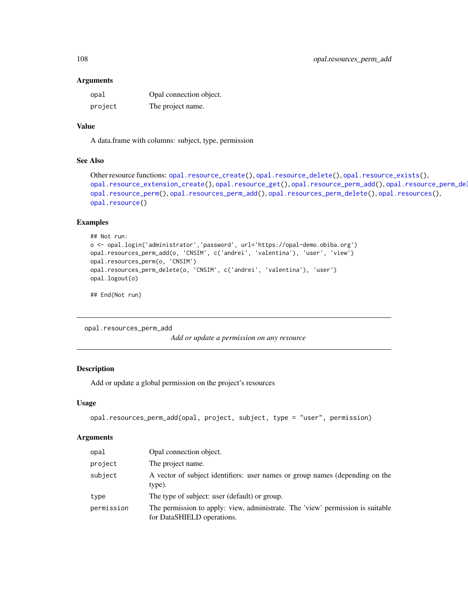#### **Arguments**

| opal    | Opal connection object. |
|---------|-------------------------|
| project | The project name.       |

# Value

A data.frame with columns: subject, type, permission

### See Also

```
Other resource functions: opal.resource_create(), opal.resource_delete(), opal.resource_exists(),
opal.resource_extension_create(opal.resource_get(opal.resource_perm_add(), opal.resource_perm_del
opal.resource_perm(), opal.resources_perm_add(), opal.resources_perm_delete(), opal.resources(),
opal.resource()
```
# Examples

```
## Not run:
o <- opal.login('administrator','password', url='https://opal-demo.obiba.org')
opal.resources_perm_add(o, 'CNSIM', c('andrei', 'valentina'), 'user', 'view')
opal.resources_perm(o, 'CNSIM')
opal.resources_perm_delete(o, 'CNSIM', c('andrei', 'valentina'), 'user')
opal.logout(o)
```
## End(Not run)

<span id="page-107-0"></span>opal.resources\_perm\_add

*Add or update a permission on any resource*

### Description

Add or update a global permission on the project's resources

### Usage

```
opal.resources_perm_add(opal, project, subject, type = "user", permission)
```
#### Arguments

| opal       | Opal connection object.                                                                                      |
|------------|--------------------------------------------------------------------------------------------------------------|
| project    | The project name.                                                                                            |
| subject    | A vector of subject identifiers: user names or group names (depending on the<br>type).                       |
| type       | The type of subject: user (default) or group.                                                                |
| permission | The permission to apply: view, administrate. The 'view' permission is suitable<br>for DataSHIELD operations. |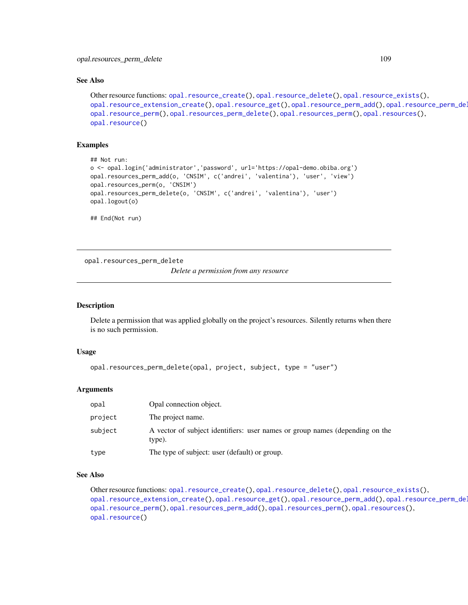#### See Also

```
Other resource functions: opal.resource_create(), opal.resource_delete(), opal.resource_exists(),
opal.resource_extension_create(opal.resource_get(opal.resource_perm_add(opal.resource_perm_delete(),
opal.resource_perm(), opal.resources_perm_delete(), opal.resources_perm(), opal.resources(),
opal.resource()
```
## Examples

```
## Not run:
o <- opal.login('administrator','password', url='https://opal-demo.obiba.org')
opal.resources_perm_add(o, 'CNSIM', c('andrei', 'valentina'), 'user', 'view')
opal.resources_perm(o, 'CNSIM')
opal.resources_perm_delete(o, 'CNSIM', c('andrei', 'valentina'), 'user')
opal.logout(o)
## End(Not run)
```
<span id="page-108-0"></span>opal.resources\_perm\_delete

*Delete a permission from any resource*

#### **Description**

Delete a permission that was applied globally on the project's resources. Silently returns when there is no such permission.

#### Usage

```
opal.resources_perm_delete(opal, project, subject, type = "user")
```
#### Arguments

| opal    | Opal connection object.                                                                |  |
|---------|----------------------------------------------------------------------------------------|--|
| project | The project name.                                                                      |  |
| subject | A vector of subject identifiers: user names or group names (depending on the<br>type). |  |
| type    | The type of subject: user (default) or group.                                          |  |

## See Also

Other resource functions: [opal.resource\\_create\(](#page-109-0)), [opal.resource\\_delete\(](#page-110-0)), [opal.resource\\_exists\(](#page-111-0)), [opal.resource\\_extension\\_create\(](#page-112-0)), [opal.resource\\_get\(](#page-113-0)), [opal.resource\\_perm\\_add\(](#page-115-0)), opal.resource\_perm\_del [opal.resource\\_perm\(](#page-114-0)), [opal.resources\\_perm\\_add\(](#page-107-0)), [opal.resources\\_perm\(](#page-106-0)), [opal.resources\(](#page-106-1)), [opal.resource\(](#page-105-0))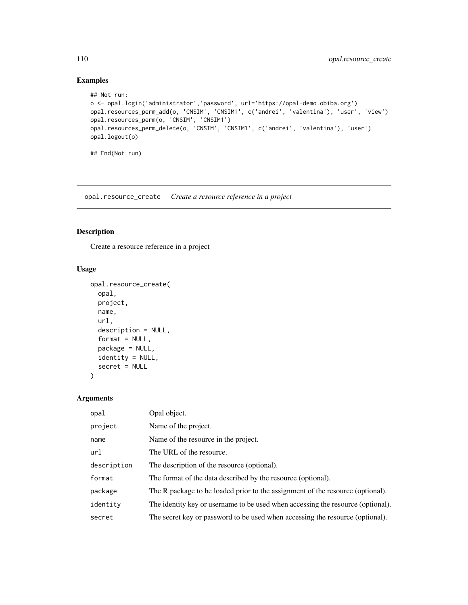```
## Not run:
o <- opal.login('administrator','password', url='https://opal-demo.obiba.org')
opal.resources_perm_add(o, 'CNSIM', 'CNSIM1', c('andrei', 'valentina'), 'user', 'view')
opal.resources_perm(o, 'CNSIM', 'CNSIM1')
opal.resources_perm_delete(o, 'CNSIM', 'CNSIM1', c('andrei', 'valentina'), 'user')
opal.logout(o)
## End(Not run)
```
<span id="page-109-0"></span>opal.resource\_create *Create a resource reference in a project*

## Description

Create a resource reference in a project

## Usage

```
opal.resource_create(
  opal,
 project,
 name,
 url,
  description = NULL,
  format = NULL,package = NULL,
  identity = NULL,
  secret = NULL
)
```
## Arguments

| opal        | Opal object.                                                                    |
|-------------|---------------------------------------------------------------------------------|
| project     | Name of the project.                                                            |
| name        | Name of the resource in the project.                                            |
| url         | The URL of the resource.                                                        |
| description | The description of the resource (optional).                                     |
| format      | The format of the data described by the resource (optional).                    |
| package     | The R package to be loaded prior to the assignment of the resource (optional).  |
| identity    | The identity key or username to be used when accessing the resource (optional). |
| secret      | The secret key or password to be used when accessing the resource (optional).   |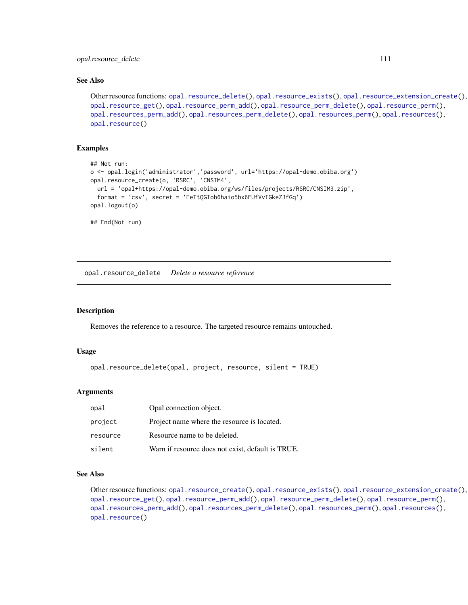#### See Also

```
Other resource functions: opal.resource_delete(), opal.resource_exists(), opal.resource_extension_create(),
opal.resource_get(), opal.resource_perm_add(), opal.resource_perm_delete(), opal.resource_perm(),
opal.resources_perm_add(), opal.resources_perm_delete(), opal.resources_perm(), opal.resources(),
opal.resource()
```
#### Examples

```
## Not run:
o <- opal.login('administrator','password', url='https://opal-demo.obiba.org')
opal.resource_create(o, 'RSRC', 'CNSIM4',
  url = 'opal+https://opal-demo.obiba.org/ws/files/projects/RSRC/CNSIM3.zip',
  format = 'csv', secret = 'EeTtQGIob6haio5bx6FUfVvIGkeZJfGq')
opal.logout(o)
## End(Not run)
```
<span id="page-110-0"></span>opal.resource\_delete *Delete a resource reference*

## Description

Removes the reference to a resource. The targeted resource remains untouched.

#### Usage

```
opal.resource_delete(opal, project, resource, silent = TRUE)
```
#### **Arguments**

| opal     | Opal connection object.                           |
|----------|---------------------------------------------------|
| project  | Project name where the resource is located.       |
| resource | Resource name to be deleted.                      |
| silent   | Warn if resource does not exist, default is TRUE. |

## See Also

Other resource functions: [opal.resource\\_create\(](#page-109-0)), [opal.resource\\_exists\(](#page-111-0)), [opal.resource\\_extension\\_create\(](#page-112-0)), [opal.resource\\_get\(](#page-113-0)), [opal.resource\\_perm\\_add\(](#page-115-0)), [opal.resource\\_perm\\_delete\(](#page-116-0)), [opal.resource\\_perm\(](#page-114-0)), [opal.resources\\_perm\\_add\(](#page-107-0)), [opal.resources\\_perm\\_delete\(](#page-108-0)), [opal.resources\\_perm\(](#page-106-0)), [opal.resources\(](#page-106-1)), [opal.resource\(](#page-105-0))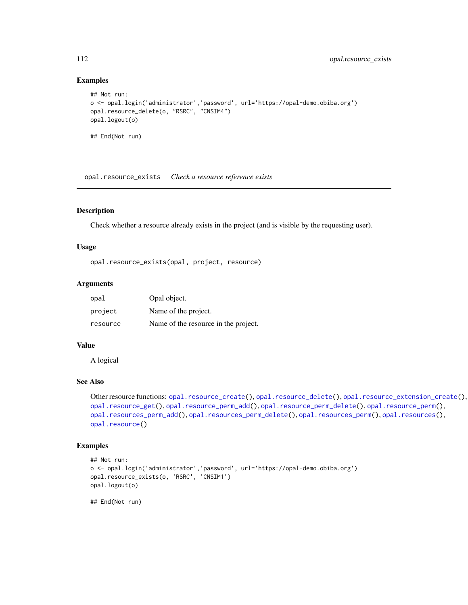```
## Not run:
o <- opal.login('administrator','password', url='https://opal-demo.obiba.org')
opal.resource_delete(o, "RSRC", "CNSIM4")
opal.logout(o)
## End(Not run)
```
<span id="page-111-0"></span>opal.resource\_exists *Check a resource reference exists*

## Description

Check whether a resource already exists in the project (and is visible by the requesting user).

## Usage

```
opal.resource_exists(opal, project, resource)
```
## Arguments

| opal     | Opal object.                         |
|----------|--------------------------------------|
| project  | Name of the project.                 |
| resource | Name of the resource in the project. |

## Value

A logical

## See Also

```
Other resource functions: opal.resource_create(), opal.resource_delete(), opal.resource_extension_create(),
opal.resource_get(), opal.resource_perm_add(), opal.resource_perm_delete(), opal.resource_perm(),
opal.resources_perm_add(), opal.resources_perm_delete(), opal.resources_perm(), opal.resources(),
opal.resource()
```
#### Examples

```
## Not run:
o <- opal.login('administrator','password', url='https://opal-demo.obiba.org')
opal.resource_exists(o, 'RSRC', 'CNSIM1')
opal.logout(o)
```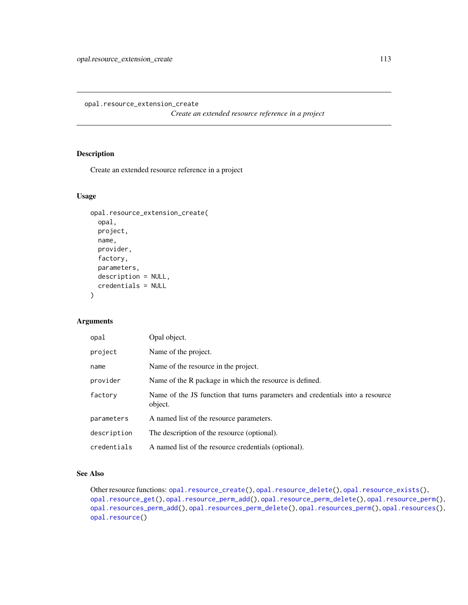<span id="page-112-0"></span>opal.resource\_extension\_create

*Create an extended resource reference in a project*

## Description

Create an extended resource reference in a project

## Usage

```
opal.resource_extension_create(
  opal,
 project,
 name,
  provider,
  factory,
  parameters,
  description = NULL,
  credentials = NULL
\mathcal{L}
```
## Arguments

| opal        | Opal object.                                                                             |
|-------------|------------------------------------------------------------------------------------------|
| project     | Name of the project.                                                                     |
| name        | Name of the resource in the project.                                                     |
| provider    | Name of the R package in which the resource is defined.                                  |
| factory     | Name of the JS function that turns parameters and credentials into a resource<br>object. |
| parameters  | A named list of the resource parameters.                                                 |
| description | The description of the resource (optional).                                              |
| credentials | A named list of the resource credentials (optional).                                     |

## See Also

Other resource functions: [opal.resource\\_create\(](#page-109-0)), [opal.resource\\_delete\(](#page-110-0)), [opal.resource\\_exists\(](#page-111-0)), [opal.resource\\_get\(](#page-113-0)), [opal.resource\\_perm\\_add\(](#page-115-0)), [opal.resource\\_perm\\_delete\(](#page-116-0)), [opal.resource\\_perm\(](#page-114-0)), [opal.resources\\_perm\\_add\(](#page-107-0)), [opal.resources\\_perm\\_delete\(](#page-108-0)), [opal.resources\\_perm\(](#page-106-0)), [opal.resources\(](#page-106-1)), [opal.resource\(](#page-105-0))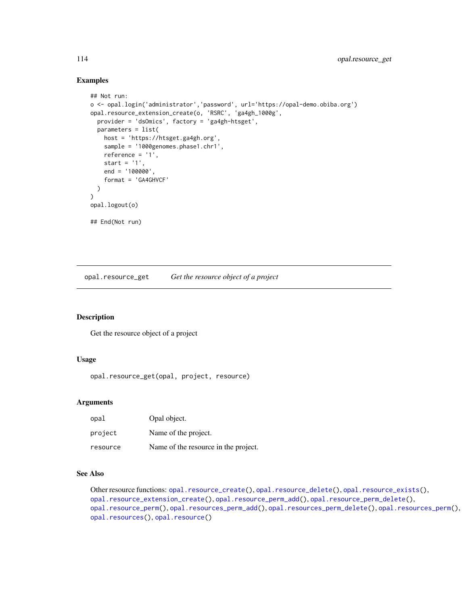```
## Not run:
o <- opal.login('administrator','password', url='https://opal-demo.obiba.org')
opal.resource_extension_create(o, 'RSRC', 'ga4gh_1000g',
  provider = 'dsOmics', factory = 'ga4gh-htsget',
  parameters = list(
    host = 'https://htsget.ga4gh.org',
    sample = '1000genomes.phase1.chr1',
    reference = '1',
    start = '1',
    end = '100000',
    format = 'GA4GHVCF'
  )
\mathcal{L}opal.logout(o)
## End(Not run)
```
<span id="page-113-0"></span>opal.resource\_get *Get the resource object of a project*

#### Description

Get the resource object of a project

## Usage

opal.resource\_get(opal, project, resource)

#### **Arguments**

| opal     | Opal object.                         |
|----------|--------------------------------------|
| project  | Name of the project.                 |
| resource | Name of the resource in the project. |

#### See Also

Other resource functions: [opal.resource\\_create\(](#page-109-0)), [opal.resource\\_delete\(](#page-110-0)), [opal.resource\\_exists\(](#page-111-0)), [opal.resource\\_extension\\_create\(](#page-112-0)), [opal.resource\\_perm\\_add\(](#page-115-0)), [opal.resource\\_perm\\_delete\(](#page-116-0)), [opal.resource\\_perm\(](#page-114-0)), [opal.resources\\_perm\\_add\(](#page-107-0)), [opal.resources\\_perm\\_delete\(](#page-108-0)), [opal.resources\\_perm\(](#page-106-0)), [opal.resources\(](#page-106-1)), [opal.resource\(](#page-105-0))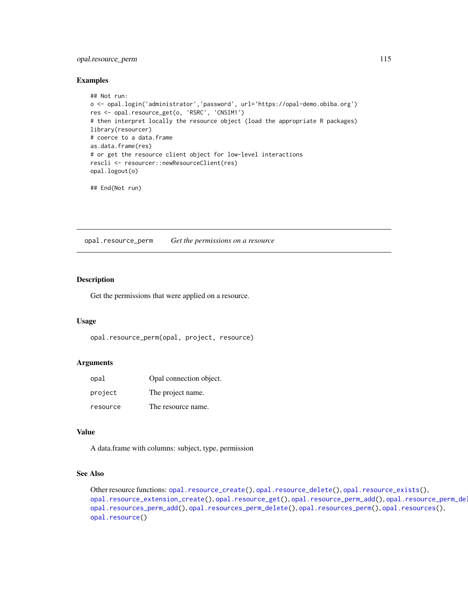## opal.resource\_perm 115

#### Examples

```
## Not run:
o <- opal.login('administrator','password', url='https://opal-demo.obiba.org')
res <- opal.resource_get(o, 'RSRC', 'CNSIM1')
# then interpret locally the resource object (load the appropriate R packages)
library(resourcer)
# coerce to a data.frame
as.data.frame(res)
# or get the resource client object for low-level interactions
rescli <- resourcer::newResourceClient(res)
opal.logout(o)
```
## End(Not run)

<span id="page-114-0"></span>opal.resource\_perm *Get the permissions on a resource*

## Description

Get the permissions that were applied on a resource.

#### Usage

```
opal.resource_perm(opal, project, resource)
```
#### Arguments

| opal     | Opal connection object. |
|----------|-------------------------|
| project  | The project name.       |
| resource | The resource name.      |

## Value

A data.frame with columns: subject, type, permission

## See Also

```
Other resource functions: opal.resource_create(), opal.resource_delete(), opal.resource_exists(),
opal.resource_extension_create(opal.resource_get(opal.resource_perm_add(), opal.resource_perm_del
opal.resources_perm_add(), opal.resources_perm_delete(), opal.resources_perm(), opal.resources(),
opal.resource()
```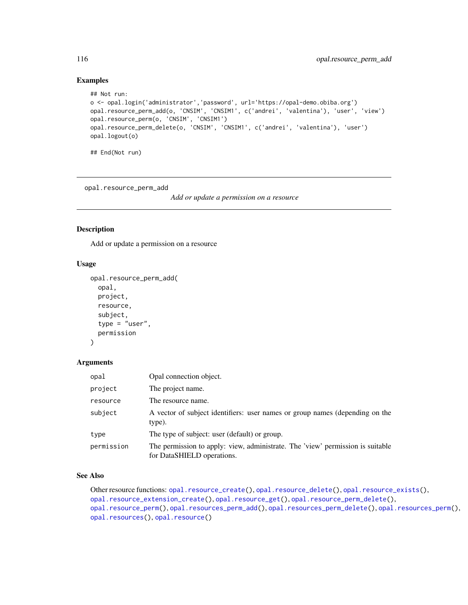```
## Not run:
o <- opal.login('administrator','password', url='https://opal-demo.obiba.org')
opal.resource_perm_add(o, 'CNSIM', 'CNSIM1', c('andrei', 'valentina'), 'user', 'view')
opal.resource_perm(o, 'CNSIM', 'CNSIM1')
opal.resource_perm_delete(o, 'CNSIM', 'CNSIM1', c('andrei', 'valentina'), 'user')
opal.logout(o)
## End(Not run)
```
<span id="page-115-0"></span>opal.resource\_perm\_add

*Add or update a permission on a resource*

## Description

Add or update a permission on a resource

#### Usage

```
opal.resource_perm_add(
  opal,
 project,
  resource,
  subject,
  type = "user",
  permission
```
# $\lambda$

#### Arguments

| opal       | Opal connection object.                                                                                      |
|------------|--------------------------------------------------------------------------------------------------------------|
| project    | The project name.                                                                                            |
| resource   | The resource name.                                                                                           |
| subject    | A vector of subject identifiers: user names or group names (depending on the<br>type).                       |
| type       | The type of subject: user (default) or group.                                                                |
| permission | The permission to apply: view, administrate. The 'view' permission is suitable<br>for DataSHIELD operations. |

## See Also

Other resource functions: [opal.resource\\_create\(](#page-109-0)), [opal.resource\\_delete\(](#page-110-0)), [opal.resource\\_exists\(](#page-111-0)), [opal.resource\\_extension\\_create\(](#page-112-0)), [opal.resource\\_get\(](#page-113-0)), [opal.resource\\_perm\\_delete\(](#page-116-0)), [opal.resource\\_perm\(](#page-114-0)), [opal.resources\\_perm\\_add\(](#page-107-0)), [opal.resources\\_perm\\_delete\(](#page-108-0)), [opal.resources\\_perm\(](#page-106-0)), [opal.resources\(](#page-106-1)), [opal.resource\(](#page-105-0))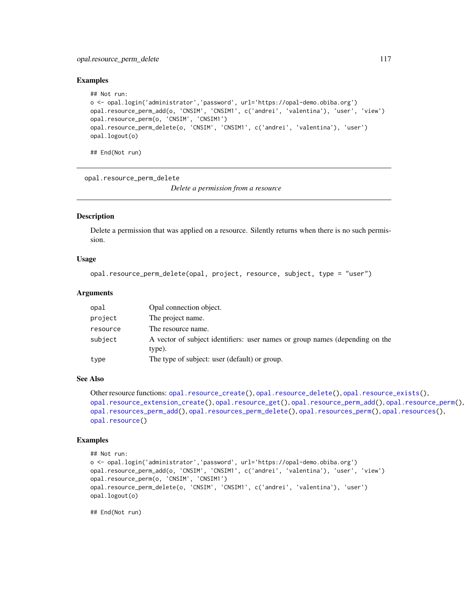## opal.resource\_perm\_delete 117

#### Examples

```
## Not run:
o <- opal.login('administrator','password', url='https://opal-demo.obiba.org')
opal.resource_perm_add(o, 'CNSIM', 'CNSIM1', c('andrei', 'valentina'), 'user', 'view')
opal.resource_perm(o, 'CNSIM', 'CNSIM1')
opal.resource_perm_delete(o, 'CNSIM', 'CNSIM1', c('andrei', 'valentina'), 'user')
opal.logout(o)
```
## End(Not run)

<span id="page-116-0"></span>opal.resource\_perm\_delete

*Delete a permission from a resource*

#### Description

Delete a permission that was applied on a resource. Silently returns when there is no such permission.

#### Usage

```
opal.resource_perm_delete(opal, project, resource, subject, type = "user")
```
#### Arguments

| opal     | Opal connection object.                                                                |
|----------|----------------------------------------------------------------------------------------|
| project  | The project name.                                                                      |
| resource | The resource name.                                                                     |
| subject  | A vector of subject identifiers: user names or group names (depending on the<br>type). |
| type     | The type of subject: user (default) or group.                                          |

## See Also

```
Other resource functions: opal.resource_create(), opal.resource_delete(), opal.resource_exists(),
opal.resource_extension_create(), opal.resource_get(), opal.resource_perm_add(), opal.resource_perm(),
opal.resources_perm_add(), opal.resources_perm_delete(), opal.resources_perm(), opal.resources(),
opal.resource()
```
#### Examples

```
## Not run:
o <- opal.login('administrator','password', url='https://opal-demo.obiba.org')
opal.resource_perm_add(o, 'CNSIM', 'CNSIM1', c('andrei', 'valentina'), 'user', 'view')
opal.resource_perm(o, 'CNSIM', 'CNSIM1')
opal.resource_perm_delete(o, 'CNSIM', 'CNSIM1', c('andrei', 'valentina'), 'user')
opal.logout(o)
```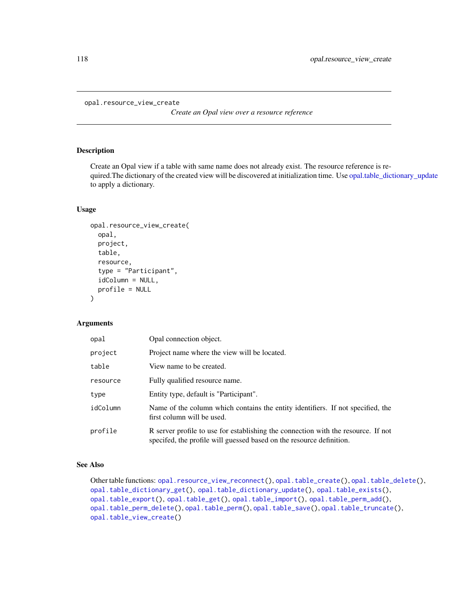```
opal.resource_view_create
```
*Create an Opal view over a resource reference*

## Description

Create an Opal view if a table with same name does not already exist. The resource reference is required.The dictionary of the created view will be discovered at initialization time. Use [opal.table\\_dictionary\\_update](#page-130-0) to apply a dictionary.

#### Usage

```
opal.resource_view_create(
  opal,
 project,
  table,
  resource,
  type = "Participant",
  idColumn = NULL,
  profile = NULL
)
```
## Arguments

| opal     | Opal connection object.                                                                                                                                   |
|----------|-----------------------------------------------------------------------------------------------------------------------------------------------------------|
| project  | Project name where the view will be located.                                                                                                              |
| table    | View name to be created.                                                                                                                                  |
| resource | Fully qualified resource name.                                                                                                                            |
| type     | Entity type, default is "Participant".                                                                                                                    |
| idColumn | Name of the column which contains the entity identifiers. If not specified, the<br>first column will be used.                                             |
| profile  | R server profile to use for establishing the connection with the resource. If not<br>specifed, the profile will guessed based on the resource definition. |

## See Also

Other table functions: [opal.resource\\_view\\_reconnect\(](#page-118-0)), [opal.table\\_create\(](#page-128-0)), [opal.table\\_delete\(](#page-129-0)), [opal.table\\_dictionary\\_get\(](#page-130-1)), [opal.table\\_dictionary\\_update\(](#page-130-0)), [opal.table\\_exists\(](#page-132-0)), [opal.table\\_export\(](#page-133-0)), [opal.table\\_get\(](#page-134-0)), [opal.table\\_import\(](#page-135-0)), [opal.table\\_perm\\_add\(](#page-137-0)), [opal.table\\_perm\\_delete\(](#page-138-0)), [opal.table\\_perm\(](#page-136-0)), [opal.table\\_save\(](#page-139-0)), [opal.table\\_truncate\(](#page-140-0)), [opal.table\\_view\\_create\(](#page-141-0))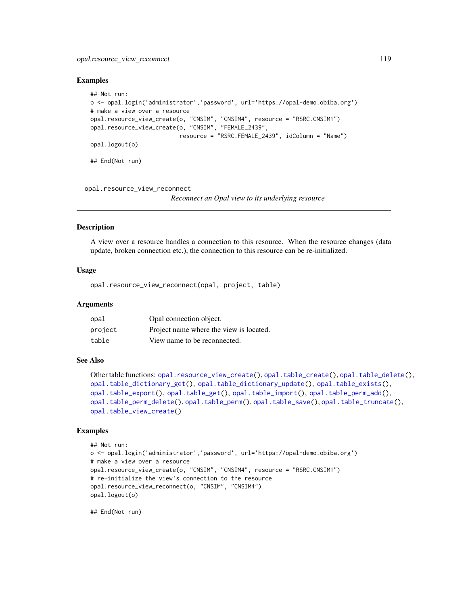## opal.resource\_view\_reconnect 119

#### Examples

```
## Not run:
o <- opal.login('administrator','password', url='https://opal-demo.obiba.org')
# make a view over a resource
opal.resource_view_create(o, "CNSIM", "CNSIM4", resource = "RSRC.CNSIM1")
opal.resource_view_create(o, "CNSIM", "FEMALE_2439",
                          resource = "RSRC.FEMALE_2439", idColumn = "Name")
opal.logout(o)
## End(Not run)
```
<span id="page-118-0"></span>opal.resource\_view\_reconnect

*Reconnect an Opal view to its underlying resource*

#### Description

A view over a resource handles a connection to this resource. When the resource changes (data update, broken connection etc.), the connection to this resource can be re-initialized.

## Usage

```
opal.resource_view_reconnect(opal, project, table)
```
#### Arguments

| opal    | Opal connection object.                 |
|---------|-----------------------------------------|
| project | Project name where the view is located. |
| table   | View name to be reconnected.            |

#### See Also

```
Other table functions: opal.resource_view_create(), opal.table_create(), opal.table_delete(),
opal.table_dictionary_get(), opal.table_dictionary_update(), opal.table_exists(),
opal.table_export(), opal.table_get(), opal.table_import(), opal.table_perm_add(),
opal.table_perm_delete(), opal.table_perm(), opal.table_save(), opal.table_truncate(),
opal.table_view_create()
```
#### Examples

```
## Not run:
o <- opal.login('administrator','password', url='https://opal-demo.obiba.org')
# make a view over a resource
opal.resource_view_create(o, "CNSIM", "CNSIM4", resource = "RSRC.CNSIM1")
# re-initialize the view's connection to the resource
opal.resource_view_reconnect(o, "CNSIM", "CNSIM4")
opal.logout(o)
```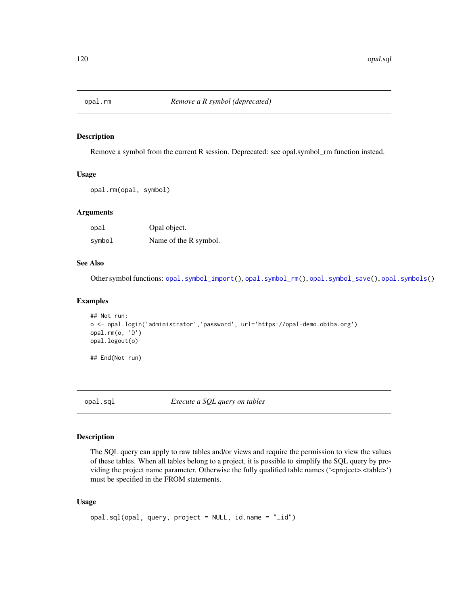<span id="page-119-0"></span>

#### Description

Remove a symbol from the current R session. Deprecated: see opal.symbol\_rm function instead.

## Usage

opal.rm(opal, symbol)

## Arguments

| opal   | Opal object.          |
|--------|-----------------------|
| symbol | Name of the R symbol. |

## See Also

Other symbol functions: [opal.symbol\\_import\(](#page-122-0)), [opal.symbol\\_rm\(](#page-123-0)), [opal.symbol\\_save\(](#page-124-0)), [opal.symbols\(](#page-121-0))

#### Examples

```
## Not run:
o <- opal.login('administrator','password', url='https://opal-demo.obiba.org')
opal.rm(o, 'D')
opal.logout(o)
```
## End(Not run)

opal.sql *Execute a SQL query on tables*

## Description

The SQL query can apply to raw tables and/or views and require the permission to view the values of these tables. When all tables belong to a project, it is possible to simplify the SQL query by providing the project name parameter. Otherwise the fully qualified table names ('<project>.<table>') must be specified in the FROM statements.

#### Usage

```
opal.sql(opal, query, project = NULL, id.name = "_id")
```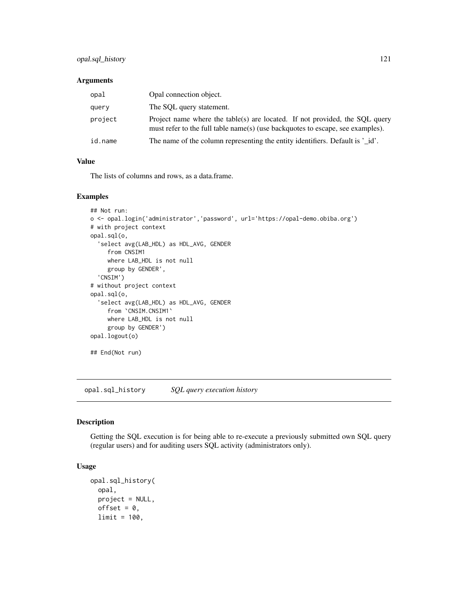## opal.sql\_history 121

## Arguments

| opal    | Opal connection object.                                                                                                                                       |
|---------|---------------------------------------------------------------------------------------------------------------------------------------------------------------|
| query   | The SOL query statement.                                                                                                                                      |
| project | Project name where the table(s) are located. If not provided, the SOL query<br>must refer to the full table name(s) (use backguotes to escape, see examples). |
| id.name | The name of the column representing the entity identifiers. Default is '_id'.                                                                                 |

#### Value

The lists of columns and rows, as a data.frame.

#### Examples

```
## Not run:
o <- opal.login('administrator','password', url='https://opal-demo.obiba.org')
# with project context
opal.sql(o,
  'select avg(LAB_HDL) as HDL_AVG, GENDER
     from CNSIM1
    where LAB_HDL is not null
    group by GENDER',
  'CNSIM')
# without project context
opal.sql(o,
  'select avg(LAB_HDL) as HDL_AVG, GENDER
     from `CNSIM.CNSIM1`
     where LAB_HDL is not null
     group by GENDER')
opal.logout(o)
## End(Not run)
```
opal.sql\_history *SQL query execution history*

## Description

Getting the SQL execution is for being able to re-execute a previously submitted own SQL query (regular users) and for auditing users SQL activity (administrators only).

## Usage

```
opal.sql_history(
  opal,
  project = NULL,
  offset = 0,
  limit = 100,
```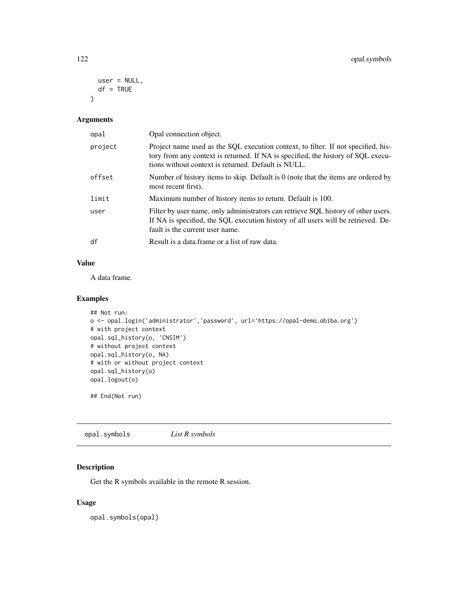```
user = NULL,
  df = TRUE\lambda
```
## Arguments

| opal    | Opal connection object.                                                                                                                                                                                                      |
|---------|------------------------------------------------------------------------------------------------------------------------------------------------------------------------------------------------------------------------------|
| project | Project name used as the SQL execution context, to filter. If not specified, his-<br>tory from any context is returned. If NA is specified, the history of SQL execu-<br>tions without context is returned. Default is NULL. |
| offset  | Number of history items to skip. Default is $0$ (note that the items are ordered by<br>most recent first).                                                                                                                   |
| limit   | Maximum number of history items to return. Default is 100.                                                                                                                                                                   |
| user    | Filter by user name, only administrators can retrieve SQL history of other users.<br>If NA is specified, the SQL execution history of all users will be retrieved. De-<br>fault is the current user name.                    |
| df      | Result is a data frame or a list of raw data.                                                                                                                                                                                |

## Value

A data frame.

## Examples

```
## Not run:
o <- opal.login('administrator','password', url='https://opal-demo.obiba.org')
# with project context
opal.sql_history(o, 'CNSIM')
# without project context
opal.sql_history(o, NA)
# with or without project context
opal.sql_history(o)
opal.logout(o)
```
## End(Not run)

<span id="page-121-0"></span>opal.symbols *List R symbols*

## Description

Get the R symbols available in the remote R session.

## Usage

opal.symbols(opal)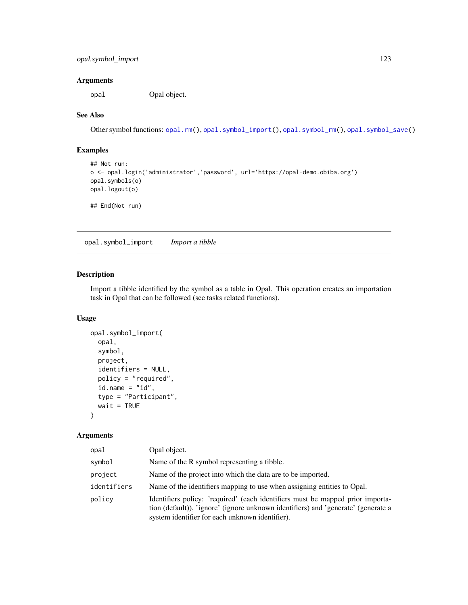## Arguments

opal Opal object.

## See Also

Other symbol functions: [opal.rm\(](#page-119-0)), [opal.symbol\\_import\(](#page-122-0)), [opal.symbol\\_rm\(](#page-123-0)), [opal.symbol\\_save\(](#page-124-0))

## Examples

```
## Not run:
o <- opal.login('administrator','password', url='https://opal-demo.obiba.org')
opal.symbols(o)
opal.logout(o)
## End(Not run)
```
<span id="page-122-0"></span>opal.symbol\_import *Import a tibble*

#### Description

Import a tibble identified by the symbol as a table in Opal. This operation creates an importation task in Opal that can be followed (see tasks related functions).

#### Usage

```
opal.symbol_import(
  opal,
  symbol,
 project,
  identifiers = NULL,
  policy = "required",
  id.name = "id",type = "Participant",
  wait = TRUE)
```
#### Arguments

| opal        | Opal object.                                                                                                                                                                                                           |
|-------------|------------------------------------------------------------------------------------------------------------------------------------------------------------------------------------------------------------------------|
| symbol      | Name of the R symbol representing a tibble.                                                                                                                                                                            |
| project     | Name of the project into which the data are to be imported.                                                                                                                                                            |
| identifiers | Name of the identifiers mapping to use when assigning entities to Opal.                                                                                                                                                |
| policy      | Identifiers policy: 'required' (each identifiers must be mapped prior importa-<br>tion (default)), 'ignore' (ignore unknown identifiers) and 'generate' (generate a<br>system identifier for each unknown identifier). |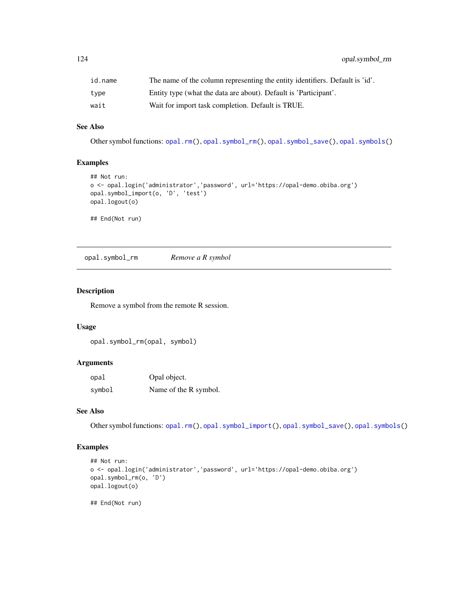| id.name | The name of the column representing the entity identifiers. Default is 'id'. |
|---------|------------------------------------------------------------------------------|
| type    | Entity type (what the data are about). Default is 'Participant'.             |
| wait    | Wait for import task completion. Default is TRUE.                            |

## See Also

Other symbol functions: [opal.rm\(](#page-119-0)), [opal.symbol\\_rm\(](#page-123-0)), [opal.symbol\\_save\(](#page-124-0)), [opal.symbols\(](#page-121-0))

#### Examples

```
## Not run:
o <- opal.login('administrator','password', url='https://opal-demo.obiba.org')
opal.symbol_import(o, 'D', 'test')
opal.logout(o)
## End(Not run)
```
<span id="page-123-0"></span>opal.symbol\_rm *Remove a R symbol*

## Description

Remove a symbol from the remote R session.

#### Usage

```
opal.symbol_rm(opal, symbol)
```
#### Arguments

| opal   | Opal object.          |
|--------|-----------------------|
| symbol | Name of the R symbol. |

## See Also

Other symbol functions: [opal.rm\(](#page-119-0)), [opal.symbol\\_import\(](#page-122-0)), [opal.symbol\\_save\(](#page-124-0)), [opal.symbols\(](#page-121-0))

## Examples

```
## Not run:
o <- opal.login('administrator','password', url='https://opal-demo.obiba.org')
opal.symbol_rm(o, 'D')
opal.logout(o)
```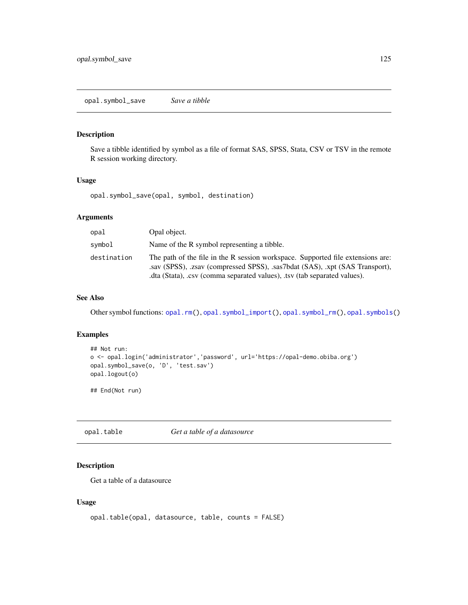## <span id="page-124-0"></span>Description

Save a tibble identified by symbol as a file of format SAS, SPSS, Stata, CSV or TSV in the remote R session working directory.

## Usage

opal.symbol\_save(opal, symbol, destination)

## Arguments

| opal        | Opal object.                                                                                                                                                                                                                                |
|-------------|---------------------------------------------------------------------------------------------------------------------------------------------------------------------------------------------------------------------------------------------|
| svmbol      | Name of the R symbol representing a tibble.                                                                                                                                                                                                 |
| destination | The path of the file in the R session workspace. Supported file extensions are:<br>say (SPSS), .zsay (compressed SPSS), .sas7bdat (SAS), .xpt (SAS Transport),<br>.dta (Stata), .csv (comma separated values), .tsv (tab separated values). |

## See Also

Other symbol functions: [opal.rm\(](#page-119-0)), [opal.symbol\\_import\(](#page-122-0)), [opal.symbol\\_rm\(](#page-123-0)), [opal.symbols\(](#page-121-0))

#### Examples

```
## Not run:
o <- opal.login('administrator','password', url='https://opal-demo.obiba.org')
opal.symbol_save(o, 'D', 'test.sav')
opal.logout(o)
```
## End(Not run)

<span id="page-124-1"></span>opal.table *Get a table of a datasource*

## Description

Get a table of a datasource

#### Usage

```
opal.table(opal, datasource, table, counts = FALSE)
```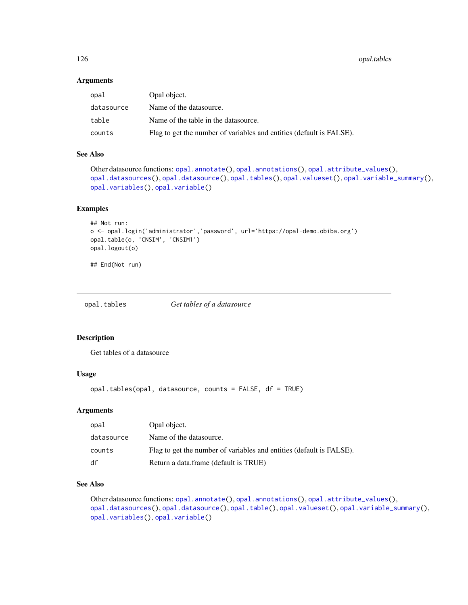126 opal.tables

#### Arguments

| opal       | Opal object.                                                         |
|------------|----------------------------------------------------------------------|
| datasource | Name of the datasource.                                              |
| table      | Name of the table in the datasource.                                 |
| counts     | Flag to get the number of variables and entities (default is FALSE). |

## See Also

```
Other datasource functions: opal.annotate(), opal.annotations(), opal.attribute_values(),
opal.datasources(), opal.datasource(), opal.tables(), opal.valueset(), opal.variable_summary(),
opal.variables(), opal.variable()
```
#### Examples

```
## Not run:
o <- opal.login('administrator','password', url='https://opal-demo.obiba.org')
opal.table(o, 'CNSIM', 'CNSIM1')
opal.logout(o)
```
## End(Not run)

<span id="page-125-0"></span>opal.tables *Get tables of a datasource*

## Description

Get tables of a datasource

## Usage

opal.tables(opal, datasource, counts = FALSE, df = TRUE)

## Arguments

| opal       | Opal object.                                                         |
|------------|----------------------------------------------------------------------|
| datasource | Name of the datasource.                                              |
| counts     | Flag to get the number of variables and entities (default is FALSE). |
| df         | Return a data.frame (default is TRUE)                                |

## See Also

Other datasource functions: [opal.annotate\(](#page-61-0)), [opal.annotations\(](#page-62-0)), [opal.attribute\\_values\(](#page-70-0)), [opal.datasources\(](#page-75-0)), [opal.datasource\(](#page-74-0)), [opal.table\(](#page-124-1)), [opal.valueset\(](#page-155-0)), [opal.variable\\_summary\(](#page-157-0)), [opal.variables\(](#page-156-0)), [opal.variable\(](#page-156-1))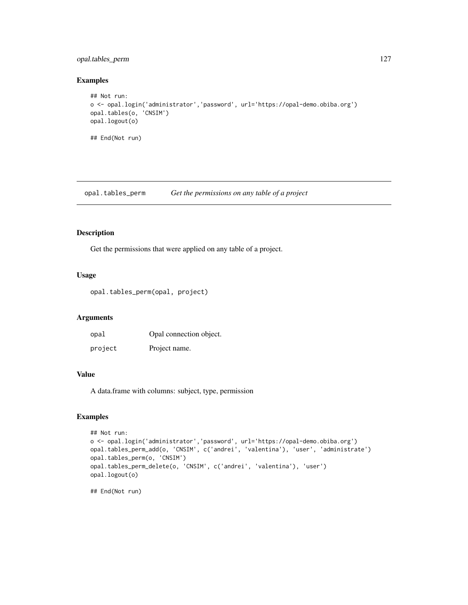## opal.tables\_perm 127

## Examples

```
## Not run:
o <- opal.login('administrator','password', url='https://opal-demo.obiba.org')
opal.tables(o, 'CNSIM')
opal.logout(o)
## End(Not run)
```
opal.tables\_perm *Get the permissions on any table of a project*

## Description

Get the permissions that were applied on any table of a project.

### Usage

opal.tables\_perm(opal, project)

#### Arguments

| opal    | Opal connection object. |
|---------|-------------------------|
| project | Project name.           |

## Value

A data.frame with columns: subject, type, permission

## Examples

```
## Not run:
o <- opal.login('administrator','password', url='https://opal-demo.obiba.org')
opal.tables_perm_add(o, 'CNSIM', c('andrei', 'valentina'), 'user', 'administrate')
opal.tables_perm(o, 'CNSIM')
opal.tables_perm_delete(o, 'CNSIM', c('andrei', 'valentina'), 'user')
opal.logout(o)
## End(Not run)
```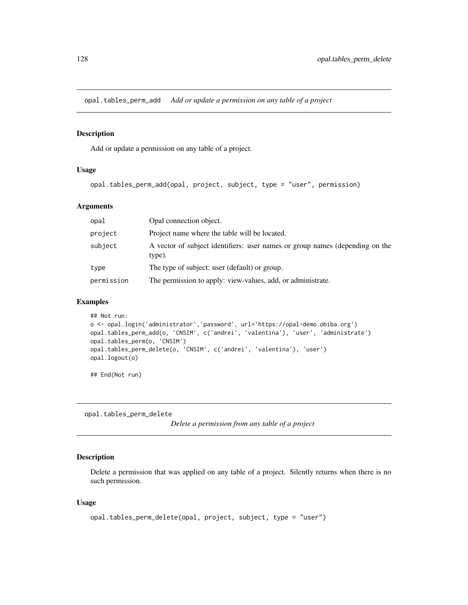opal.tables\_perm\_add *Add or update a permission on any table of a project*

## Description

Add or update a permission on any table of a project.

## Usage

```
opal.tables_perm_add(opal, project, subject, type = "user", permission)
```
## Arguments

| opal       | Opal connection object.                                                                |
|------------|----------------------------------------------------------------------------------------|
| project    | Project name where the table will be located.                                          |
| subject    | A vector of subject identifiers: user names or group names (depending on the<br>type). |
| type       | The type of subject: user (default) or group.                                          |
| permission | The permission to apply: view-values, add, or administrate.                            |

## Examples

```
## Not run:
o <- opal.login('administrator','password', url='https://opal-demo.obiba.org')
opal.tables_perm_add(o, 'CNSIM', c('andrei', 'valentina'), 'user', 'administrate')
opal.tables_perm(o, 'CNSIM')
opal.tables_perm_delete(o, 'CNSIM', c('andrei', 'valentina'), 'user')
opal.logout(o)
```
## End(Not run)

opal.tables\_perm\_delete

*Delete a permission from any table of a project*

## Description

Delete a permission that was applied on any table of a project. Silently returns when there is no such permission.

#### Usage

```
opal.tables_perm_delete(opal, project, subject, type = "user")
```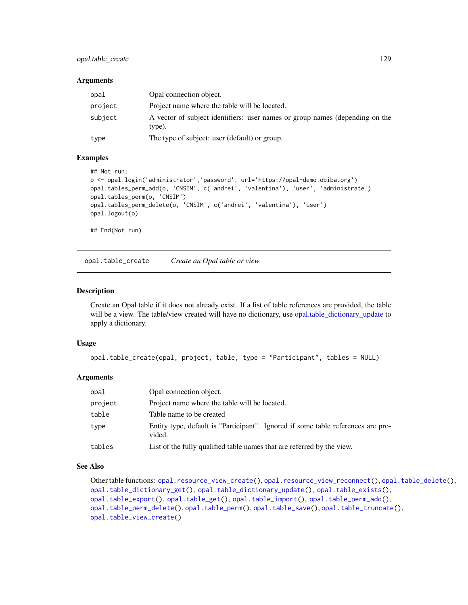## opal.table\_create 129

#### Arguments

| opal    | Opal connection object.                                                                |
|---------|----------------------------------------------------------------------------------------|
| project | Project name where the table will be located.                                          |
| subject | A vector of subject identifiers: user names or group names (depending on the<br>type). |
| type    | The type of subject: user (default) or group.                                          |

#### Examples

```
## Not run:
o <- opal.login('administrator','password', url='https://opal-demo.obiba.org')
opal.tables_perm_add(o, 'CNSIM', c('andrei', 'valentina'), 'user', 'administrate')
opal.tables_perm(o, 'CNSIM')
opal.tables_perm_delete(o, 'CNSIM', c('andrei', 'valentina'), 'user')
opal.logout(o)
## End(Not run)
```
<span id="page-128-0"></span>opal.table\_create *Create an Opal table or view*

## Description

Create an Opal table if it does not already exist. If a list of table references are provided, the table will be a view. The table/view created will have no dictionary, use [opal.table\\_dictionary\\_update](#page-130-0) to apply a dictionary.

#### Usage

```
opal.table_create(opal, project, table, type = "Participant", tables = NULL)
```
## Arguments

| opal    | Opal connection object.                                                                    |
|---------|--------------------------------------------------------------------------------------------|
| project | Project name where the table will be located.                                              |
| table   | Table name to be created                                                                   |
| type    | Entity type, default is "Participant". Ignored if some table references are pro-<br>vided. |
| tables  | List of the fully qualified table names that are referred by the view.                     |

## See Also

```
Other table functions: opal.resource_view_create(), opal.resource_view_reconnect(), opal.table_delete(),
opal.table_dictionary_get(), opal.table_dictionary_update(), opal.table_exists(),
opal.table_export(), opal.table_get(), opal.table_import(), opal.table_perm_add(),
opal.table_perm_delete(), opal.table_perm(), opal.table_save(), opal.table_truncate(),
opal.table_view_create()
```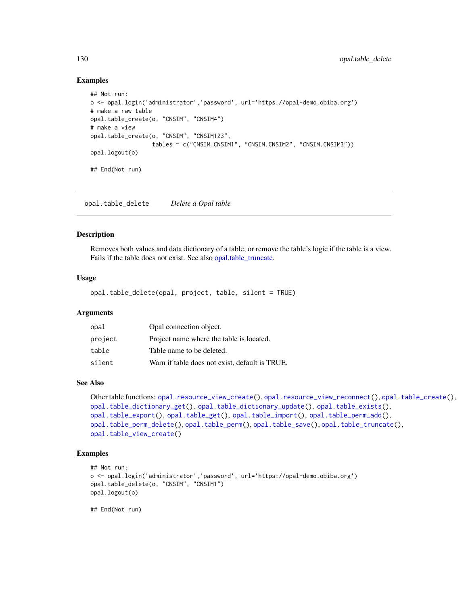```
## Not run:
o <- opal.login('administrator','password', url='https://opal-demo.obiba.org')
# make a raw table
opal.table_create(o, "CNSIM", "CNSIM4")
# make a view
opal.table_create(o, "CNSIM", "CNSIM123",
                  tables = c("CNSIM.CNSIM1", "CNSIM.CNSIM2", "CNSIM.CNSIM3"))
opal.logout(o)
## End(Not run)
```
<span id="page-129-0"></span>opal.table\_delete *Delete a Opal table*

## Description

Removes both values and data dictionary of a table, or remove the table's logic if the table is a view. Fails if the table does not exist. See also [opal.table\\_truncate.](#page-140-0)

#### Usage

opal.table\_delete(opal, project, table, silent = TRUE)

## Arguments

| opal    | Opal connection object.                        |
|---------|------------------------------------------------|
| project | Project name where the table is located.       |
| table   | Table name to be deleted.                      |
| silent  | Warn if table does not exist, default is TRUE. |

#### See Also

```
Other table functions: opal.resource_view_create(), opal.resource_view_reconnect(), opal.table_create(),
opal.table_dictionary_get(), opal.table_dictionary_update(), opal.table_exists(),
opal.table_export(), opal.table_get(), opal.table_import(), opal.table_perm_add(),
opal.table_perm_delete(), opal.table_perm(), opal.table_save(), opal.table_truncate(),
opal.table_view_create()
```
## Examples

```
## Not run:
o <- opal.login('administrator','password', url='https://opal-demo.obiba.org')
opal.table_delete(o, "CNSIM", "CNSIM1")
opal.logout(o)
```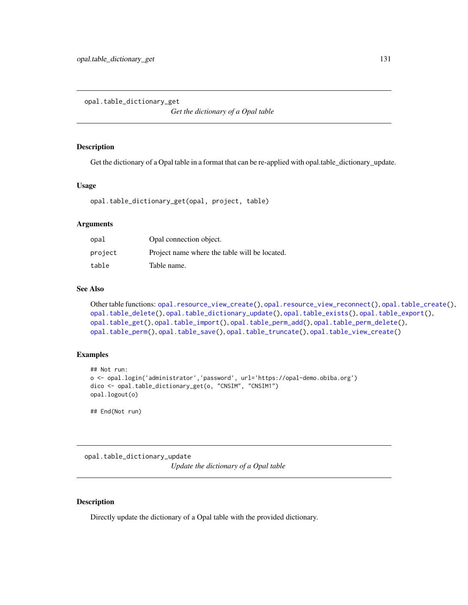<span id="page-130-1"></span>opal.table\_dictionary\_get

*Get the dictionary of a Opal table*

#### Description

Get the dictionary of a Opal table in a format that can be re-applied with opal.table\_dictionary\_update.

#### Usage

opal.table\_dictionary\_get(opal, project, table)

## Arguments

| opal    | Opal connection object.                       |
|---------|-----------------------------------------------|
| project | Project name where the table will be located. |
| table   | Table name.                                   |

## See Also

```
Other table functions: opal.resource_view_create(), opal.resource_view_reconnect(), opal.table_create(),
opal.table_delete(), opal.table_dictionary_update(), opal.table_exists(), opal.table_export(),
opal.table_get(), opal.table_import(), opal.table_perm_add(), opal.table_perm_delete(),
opal.table_perm(), opal.table_save(), opal.table_truncate(), opal.table_view_create()
```
#### Examples

```
## Not run:
o <- opal.login('administrator','password', url='https://opal-demo.obiba.org')
dico <- opal.table_dictionary_get(o, "CNSIM", "CNSIM1")
opal.logout(o)
```
## End(Not run)

<span id="page-130-0"></span>opal.table\_dictionary\_update *Update the dictionary of a Opal table*

#### Description

Directly update the dictionary of a Opal table with the provided dictionary.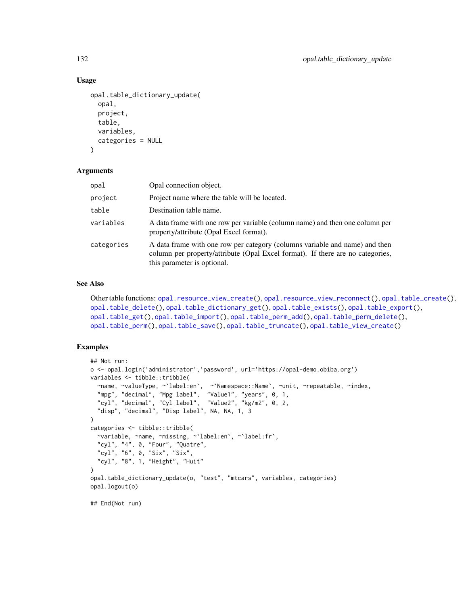#### Usage

```
opal.table_dictionary_update(
  opal,
  project,
  table,
  variables,
  categories = NULL
\lambda
```
#### Arguments

| opal       | Opal connection object.                                                                                                                                                                      |
|------------|----------------------------------------------------------------------------------------------------------------------------------------------------------------------------------------------|
| project    | Project name where the table will be located.                                                                                                                                                |
| table      | Destination table name.                                                                                                                                                                      |
| variables  | A data frame with one row per variable (column name) and then one column per<br>property/attribute (Opal Excel format).                                                                      |
| categories | A data frame with one row per category (columns variable and name) and then<br>column per property/attribute (Opal Excel format). If there are no categories,<br>this parameter is optional. |

#### See Also

```
Other table functions: opal.resource_view_create(), opal.resource_view_reconnect(), opal.table_create(),
opal.table_delete(), opal.table_dictionary_get(), opal.table_exists(), opal.table_export(),
opal.table_get(), opal.table_import(), opal.table_perm_add(), opal.table_perm_delete(),
opal.table_perm(), opal.table_save(), opal.table_truncate(), opal.table_view_create()
```
## Examples

```
## Not run:
o <- opal.login('administrator','password', url='https://opal-demo.obiba.org')
variables <- tibble::tribble(
  ~name, ~valueType, ~`label:en`, ~`Namespace::Name`, ~unit, ~repeatable, ~index,
  "mpg", "decimal", "Mpg label", "Value1", "years", 0, 1,
  "cyl", "decimal", "Cyl label", "Value2", "kg/m2", 0, 2,
  "disp", "decimal", "Disp label", NA, NA, 1, 3
\lambdacategories <- tibble::tribble(
  ~variable, ~name, ~missing, ~`label:en`, ~`label:fr`,
  "cyl", "4", 0, "Four", "Quatre",
  "cyl", "6", 0, "Six", "Six",
  "cyl", "8", 1, "Height", "Huit"
\mathcal{L}opal.table_dictionary_update(o, "test", "mtcars", variables, categories)
opal.logout(o)
## End(Not run)
```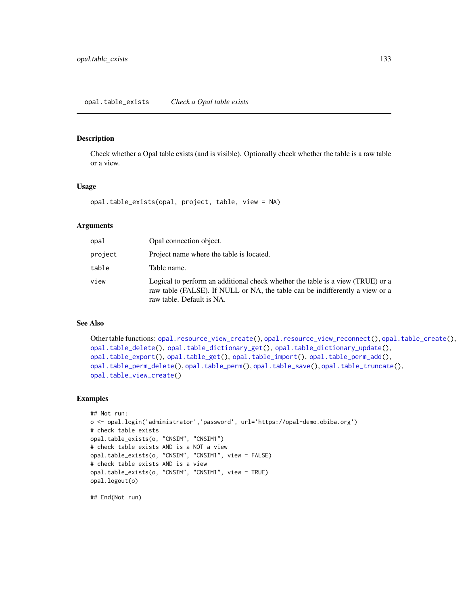<span id="page-132-0"></span>opal.table\_exists *Check a Opal table exists*

## Description

Check whether a Opal table exists (and is visible). Optionally check whether the table is a raw table or a view.

#### Usage

```
opal.table_exists(opal, project, table, view = NA)
```
#### Arguments

| opal    | Opal connection object.                                                                                                                                                                     |
|---------|---------------------------------------------------------------------------------------------------------------------------------------------------------------------------------------------|
| project | Project name where the table is located.                                                                                                                                                    |
| table   | Table name.                                                                                                                                                                                 |
| view    | Logical to perform an additional check whether the table is a view (TRUE) or a<br>raw table (FALSE). If NULL or NA, the table can be indifferently a view or a<br>raw table. Default is NA. |

## See Also

```
Other table functions: opal.resource_view_create(), opal.resource_view_reconnect(), opal.table_create(),
opal.table_delete(), opal.table_dictionary_get(), opal.table_dictionary_update(),
opal.table_export(), opal.table_get(), opal.table_import(), opal.table_perm_add(),
opal.table_perm_delete(), opal.table_perm(), opal.table_save(), opal.table_truncate(),
opal.table_view_create()
```
#### Examples

```
## Not run:
o <- opal.login('administrator','password', url='https://opal-demo.obiba.org')
# check table exists
opal.table_exists(o, "CNSIM", "CNSIM1")
# check table exists AND is a NOT a view
opal.table_exists(o, "CNSIM", "CNSIM1", view = FALSE)
# check table exists AND is a view
opal.table_exists(o, "CNSIM", "CNSIM1", view = TRUE)
opal.logout(o)
```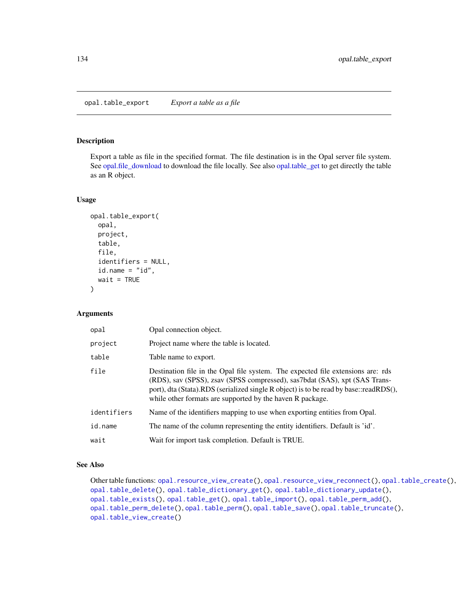## <span id="page-133-0"></span>Description

Export a table as file in the specified format. The file destination is in the Opal server file system. See [opal.file\\_download](#page-79-0) to download the file locally. See also [opal.table\\_get](#page-134-0) to get directly the table as an R object.

#### Usage

```
opal.table_export(
  opal,
  project,
  table,
  file,
  identifiers = NULL,
  id.name = "id",wait = TRUE\lambda
```
## Arguments

| opal        | Opal connection object.                                                                                                                                                                                                                                                                                             |
|-------------|---------------------------------------------------------------------------------------------------------------------------------------------------------------------------------------------------------------------------------------------------------------------------------------------------------------------|
| project     | Project name where the table is located.                                                                                                                                                                                                                                                                            |
| table       | Table name to export.                                                                                                                                                                                                                                                                                               |
| file        | Destination file in the Opal file system. The expected file extensions are: rds<br>(RDS), sav (SPSS), zsav (SPSS compressed), sas7bdat (SAS), xpt (SAS Trans-<br>port), dta (Stata).RDS (serialized single R object) is to be read by base::readRDS(),<br>while other formats are supported by the haven R package. |
| identifiers | Name of the identifiers mapping to use when exporting entities from Opal.                                                                                                                                                                                                                                           |
| id.name     | The name of the column representing the entity identifiers. Default is 'id'.                                                                                                                                                                                                                                        |
| wait        | Wait for import task completion. Default is TRUE.                                                                                                                                                                                                                                                                   |

## See Also

```
Other table functions: opal.resource_view_create(), opal.resource_view_reconnect(), opal.table_create(),
opal.table_delete(), opal.table_dictionary_get(), opal.table_dictionary_update(),
opal.table_exists(), opal.table_get(), opal.table_import(), opal.table_perm_add(),
opal.table_perm_delete(), opal.table_perm(), opal.table_save(), opal.table_truncate(),
opal.table_view_create()
```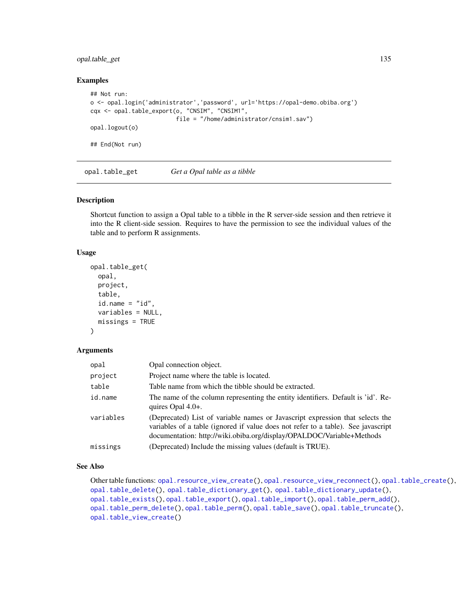## opal.table\_get 135

#### Examples

```
## Not run:
o <- opal.login('administrator','password', url='https://opal-demo.obiba.org')
cqx <- opal.table_export(o, "CNSIM", "CNSIM1",
                        file = "/home/administrator/cnsim1.sav")
opal.logout(o)
## End(Not run)
```
<span id="page-134-0"></span>opal.table\_get *Get a Opal table as a tibble*

## Description

Shortcut function to assign a Opal table to a tibble in the R server-side session and then retrieve it into the R client-side session. Requires to have the permission to see the individual values of the table and to perform R assignments.

## Usage

```
opal.table_get(
  opal,
  project,
  table,
  id.name = "id",variables = NULL,
  missings = TRUE
)
```
#### Arguments

| opal      | Opal connection object.                                                                                                                                                                                                                     |
|-----------|---------------------------------------------------------------------------------------------------------------------------------------------------------------------------------------------------------------------------------------------|
| project   | Project name where the table is located.                                                                                                                                                                                                    |
| table     | Table name from which the tibble should be extracted.                                                                                                                                                                                       |
| id.name   | The name of the column representing the entity identifiers. Default is 'id'. Re-<br>quires $Opal 4.0+$ .                                                                                                                                    |
| variables | (Deprecated) List of variable names or Javascript expression that selects the<br>variables of a table (ignored if value does not refer to a table). See javascript<br>documentation: http://wiki.obiba.org/display/OPALDOC/Variable+Methods |
| missings  | (Deprecated) Include the missing values (default is TRUE).                                                                                                                                                                                  |

#### See Also

```
Other table functions: opal.resource_view_create(), opal.resource_view_reconnect(), opal.table_create(),
opal.table_delete(), opal.table_dictionary_get(), opal.table_dictionary_update(),
opal.table_exists(), opal.table_export(), opal.table_import(), opal.table_perm_add(),
opal.table_perm_delete(), opal.table_perm(), opal.table_save(), opal.table_truncate(),
opal.table_view_create()
```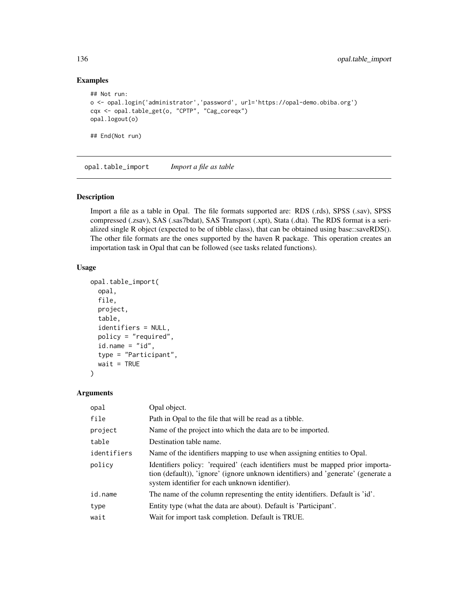```
## Not run:
o <- opal.login('administrator','password', url='https://opal-demo.obiba.org')
cqx <- opal.table_get(o, "CPTP", "Cag_coreqx")
opal.logout(o)
## End(Not run)
```
<span id="page-135-0"></span>opal.table\_import *Import a file as table*

## Description

Import a file as a table in Opal. The file formats supported are: RDS (.rds), SPSS (.sav), SPSS compressed (.zsav), SAS (.sas7bdat), SAS Transport (.xpt), Stata (.dta). The RDS format is a serialized single R object (expected to be of tibble class), that can be obtained using base::saveRDS(). The other file formats are the ones supported by the haven R package. This operation creates an importation task in Opal that can be followed (see tasks related functions).

## Usage

```
opal.table_import(
  opal,
  file,
 project,
  table,
  identifiers = NULL,
  policy = "required",
  id.name = "id",type = "Participant",
  wait = TRUE)
```
#### Arguments

| opal        | Opal object.                                                                                                                                                                                                          |
|-------------|-----------------------------------------------------------------------------------------------------------------------------------------------------------------------------------------------------------------------|
| file        | Path in Opal to the file that will be read as a tibble.                                                                                                                                                               |
| project     | Name of the project into which the data are to be imported.                                                                                                                                                           |
| table       | Destination table name.                                                                                                                                                                                               |
| identifiers | Name of the identifiers mapping to use when assigning entities to Opal.                                                                                                                                               |
| policy      | Identifiers policy: 'required' (each identifiers must be mapped prior importa-<br>tion (default), 'ignore' (ignore unknown identifiers) and 'generate' (generate a<br>system identifier for each unknown identifier). |
| id.name     | The name of the column representing the entity identifiers. Default is 'id'.                                                                                                                                          |
| type        | Entity type (what the data are about). Default is 'Participant'.                                                                                                                                                      |
| wait        | Wait for import task completion. Default is TRUE.                                                                                                                                                                     |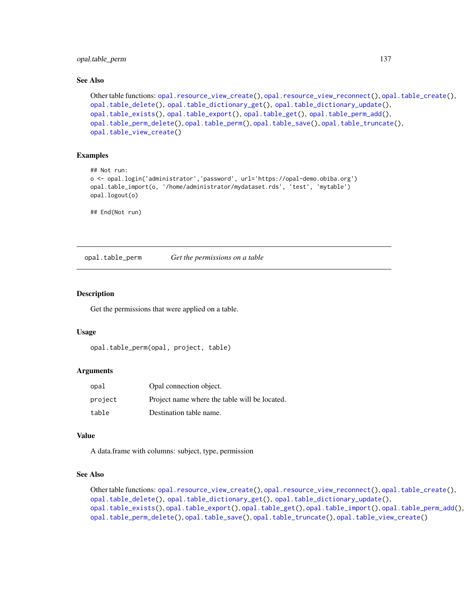opal.table\_perm 137

#### See Also

```
Other table functions: opal.resource_view_create(), opal.resource_view_reconnect(), opal.table_create(),
opal.table_delete(), opal.table_dictionary_get(), opal.table_dictionary_update(),
opal.table_exists(), opal.table_export(), opal.table_get(), opal.table_perm_add(),
opal.table_perm_delete(), opal.table_perm(), opal.table_save(), opal.table_truncate(),
opal.table_view_create()
```
## Examples

```
## Not run:
o <- opal.login('administrator','password', url='https://opal-demo.obiba.org')
opal.table_import(o, '/home/administrator/mydataset.rds', 'test', 'mytable')
opal.logout(o)
```
## End(Not run)

<span id="page-136-0"></span>opal.table\_perm *Get the permissions on a table*

## **Description**

Get the permissions that were applied on a table.

#### Usage

```
opal.table_perm(opal, project, table)
```
#### Arguments

| opal    | Opal connection object.                       |
|---------|-----------------------------------------------|
| project | Project name where the table will be located. |
| table   | Destination table name.                       |

#### Value

A data.frame with columns: subject, type, permission

## See Also

```
Other table functions: opal.resource_view_create(), opal.resource_view_reconnect(), opal.table_create(),
opal.table_delete(), opal.table_dictionary_get(), opal.table_dictionary_update(),
opal.table_exists(), opal.table_export(), opal.table_get(), opal.table_import(), opal.table_perm_add(),
opal.table_perm_delete(), opal.table_save(), opal.table_truncate(), opal.table_view_create()
```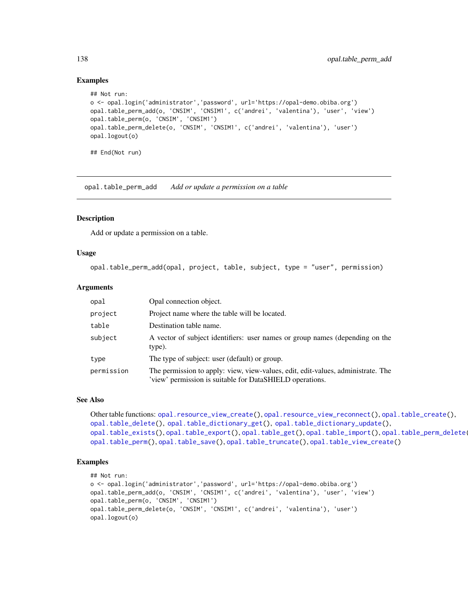```
## Not run:
o <- opal.login('administrator','password', url='https://opal-demo.obiba.org')
opal.table_perm_add(o, 'CNSIM', 'CNSIM1', c('andrei', 'valentina'), 'user', 'view')
opal.table_perm(o, 'CNSIM', 'CNSIM1')
opal.table_perm_delete(o, 'CNSIM', 'CNSIM1', c('andrei', 'valentina'), 'user')
opal.logout(o)
## End(Not run)
```
<span id="page-137-0"></span>opal.table\_perm\_add *Add or update a permission on a table*

## Description

Add or update a permission on a table.

## Usage

```
opal.table_perm_add(opal, project, table, subject, type = "user", permission)
```
#### Arguments

| opal       | Opal connection object.                                                                                                                      |
|------------|----------------------------------------------------------------------------------------------------------------------------------------------|
| project    | Project name where the table will be located.                                                                                                |
| table      | Destination table name.                                                                                                                      |
| subject    | A vector of subject identifiers: user names or group names (depending on the<br>type).                                                       |
| type       | The type of subject: user (default) or group.                                                                                                |
| permission | The permission to apply: view, view-values, edit, edit-values, administrate. The<br>'view' permission is suitable for DataSHIELD operations. |

#### See Also

```
Other table functions: opal.resource_view_create(), opal.resource_view_reconnect(), opal.table_create(),
opal.table_delete(), opal.table_dictionary_get(), opal.table_dictionary_update(),
opal.table_exists(), opal.table_export(), opal.table_get(), opal.table_import(), opal.table_perm_delete(),
opal.table_perm(), opal.table_save(), opal.table_truncate(), opal.table_view_create()
```
#### Examples

```
## Not run:
o <- opal.login('administrator','password', url='https://opal-demo.obiba.org')
opal.table_perm_add(o, 'CNSIM', 'CNSIM1', c('andrei', 'valentina'), 'user', 'view')
opal.table_perm(o, 'CNSIM', 'CNSIM1')
opal.table_perm_delete(o, 'CNSIM', 'CNSIM1', c('andrei', 'valentina'), 'user')
opal.logout(o)
```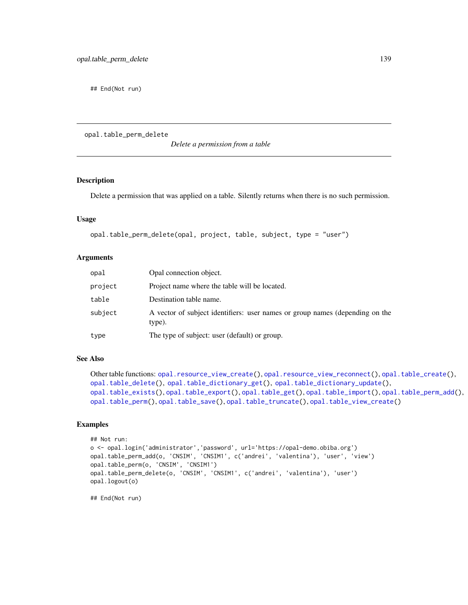## End(Not run)

<span id="page-138-0"></span>opal.table\_perm\_delete

*Delete a permission from a table*

## Description

Delete a permission that was applied on a table. Silently returns when there is no such permission.

#### Usage

```
opal.table_perm_delete(opal, project, table, subject, type = "user")
```
#### Arguments

| opal    | Opal connection object.                                                                |
|---------|----------------------------------------------------------------------------------------|
| project | Project name where the table will be located.                                          |
| table   | Destination table name.                                                                |
| subject | A vector of subject identifiers: user names or group names (depending on the<br>type). |
| type    | The type of subject: user (default) or group.                                          |

## See Also

```
Other table functions: opal.resource_view_create(), opal.resource_view_reconnect(), opal.table_create(),
opal.table_delete(), opal.table_dictionary_get(), opal.table_dictionary_update(),
opal.table_exists(), opal.table_export(), opal.table_get(), opal.table_import(), opal.table_perm_add(),
opal.table_perm(), opal.table_save(), opal.table_truncate(), opal.table_view_create()
```
## Examples

```
## Not run:
o <- opal.login('administrator','password', url='https://opal-demo.obiba.org')
opal.table_perm_add(o, 'CNSIM', 'CNSIM1', c('andrei', 'valentina'), 'user', 'view')
opal.table_perm(o, 'CNSIM', 'CNSIM1')
opal.table_perm_delete(o, 'CNSIM', 'CNSIM1', c('andrei', 'valentina'), 'user')
opal.logout(o)
```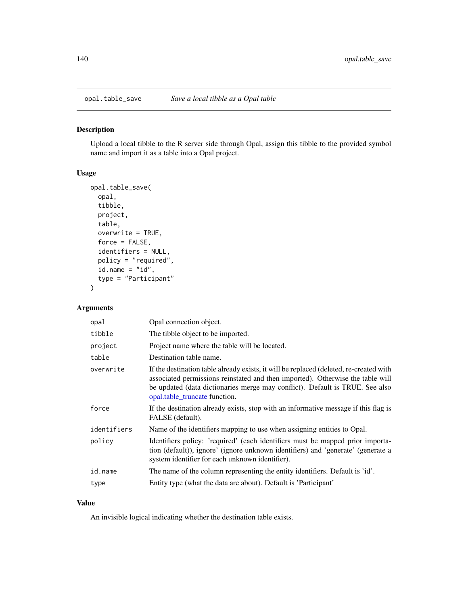<span id="page-139-0"></span>

#### Description

Upload a local tibble to the R server side through Opal, assign this tibble to the provided symbol name and import it as a table into a Opal project.

## Usage

```
opal.table_save(
  opal,
  tibble,
 project,
  table,
  overwrite = TRUE,
  force = FALSE,identifiers = NULL,
 policy = "required",
  id.name = "id",type = "Participant"
)
```
#### Arguments

| opal        | Opal connection object.                                                                                                                                                                                                                                                                   |
|-------------|-------------------------------------------------------------------------------------------------------------------------------------------------------------------------------------------------------------------------------------------------------------------------------------------|
| tibble      | The tibble object to be imported.                                                                                                                                                                                                                                                         |
| project     | Project name where the table will be located.                                                                                                                                                                                                                                             |
| table       | Destination table name.                                                                                                                                                                                                                                                                   |
| overwrite   | If the destination table already exists, it will be replaced (deleted, re-created with<br>associated permissions reinstated and then imported). Otherwise the table will<br>be updated (data dictionaries merge may conflict). Default is TRUE. See also<br>opal.table truncate function. |
| force       | If the destination already exists, stop with an informative message if this flag is<br>FALSE (default).                                                                                                                                                                                   |
| identifiers | Name of the identifiers mapping to use when assigning entities to Opal.                                                                                                                                                                                                                   |
| policy      | Identifiers policy: 'required' (each identifiers must be mapped prior importa-<br>tion (default)), ignore' (ignore unknown identifiers) and 'generate' (generate a<br>system identifier for each unknown identifier).                                                                     |
| id.name     | The name of the column representing the entity identifiers. Default is 'id'.                                                                                                                                                                                                              |
| type        | Entity type (what the data are about). Default is 'Participant'                                                                                                                                                                                                                           |

## Value

An invisible logical indicating whether the destination table exists.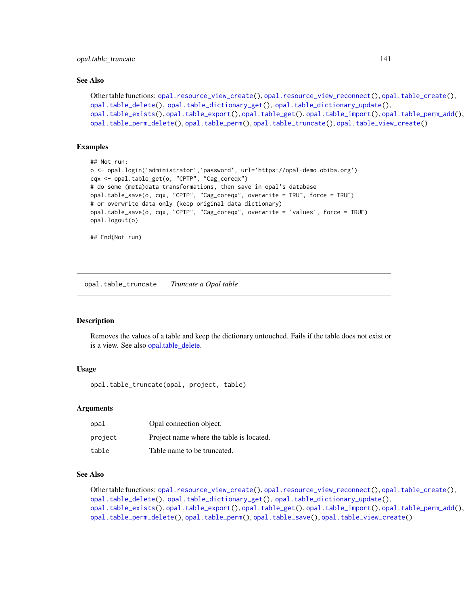#### See Also

```
Other table functions: opal.resource_view_create(), opal.resource_view_reconnect(), opal.table_create(),
opal.table_delete(), opal.table_dictionary_get(), opal.table_dictionary_update(),
opal.table_exists(), opal.table_export(), opal.table_get(), opal.table_import(), opal.table_perm_add(),
opal.table_perm_delete(), opal.table_perm(), opal.table_truncate(), opal.table_view_create()
```
## Examples

```
## Not run:
o <- opal.login('administrator','password', url='https://opal-demo.obiba.org')
cqx <- opal.table_get(o, "CPTP", "Cag_coreqx")
# do some (meta)data transformations, then save in opal's database
opal.table_save(o, cqx, "CPTP", "Cag_coreqx", overwrite = TRUE, force = TRUE)
# or overwrite data only (keep original data dictionary)
opal.table_save(o, cqx, "CPTP", "Cag_coreqx", overwrite = 'values', force = TRUE)
opal.logout(o)
## End(Not run)
```
<span id="page-140-0"></span>opal.table\_truncate *Truncate a Opal table*

#### Description

Removes the values of a table and keep the dictionary untouched. Fails if the table does not exist or is a view. See also [opal.table\\_delete.](#page-129-0)

## Usage

opal.table\_truncate(opal, project, table)

#### Arguments

| opal    | Opal connection object.                  |
|---------|------------------------------------------|
| project | Project name where the table is located. |
| table   | Table name to be truncated.              |

## See Also

Other table functions: [opal.resource\\_view\\_create\(](#page-117-0)), [opal.resource\\_view\\_reconnect\(](#page-118-0)), [opal.table\\_create\(](#page-128-0)), [opal.table\\_delete\(](#page-129-0)), [opal.table\\_dictionary\\_get\(](#page-130-1)), [opal.table\\_dictionary\\_update\(](#page-130-0)), [opal.table\\_exists\(](#page-132-0)), [opal.table\\_export\(](#page-133-0)), [opal.table\\_get\(](#page-134-0)), [opal.table\\_import\(](#page-135-0)), [opal.table\\_perm\\_add\(](#page-137-0)), [opal.table\\_perm\\_delete\(](#page-138-0)), [opal.table\\_perm\(](#page-136-0)), [opal.table\\_save\(](#page-139-0)), [opal.table\\_view\\_create\(](#page-141-0))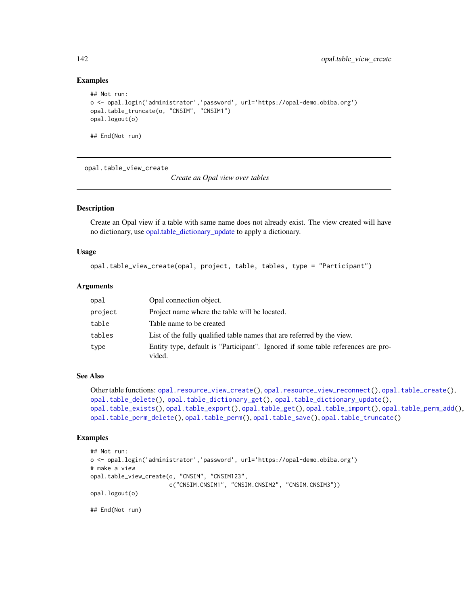```
## Not run:
o <- opal.login('administrator','password', url='https://opal-demo.obiba.org')
opal.table_truncate(o, "CNSIM", "CNSIM1")
opal.logout(o)
## End(Not run)
```
<span id="page-141-0"></span>opal.table\_view\_create

*Create an Opal view over tables*

## Description

Create an Opal view if a table with same name does not already exist. The view created will have no dictionary, use [opal.table\\_dictionary\\_update](#page-130-0) to apply a dictionary.

#### Usage

```
opal.table_view_create(opal, project, table, tables, type = "Participant")
```
#### Arguments

| opal    | Opal connection object.                                                                    |
|---------|--------------------------------------------------------------------------------------------|
| project | Project name where the table will be located.                                              |
| table   | Table name to be created                                                                   |
| tables  | List of the fully qualified table names that are referred by the view.                     |
| type    | Entity type, default is "Participant". Ignored if some table references are pro-<br>vided. |

## See Also

```
Other table functions: opal.resource_view_create(), opal.resource_view_reconnect(), opal.table_create(),
opal.table_delete(), opal.table_dictionary_get(), opal.table_dictionary_update(),
opal.table_exists(), opal.table_export(), opal.table_get(), opal.table_import(), opal.table_perm_add(),
opal.table_perm_delete(), opal.table_perm(), opal.table_save(), opal.table_truncate()
```
#### Examples

```
## Not run:
o <- opal.login('administrator','password', url='https://opal-demo.obiba.org')
# make a view
opal.table_view_create(o, "CNSIM", "CNSIM123",
                       c("CNSIM.CNSIM1", "CNSIM.CNSIM2", "CNSIM.CNSIM3"))
opal.logout(o)
```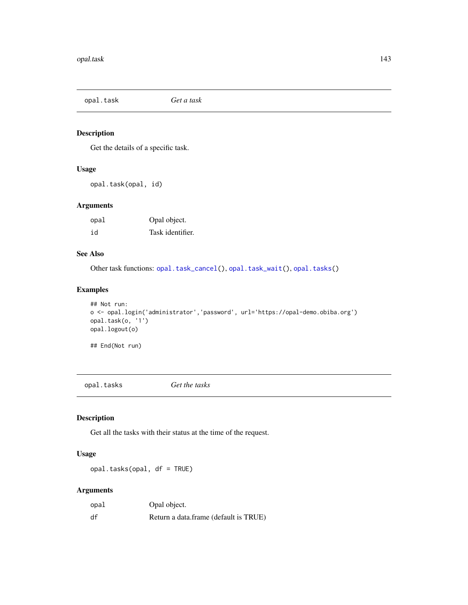<span id="page-142-1"></span>opal.task *Get a task*

## Description

Get the details of a specific task.

## Usage

opal.task(opal, id)

## Arguments

| opal | Opal object.     |
|------|------------------|
| id   | Task identifier. |

## See Also

Other task functions: [opal.task\\_cancel\(](#page-143-0)), [opal.task\\_wait\(](#page-144-0)), [opal.tasks\(](#page-142-0))

## Examples

```
## Not run:
o <- opal.login('administrator','password', url='https://opal-demo.obiba.org')
opal.task(o, '1')
opal.logout(o)
```
## End(Not run)

<span id="page-142-0"></span>opal.tasks *Get the tasks*

## Description

Get all the tasks with their status at the time of the request.

## Usage

opal.tasks(opal, df = TRUE)

## Arguments

| opal | Opal object.                          |
|------|---------------------------------------|
| df   | Return a data.frame (default is TRUE) |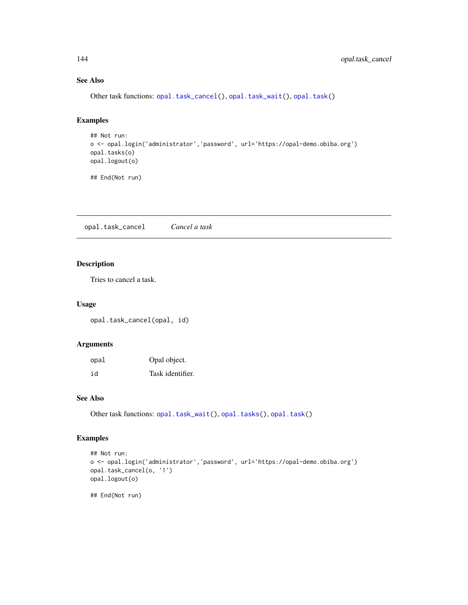## See Also

Other task functions: [opal.task\\_cancel\(](#page-143-0)), [opal.task\\_wait\(](#page-144-0)), [opal.task\(](#page-142-1))

## Examples

```
## Not run:
o <- opal.login('administrator','password', url='https://opal-demo.obiba.org')
opal.tasks(o)
opal.logout(o)
```
## End(Not run)

<span id="page-143-0"></span>opal.task\_cancel *Cancel a task*

## Description

Tries to cancel a task.

#### Usage

opal.task\_cancel(opal, id)

## Arguments

| opal | Opal object.     |
|------|------------------|
| id   | Task identifier. |

## See Also

Other task functions: [opal.task\\_wait\(](#page-144-0)), [opal.tasks\(](#page-142-0)), [opal.task\(](#page-142-1))

## Examples

```
## Not run:
o <- opal.login('administrator','password', url='https://opal-demo.obiba.org')
opal.task_cancel(o, '1')
opal.logout(o)
## End(Not run)
```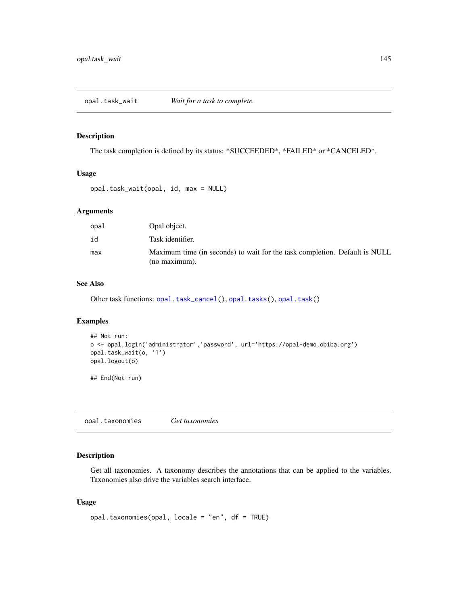<span id="page-144-1"></span>opal.task\_wait *Wait for a task to complete.*

#### Description

The task completion is defined by its status: \*SUCCEEDED\*, \*FAILED\* or \*CANCELED\*.

#### Usage

```
opal.task_wait(opal, id, max = NULL)
```
# Arguments

| opal | Opal object.                                                                                |
|------|---------------------------------------------------------------------------------------------|
| id   | Task identifier.                                                                            |
| max  | Maximum time (in seconds) to wait for the task completion. Default is NULL<br>(no maximum). |

#### See Also

Other task functions: [opal.task\\_cancel\(](#page-143-0)), [opal.tasks\(](#page-142-0)), [opal.task\(](#page-142-1))

# Examples

```
## Not run:
o <- opal.login('administrator','password', url='https://opal-demo.obiba.org')
opal.task_wait(o, '1')
opal.logout(o)
```
## End(Not run)

<span id="page-144-0"></span>opal.taxonomies *Get taxonomies*

# Description

Get all taxonomies. A taxonomy describes the annotations that can be applied to the variables. Taxonomies also drive the variables search interface.

#### Usage

```
opal.taxonomies(opal, locale = "en", df = TRUE)
```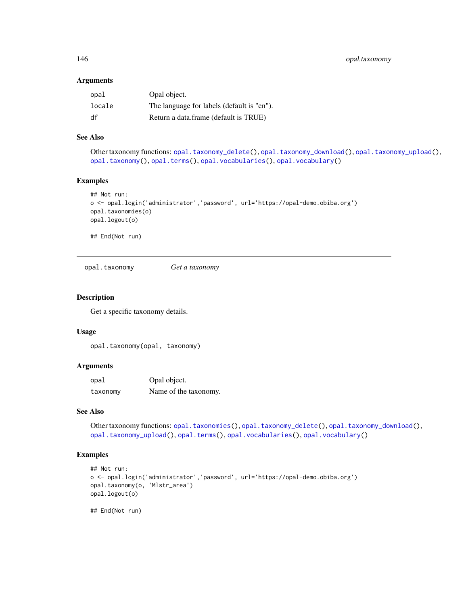#### Arguments

| opal   | Opal object.                               |
|--------|--------------------------------------------|
| locale | The language for labels (default is "en"). |
| df     | Return a data.frame (default is TRUE)      |

#### See Also

Other taxonomy functions: [opal.taxonomy\\_delete\(](#page-146-0)), [opal.taxonomy\\_download\(](#page-146-1)), [opal.taxonomy\\_upload\(](#page-147-0)), [opal.taxonomy\(](#page-145-0)), [opal.terms\(](#page-148-0)), [opal.vocabularies\(](#page-159-0)), [opal.vocabulary\(](#page-160-0))

# Examples

```
## Not run:
o <- opal.login('administrator','password', url='https://opal-demo.obiba.org')
opal.taxonomies(o)
opal.logout(o)
```
## End(Not run)

<span id="page-145-0"></span>opal.taxonomy *Get a taxonomy*

#### Description

Get a specific taxonomy details.

#### Usage

```
opal.taxonomy(opal, taxonomy)
```
# Arguments

| opal     | Opal object.          |
|----------|-----------------------|
| taxonomy | Name of the taxonomy. |

# See Also

Other taxonomy functions: [opal.taxonomies\(](#page-144-0)), [opal.taxonomy\\_delete\(](#page-146-0)), [opal.taxonomy\\_download\(](#page-146-1)), [opal.taxonomy\\_upload\(](#page-147-0)), [opal.terms\(](#page-148-0)), [opal.vocabularies\(](#page-159-0)), [opal.vocabulary\(](#page-160-0))

# Examples

```
## Not run:
o <- opal.login('administrator','password', url='https://opal-demo.obiba.org')
opal.taxonomy(o, 'Mlstr_area')
opal.logout(o)
```
## End(Not run)

<span id="page-145-1"></span>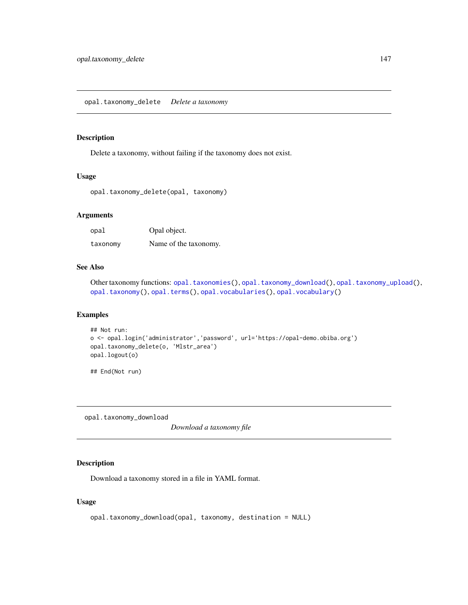# <span id="page-146-2"></span><span id="page-146-0"></span>Description

Delete a taxonomy, without failing if the taxonomy does not exist.

#### Usage

```
opal.taxonomy_delete(opal, taxonomy)
```
# Arguments

| opal     | Opal object.          |
|----------|-----------------------|
| taxonomy | Name of the taxonomy. |

# See Also

Other taxonomy functions: [opal.taxonomies\(](#page-144-0)), [opal.taxonomy\\_download\(](#page-146-1)), [opal.taxonomy\\_upload\(](#page-147-0)), [opal.taxonomy\(](#page-145-0)), [opal.terms\(](#page-148-0)), [opal.vocabularies\(](#page-159-0)), [opal.vocabulary\(](#page-160-0))

# Examples

```
## Not run:
o <- opal.login('administrator','password', url='https://opal-demo.obiba.org')
opal.taxonomy_delete(o, 'Mlstr_area')
opal.logout(o)
```
## End(Not run)

<span id="page-146-1"></span>opal.taxonomy\_download

*Download a taxonomy file*

## Description

Download a taxonomy stored in a file in YAML format.

#### Usage

```
opal.taxonomy_download(opal, taxonomy, destination = NULL)
```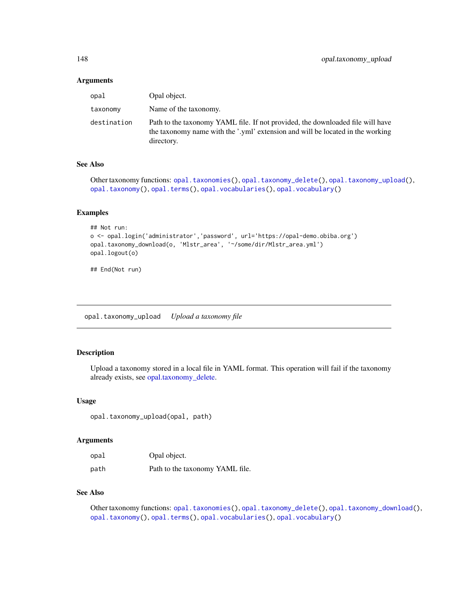#### <span id="page-147-1"></span>Arguments

| opal        | Opal object.                                                                                                                                                                   |
|-------------|--------------------------------------------------------------------------------------------------------------------------------------------------------------------------------|
| taxonomy    | Name of the taxonomy.                                                                                                                                                          |
| destination | Path to the taxonomy YAML file. If not provided, the downloaded file will have<br>the taxonomy name with the '.yml' extension and will be located in the working<br>directory. |

# See Also

Other taxonomy functions: [opal.taxonomies\(](#page-144-0)), [opal.taxonomy\\_delete\(](#page-146-0)), [opal.taxonomy\\_upload\(](#page-147-0)), [opal.taxonomy\(](#page-145-0)), [opal.terms\(](#page-148-0)), [opal.vocabularies\(](#page-159-0)), [opal.vocabulary\(](#page-160-0))

#### Examples

```
## Not run:
o <- opal.login('administrator','password', url='https://opal-demo.obiba.org')
opal.taxonomy_download(o, 'Mlstr_area', '~/some/dir/Mlstr_area.yml')
opal.logout(o)
```
## End(Not run)

<span id="page-147-0"></span>opal.taxonomy\_upload *Upload a taxonomy file*

# Description

Upload a taxonomy stored in a local file in YAML format. This operation will fail if the taxonomy already exists, see [opal.taxonomy\\_delete.](#page-146-0)

#### Usage

opal.taxonomy\_upload(opal, path)

#### Arguments

| opal | Opal object.                    |
|------|---------------------------------|
| path | Path to the taxonomy YAML file. |

# See Also

Other taxonomy functions: [opal.taxonomies\(](#page-144-0)), [opal.taxonomy\\_delete\(](#page-146-0)), [opal.taxonomy\\_download\(](#page-146-1)), [opal.taxonomy\(](#page-145-0)), [opal.terms\(](#page-148-0)), [opal.vocabularies\(](#page-159-0)), [opal.vocabulary\(](#page-160-0))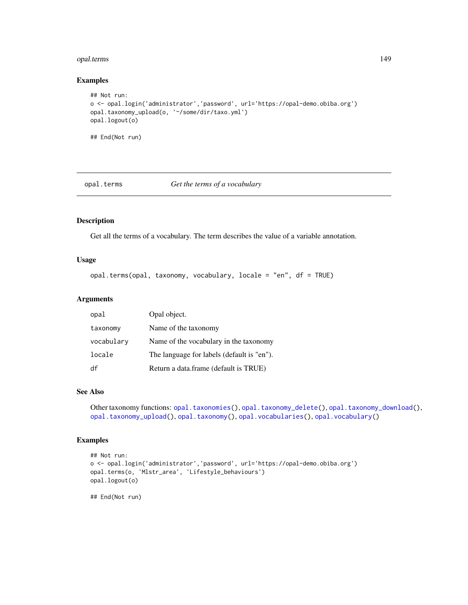# <span id="page-148-1"></span>opal.terms 149

#### Examples

```
## Not run:
o <- opal.login('administrator','password', url='https://opal-demo.obiba.org')
opal.taxonomy_upload(o, '~/some/dir/taxo.yml')
opal.logout(o)
## End(Not run)
```
# <span id="page-148-0"></span>opal.terms *Get the terms of a vocabulary*

# Description

Get all the terms of a vocabulary. The term describes the value of a variable annotation.

# Usage

```
opal.terms(opal, taxonomy, vocabulary, locale = "en", df = TRUE)
```
#### Arguments

| opal       | Opal object.                               |
|------------|--------------------------------------------|
| taxonomy   | Name of the taxonomy                       |
| vocabulary | Name of the vocabulary in the taxonomy     |
| locale     | The language for labels (default is "en"). |
| df         | Return a data.frame (default is TRUE)      |

#### See Also

Other taxonomy functions: [opal.taxonomies\(](#page-144-0)), [opal.taxonomy\\_delete\(](#page-146-0)), [opal.taxonomy\\_download\(](#page-146-1)), [opal.taxonomy\\_upload\(](#page-147-0)), [opal.taxonomy\(](#page-145-0)), [opal.vocabularies\(](#page-159-0)), [opal.vocabulary\(](#page-160-0))

#### Examples

```
## Not run:
o <- opal.login('administrator','password', url='https://opal-demo.obiba.org')
opal.terms(o, 'Mlstr_area', 'Lifestyle_behaviours')
opal.logout(o)
```
## End(Not run)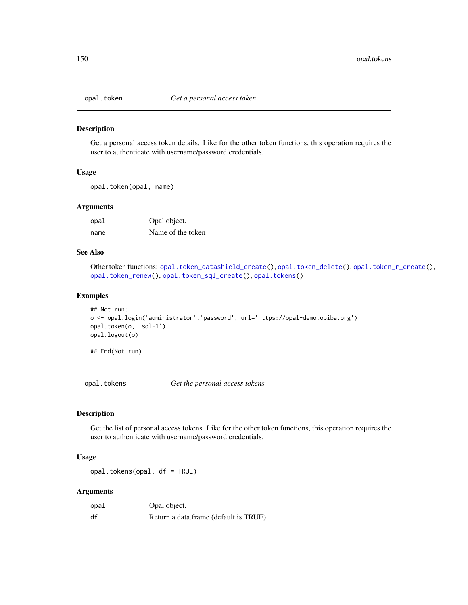<span id="page-149-2"></span><span id="page-149-1"></span>

#### Description

Get a personal access token details. Like for the other token functions, this operation requires the user to authenticate with username/password credentials.

#### Usage

opal.token(opal, name)

#### Arguments

| opal | Opal object.      |
|------|-------------------|
| name | Name of the token |

#### See Also

Other token functions: [opal.token\\_datashield\\_create\(](#page-150-0)), [opal.token\\_delete\(](#page-151-0)), [opal.token\\_r\\_create\(](#page-152-0)), [opal.token\\_renew\(](#page-152-1)), [opal.token\\_sql\\_create\(](#page-153-0)), [opal.tokens\(](#page-149-0))

#### Examples

```
## Not run:
o <- opal.login('administrator','password', url='https://opal-demo.obiba.org')
opal.token(o, 'sql-1')
opal.logout(o)
```
## End(Not run)

<span id="page-149-0"></span>opal.tokens *Get the personal access tokens*

#### Description

Get the list of personal access tokens. Like for the other token functions, this operation requires the user to authenticate with username/password credentials.

#### Usage

opal.tokens(opal, df = TRUE)

#### Arguments

| opal | Opal object.                          |
|------|---------------------------------------|
| df   | Return a data.frame (default is TRUE) |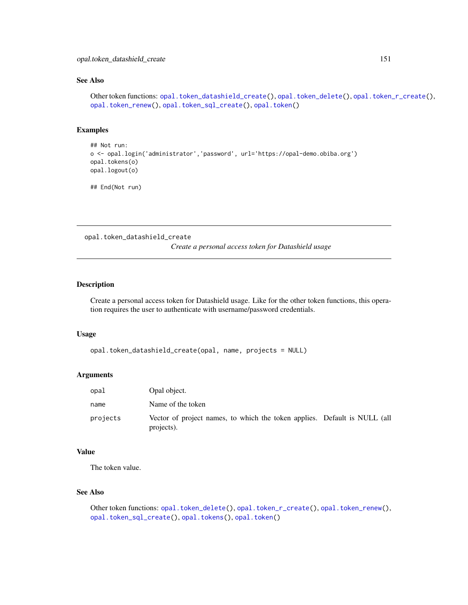# <span id="page-150-1"></span>See Also

```
Other token functions: opal.token_datashield_create(), opal.token_delete(), opal.token_r_create(),
opal.token_renew(), opal.token_sql_create(), opal.token()
```
# Examples

```
## Not run:
o <- opal.login('administrator','password', url='https://opal-demo.obiba.org')
opal.tokens(o)
opal.logout(o)
```
## End(Not run)

<span id="page-150-0"></span>opal.token\_datashield\_create

*Create a personal access token for Datashield usage*

#### Description

Create a personal access token for Datashield usage. Like for the other token functions, this operation requires the user to authenticate with username/password credentials.

#### Usage

```
opal.token_datashield_create(opal, name, projects = NULL)
```
#### **Arguments**

| opal     | Opal object.                                                                            |  |
|----------|-----------------------------------------------------------------------------------------|--|
| name     | Name of the token                                                                       |  |
| projects | Vector of project names, to which the token applies. Default is NULL (all<br>projects). |  |

#### Value

The token value.

# See Also

```
Other token functions: opal.token_delete(), opal.token_r_create(), opal.token_renew(),
opal.token_sql_create(), opal.tokens(), opal.token()
```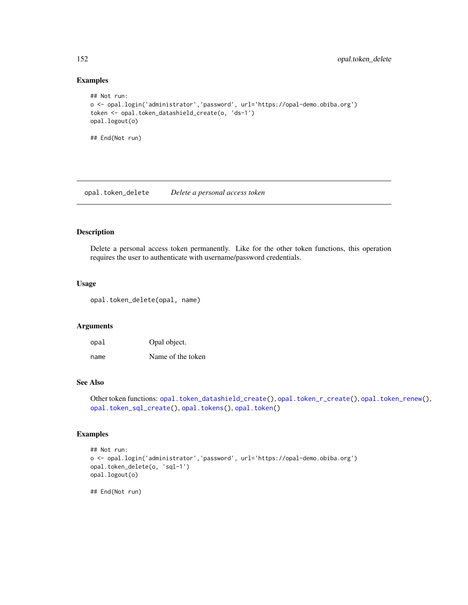# Examples

```
## Not run:
o <- opal.login('administrator','password', url='https://opal-demo.obiba.org')
token <- opal.token_datashield_create(o, 'ds-1')
opal.logout(o)
## End(Not run)
```
<span id="page-151-0"></span>opal.token\_delete *Delete a personal access token*

#### Description

Delete a personal access token permanently. Like for the other token functions, this operation requires the user to authenticate with username/password credentials.

#### Usage

opal.token\_delete(opal, name)

#### Arguments

| opal | Opal object.      |
|------|-------------------|
| name | Name of the token |

#### See Also

Other token functions: [opal.token\\_datashield\\_create\(](#page-150-0)), [opal.token\\_r\\_create\(](#page-152-0)), [opal.token\\_renew\(](#page-152-1)), [opal.token\\_sql\\_create\(](#page-153-0)), [opal.tokens\(](#page-149-0)), [opal.token\(](#page-149-1))

#### Examples

```
## Not run:
o <- opal.login('administrator','password', url='https://opal-demo.obiba.org')
opal.token_delete(o, 'sql-1')
opal.logout(o)
## End(Not run)
```
<span id="page-151-1"></span>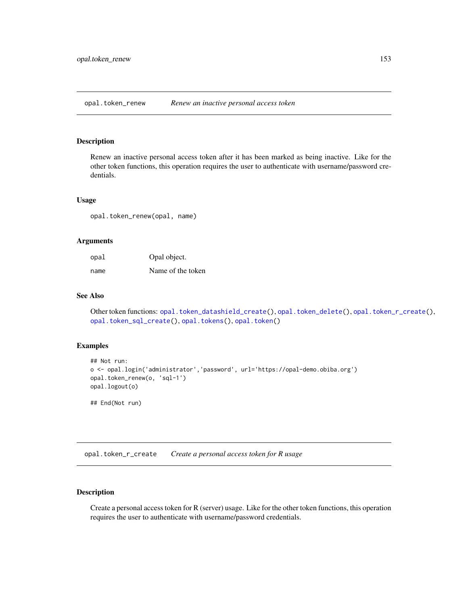<span id="page-152-2"></span><span id="page-152-1"></span>opal.token\_renew *Renew an inactive personal access token*

#### Description

Renew an inactive personal access token after it has been marked as being inactive. Like for the other token functions, this operation requires the user to authenticate with username/password credentials.

#### Usage

opal.token\_renew(opal, name)

#### Arguments

| opal | Opal object.      |
|------|-------------------|
| name | Name of the token |

# See Also

Other token functions: [opal.token\\_datashield\\_create\(](#page-150-0)), [opal.token\\_delete\(](#page-151-0)), [opal.token\\_r\\_create\(](#page-152-0)), [opal.token\\_sql\\_create\(](#page-153-0)), [opal.tokens\(](#page-149-0)), [opal.token\(](#page-149-1))

#### Examples

```
## Not run:
o <- opal.login('administrator','password', url='https://opal-demo.obiba.org')
opal.token_renew(o, 'sql-1')
opal.logout(o)
## End(Not run)
```
<span id="page-152-0"></span>opal.token\_r\_create *Create a personal access token for R usage*

# Description

Create a personal access token for R (server) usage. Like for the other token functions, this operation requires the user to authenticate with username/password credentials.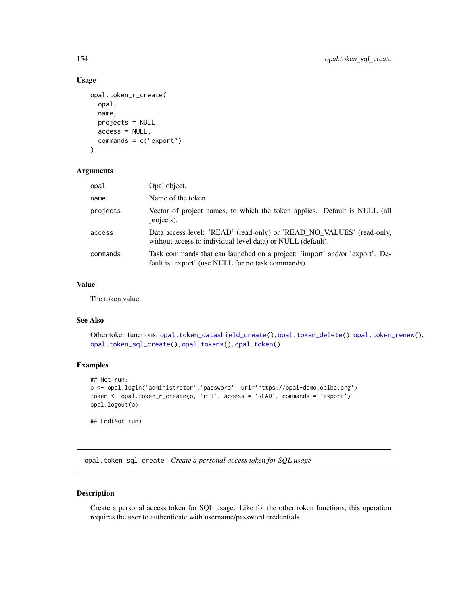# Usage

```
opal.token_r_create(
  opal,
  name,
 projects = NULL,
 access = NULL,
  commands = c("export")
)
```
#### Arguments

| opal     | Opal object.                                                                                                                         |
|----------|--------------------------------------------------------------------------------------------------------------------------------------|
| name     | Name of the token                                                                                                                    |
| projects | Vector of project names, to which the token applies. Default is NULL (all<br>projects).                                              |
| access   | Data access level: 'READ' (read-only) or 'READ_NO_VALUES' (read-only,<br>without access to individual-level data) or NULL (default). |
| commands | Task commands that can launched on a project: 'import' and/or 'export'. De-<br>fault is 'export' (use NULL for no task commands).    |

#### Value

The token value.

# See Also

```
Other token functions: opal.token_datashield_create(), opal.token_delete(), opal.token_renew(),
opal.token_sql_create(), opal.tokens(), opal.token()
```
# Examples

```
## Not run:
o <- opal.login('administrator','password', url='https://opal-demo.obiba.org')
token <- opal.token_r_create(o, 'r-1', access = 'READ', commands = 'export')
opal.logout(o)
## End(Not run)
```
<span id="page-153-0"></span>opal.token\_sql\_create *Create a personal access token for SQL usage*

#### Description

Create a personal access token for SQL usage. Like for the other token functions, this operation requires the user to authenticate with username/password credentials.

<span id="page-153-1"></span>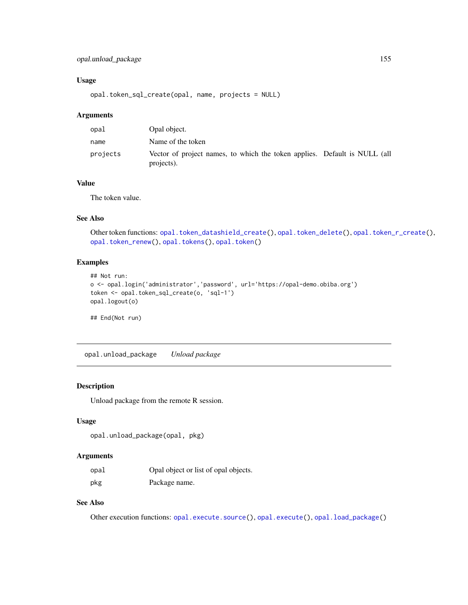# <span id="page-154-0"></span>opal.unload\_package 155

# Usage

opal.token\_sql\_create(opal, name, projects = NULL)

#### Arguments

| opal     | Opal object.                                                                            |  |
|----------|-----------------------------------------------------------------------------------------|--|
| name     | Name of the token                                                                       |  |
| projects | Vector of project names, to which the token applies. Default is NULL (all<br>projects). |  |

#### Value

The token value.

# See Also

Other token functions: [opal.token\\_datashield\\_create\(](#page-150-0)), [opal.token\\_delete\(](#page-151-0)), [opal.token\\_r\\_create\(](#page-152-0)), [opal.token\\_renew\(](#page-152-1)), [opal.tokens\(](#page-149-0)), [opal.token\(](#page-149-1))

# Examples

```
## Not run:
o <- opal.login('administrator','password', url='https://opal-demo.obiba.org')
token <- opal.token_sql_create(o, 'sql-1')
opal.logout(o)
```
## End(Not run)

opal.unload\_package *Unload package*

# Description

Unload package from the remote R session.

#### Usage

```
opal.unload_package(opal, pkg)
```
#### Arguments

| opal | Opal object or list of opal objects. |
|------|--------------------------------------|
| pkg  | Package name.                        |

# See Also

Other execution functions: [opal.execute.source\(](#page-77-0)), [opal.execute\(](#page-76-0)), [opal.load\\_package\(](#page-89-0))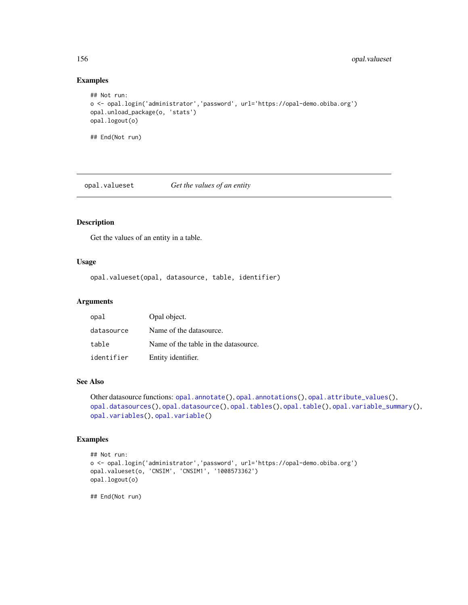# Examples

```
## Not run:
o <- opal.login('administrator','password', url='https://opal-demo.obiba.org')
opal.unload_package(o, 'stats')
opal.logout(o)
## End(Not run)
```
<span id="page-155-0"></span>opal.valueset *Get the values of an entity*

# Description

Get the values of an entity in a table.

#### Usage

opal.valueset(opal, datasource, table, identifier)

#### Arguments

| opal       | Opal object.                         |
|------------|--------------------------------------|
| datasource | Name of the datasource.              |
| table      | Name of the table in the datasource. |
| identifier | Entity identifier.                   |

#### See Also

```
Other datasource functions: opal.annotate(), opal.annotations(), opal.attribute_values(),
opal.datasources(opal.datasource(opal.tables(opal.table(opal.variable_summary(),
opal.variables(), opal.variable()
```
#### Examples

```
## Not run:
o <- opal.login('administrator','password', url='https://opal-demo.obiba.org')
opal.valueset(o, 'CNSIM', 'CNSIM1', '1008573362')
opal.logout(o)
## End(Not run)
```
<span id="page-155-1"></span>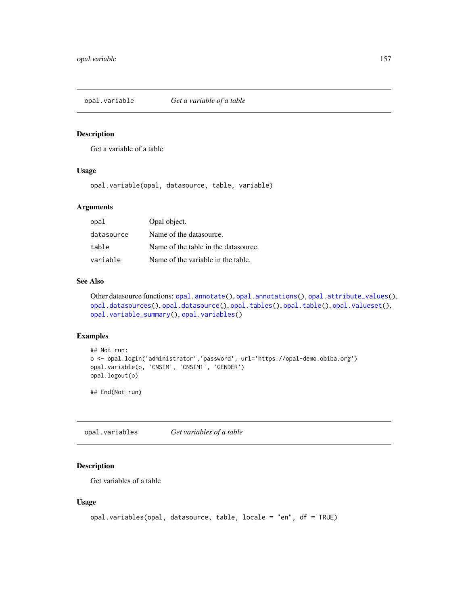<span id="page-156-2"></span><span id="page-156-1"></span>opal.variable *Get a variable of a table*

# Description

Get a variable of a table

#### Usage

opal.variable(opal, datasource, table, variable)

#### Arguments

| opal       | Opal object.                         |
|------------|--------------------------------------|
| datasource | Name of the datasource.              |
| table      | Name of the table in the datasource. |
| variable   | Name of the variable in the table.   |

#### See Also

```
Other datasource functions: opal.annotate(), opal.annotations(), opal.attribute_values(),
opal.datasources(), opal.datasource(), opal.tables(), opal.table(), opal.valueset(),
opal.variable_summary(), opal.variables()
```
# Examples

```
## Not run:
o <- opal.login('administrator','password', url='https://opal-demo.obiba.org')
opal.variable(o, 'CNSIM', 'CNSIM1', 'GENDER')
opal.logout(o)
```
## End(Not run)

<span id="page-156-0"></span>opal.variables *Get variables of a table*

# Description

Get variables of a table

#### Usage

```
opal.variables(opal, datasource, table, locale = "en", df = TRUE)
```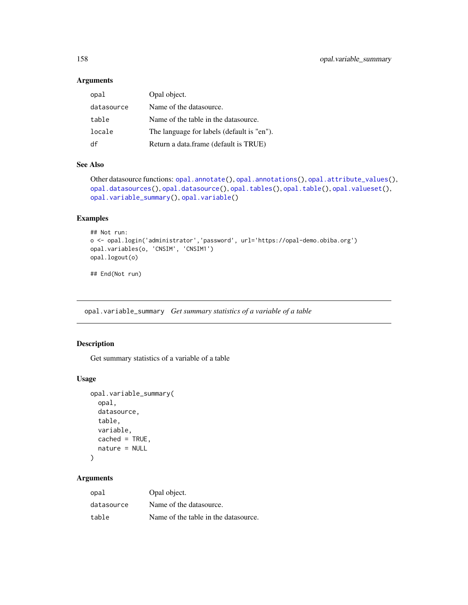# <span id="page-157-1"></span>Arguments

| opal       | Opal object.                               |
|------------|--------------------------------------------|
| datasource | Name of the datasource.                    |
| table      | Name of the table in the datasource.       |
| locale     | The language for labels (default is "en"). |
| df         | Return a data.frame (default is TRUE)      |

# See Also

```
Other datasource functions: opal.annotate(), opal.annotations(), opal.attribute_values(),
opal.datasources(), opal.datasource(), opal.tables(), opal.table(), opal.valueset(),
opal.variable_summary(), opal.variable()
```
# Examples

```
## Not run:
o <- opal.login('administrator','password', url='https://opal-demo.obiba.org')
opal.variables(o, 'CNSIM', 'CNSIM1')
opal.logout(o)
```
## End(Not run)

<span id="page-157-0"></span>opal.variable\_summary *Get summary statistics of a variable of a table*

# Description

Get summary statistics of a variable of a table

#### Usage

```
opal.variable_summary(
  opal,
  datasource,
  table,
  variable,
  cached = TRUE,
 nature = NULL
```

```
)
```
# Arguments

| opal       | Opal object.                         |
|------------|--------------------------------------|
| datasource | Name of the datasource.              |
| table      | Name of the table in the datasource. |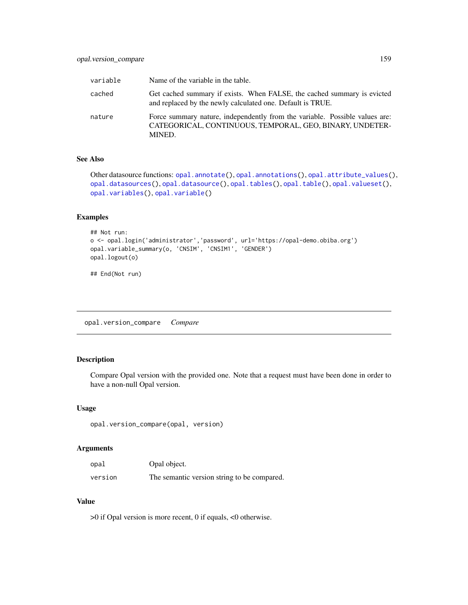<span id="page-158-0"></span>

| variable | Name of the variable in the table.                                                                                                                |
|----------|---------------------------------------------------------------------------------------------------------------------------------------------------|
| cached   | Get cached summary if exists. When FALSE, the cached summary is evicted<br>and replaced by the newly calculated one. Default is TRUE.             |
| nature   | Force summary nature, independently from the variable. Possible values are:<br>CATEGORICAL, CONTINUOUS, TEMPORAL, GEO, BINARY, UNDETER-<br>MINED. |

# See Also

```
opal.annotate(opal.annotations(opal.attribute_values(),
opal.datasources(), opal.datasource(), opal.tables(), opal.table(), opal.valueset(),
opal.variables(), opal.variable()
```
# Examples

```
## Not run:
o <- opal.login('administrator','password', url='https://opal-demo.obiba.org')
opal.variable_summary(o, 'CNSIM', 'CNSIM1', 'GENDER')
opal.logout(o)
```
## End(Not run)

opal.version\_compare *Compare*

# Description

Compare Opal version with the provided one. Note that a request must have been done in order to have a non-null Opal version.

#### Usage

```
opal.version_compare(opal, version)
```
#### Arguments

| opal    | Opal object.                                |
|---------|---------------------------------------------|
| version | The semantic version string to be compared. |

#### Value

>0 if Opal version is more recent, 0 if equals, <0 otherwise.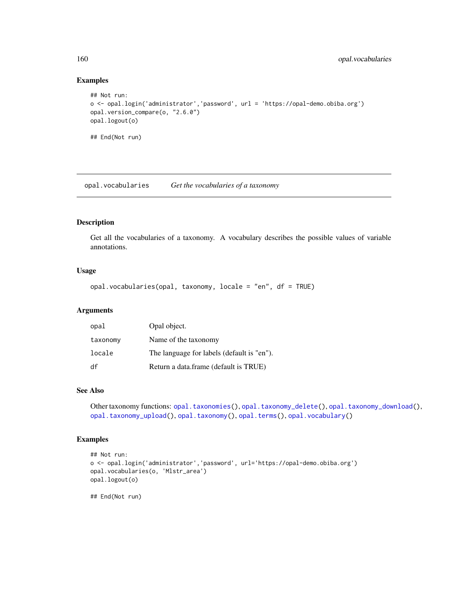#### Examples

```
## Not run:
o <- opal.login('administrator','password', url = 'https://opal-demo.obiba.org')
opal.version_compare(o, "2.6.0")
opal.logout(o)
## End(Not run)
```
<span id="page-159-0"></span>opal.vocabularies *Get the vocabularies of a taxonomy*

# Description

Get all the vocabularies of a taxonomy. A vocabulary describes the possible values of variable annotations.

#### Usage

```
opal.vocabularies(opal, taxonomy, locale = "en", df = TRUE)
```
# Arguments

| opal     | Opal object.                               |
|----------|--------------------------------------------|
| taxonomy | Name of the taxonomy                       |
| locale   | The language for labels (default is "en"). |
| df       | Return a data.frame (default is TRUE)      |

# See Also

Other taxonomy functions: [opal.taxonomies\(](#page-144-0)), [opal.taxonomy\\_delete\(](#page-146-0)), [opal.taxonomy\\_download\(](#page-146-1)), [opal.taxonomy\\_upload\(](#page-147-0)), [opal.taxonomy\(](#page-145-0)), [opal.terms\(](#page-148-0)), [opal.vocabulary\(](#page-160-0))

#### Examples

```
## Not run:
o <- opal.login('administrator','password', url='https://opal-demo.obiba.org')
opal.vocabularies(o, 'Mlstr_area')
opal.logout(o)
## End(Not run)
```
<span id="page-159-1"></span>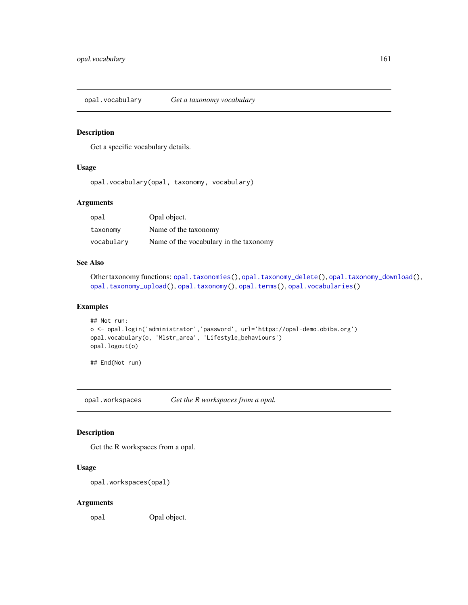<span id="page-160-2"></span><span id="page-160-0"></span>opal.vocabulary *Get a taxonomy vocabulary*

#### Description

Get a specific vocabulary details.

# Usage

opal.vocabulary(opal, taxonomy, vocabulary)

# Arguments

| opal       | Opal object.                           |
|------------|----------------------------------------|
| taxonomy   | Name of the taxonomy                   |
| vocabulary | Name of the vocabulary in the taxonomy |

#### See Also

Other taxonomy functions: [opal.taxonomies\(](#page-144-0)), [opal.taxonomy\\_delete\(](#page-146-0)), [opal.taxonomy\\_download\(](#page-146-1)), [opal.taxonomy\\_upload\(](#page-147-0)), [opal.taxonomy\(](#page-145-0)), [opal.terms\(](#page-148-0)), [opal.vocabularies\(](#page-159-0))

# Examples

```
## Not run:
o <- opal.login('administrator','password', url='https://opal-demo.obiba.org')
opal.vocabulary(o, 'Mlstr_area', 'Lifestyle_behaviours')
opal.logout(o)
```
## End(Not run)

<span id="page-160-1"></span>opal.workspaces *Get the R workspaces from a opal.*

# Description

Get the R workspaces from a opal.

#### Usage

```
opal.workspaces(opal)
```
#### Arguments

opal Opal object.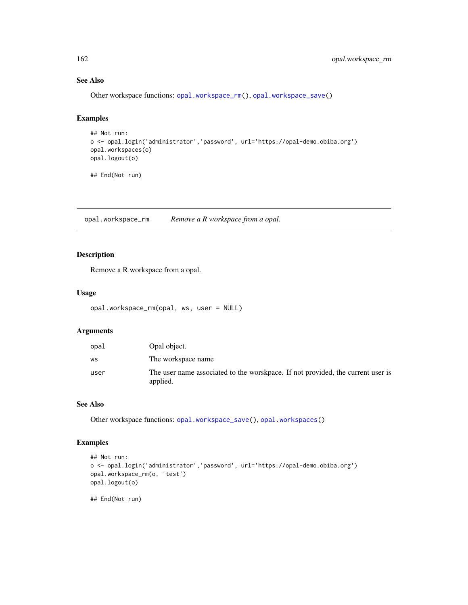# See Also

Other workspace functions: [opal.workspace\\_rm\(](#page-161-0)), [opal.workspace\\_save\(](#page-162-0))

# Examples

```
## Not run:
o <- opal.login('administrator','password', url='https://opal-demo.obiba.org')
opal.workspaces(o)
opal.logout(o)
```
## End(Not run)

<span id="page-161-0"></span>opal.workspace\_rm *Remove a R workspace from a opal.*

# Description

Remove a R workspace from a opal.

#### Usage

```
opal.workspace_rm(opal, ws, user = NULL)
```
#### Arguments

| opal | Opal object.                                                                                |
|------|---------------------------------------------------------------------------------------------|
| WS   | The workspace name                                                                          |
| user | The user name associated to the worskpace. If not provided, the current user is<br>applied. |

#### See Also

Other workspace functions: [opal.workspace\\_save\(](#page-162-0)), [opal.workspaces\(](#page-160-1))

#### Examples

```
## Not run:
o <- opal.login('administrator','password', url='https://opal-demo.obiba.org')
opal.workspace_rm(o, 'test')
opal.logout(o)
## End(Not run)
```
<span id="page-161-1"></span>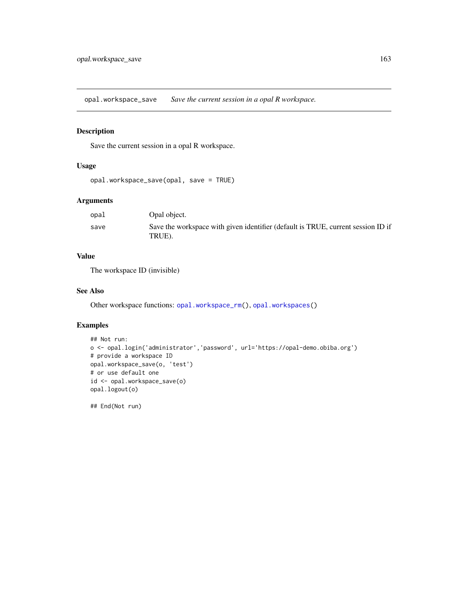<span id="page-162-1"></span><span id="page-162-0"></span>opal.workspace\_save *Save the current session in a opal R workspace.*

# Description

Save the current session in a opal R workspace.

# Usage

```
opal.workspace_save(opal, save = TRUE)
```
# Arguments

| opal | Opal object.                                                                               |
|------|--------------------------------------------------------------------------------------------|
| save | Save the workspace with given identifier (default is TRUE, current session ID if<br>TRUE). |

# Value

The workspace ID (invisible)

# See Also

Other workspace functions: [opal.workspace\\_rm\(](#page-161-0)), [opal.workspaces\(](#page-160-1))

# Examples

```
## Not run:
o <- opal.login('administrator','password', url='https://opal-demo.obiba.org')
# provide a workspace ID
opal.workspace_save(o, 'test')
# or use default one
id <- opal.workspace_save(o)
opal.logout(o)
```
## End(Not run)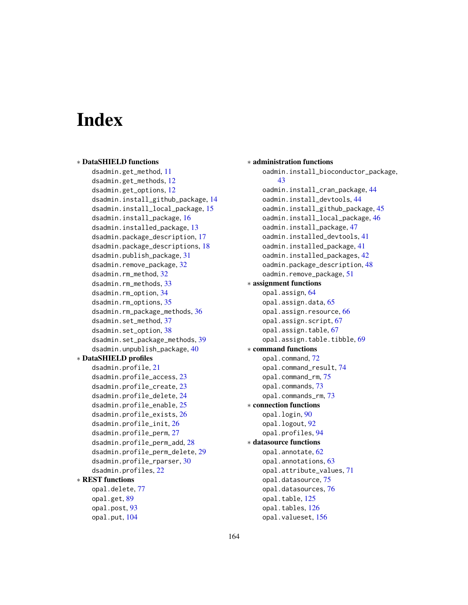# **Index**

```
∗ DataSHIELD functions
    dsadmin.get_method, 11
    dsadmin.get_methods, 12
    dsadmin.get_options, 12
    dsadmin.install_github_package, 14
    dsadmin.install_local_package, 15
    dsadmin.install_package, 16
    dsadmin.installed_package, 13
    dsadmin.package_description, 17
    dsadmin.package_descriptions, 18
    dsadmin.publish_package, 31
    dsadmin.remove_package, 32
    dsadmin.rm_method, 32
    dsadmin.rm_methods, 33
    dsadmin.rm_option, 34
    dsadmin.rm_options, 35
    dsadmin.rm_package_methods, 36
    37
    dsadmin.set_option, 38
    dsadmin.set_package_methods, 39
    dsadmin.unpublish_package, 40
∗ DataSHIELD profiles
    dsadmin.profile, 21
    dsadmin.profile_access, 23
    dsadmin.profile_create, 23
    dsadmin.profile_delete, 24
    dsadmin.profile_enable, 25
    dsadmin.profile_exists, 26
    dsadmin.profile_init, 26
    dsadmin.profile_perm, 27
    dsadmin.profile_perm_add, 28
    dsadmin.profile_perm_delete, 29
    dsadmin.profile_rparser, 30
    dsadmin.profiles, 22
∗ REST functions
    opal.delete, 77
    opal.get, 89
    opal.post, 93
```
opal.put, [104](#page-103-0)

∗ administration functions oadmin.install\_bioconductor\_package, [43](#page-42-0) oadmin.install\_cran\_package, [44](#page-43-0) oadmin.install\_devtools, [44](#page-43-0) oadmin.install\_github\_package, [45](#page-44-0) oadmin.install\_local\_package, [46](#page-45-0) oadmin.install\_package, [47](#page-46-0) oadmin.installed\_devtools, [41](#page-40-0) oadmin.installed\_package, [41](#page-40-0) oadmin.installed\_packages, [42](#page-41-0) oadmin.package\_description, [48](#page-47-0) oadmin.remove\_package, [51](#page-50-0) ∗ assignment functions opal.assign, [64](#page-63-0) opal.assign.data, [65](#page-64-0) opal.assign.resource, [66](#page-65-0) opal.assign.script, [67](#page-66-0) opal.assign.table, [67](#page-66-0) opal.assign.table.tibble, [69](#page-68-0) ∗ command functions opal.command, [72](#page-71-0) opal.command\_result, [74](#page-73-0) opal.command\_rm, [75](#page-74-1) opal.commands, [73](#page-72-0) opal.commands\_rm, [73](#page-72-0) ∗ connection functions opal.login, [90](#page-89-1) opal.logout, [92](#page-91-0) opal.profiles, [94](#page-93-0) ∗ datasource functions opal.annotate, [62](#page-61-1) opal.annotations, [63](#page-62-1) opal.attribute\_values, [71](#page-70-1) opal.datasource, [75](#page-74-1) opal.datasources, [76](#page-75-1) opal.table, [125](#page-124-1) opal.tables, [126](#page-125-1) opal.valueset, [156](#page-155-1)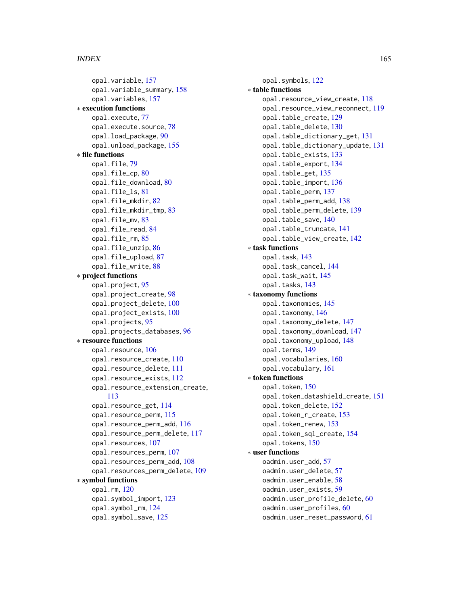#### INDEX 165

opal.variable, [157](#page-156-2) opal.variable\_summary, [158](#page-157-1) opal.variables, [157](#page-156-2) ∗ execution functions opal.execute, [77](#page-76-1) opal.execute.source, [78](#page-77-1) opal.load\_package, [90](#page-89-1) opal.unload\_package, [155](#page-154-0) ∗ file functions opal.file, [79](#page-78-0) opal.file\_cp, [80](#page-79-0) opal.file\_download, [80](#page-79-0) opal.file\_ls, [81](#page-80-0) opal.file\_mkdir, [82](#page-81-0) opal.file\_mkdir\_tmp, [83](#page-82-0) opal.file\_mv, [83](#page-82-0) opal.file\_read, [84](#page-83-0) opal.file\_rm, [85](#page-84-0) opal.file\_unzip, [86](#page-85-0) opal.file\_upload, [87](#page-86-0) opal.file\_write, [88](#page-87-0) ∗ project functions opal.project, [95](#page-94-0) opal.project\_create, [98](#page-97-0) opal.project\_delete, [100](#page-99-0) opal.project\_exists, [100](#page-99-0) opal.projects, [95](#page-94-0) opal.projects\_databases, [96](#page-95-0) ∗ resource functions opal.resource, [106](#page-105-0) opal.resource\_create, [110](#page-109-0) opal.resource\_delete, [111](#page-110-0) opal.resource\_exists, [112](#page-111-0) opal.resource\_extension\_create, [113](#page-112-0) opal.resource\_get, [114](#page-113-0) opal.resource\_perm, [115](#page-114-0) opal.resource\_perm\_add, [116](#page-115-0) opal.resource\_perm\_delete, [117](#page-116-0) opal.resources, [107](#page-106-0) opal.resources\_perm, [107](#page-106-0) opal.resources\_perm\_add, [108](#page-107-0) opal.resources\_perm\_delete, [109](#page-108-0) ∗ symbol functions opal.rm, [120](#page-119-0) opal.symbol\_import, [123](#page-122-0) opal.symbol\_rm, [124](#page-123-0) opal.symbol\_save, [125](#page-124-1)

opal.symbols, [122](#page-121-0) ∗ table functions opal.resource\_view\_create, [118](#page-117-0) opal.resource\_view\_reconnect, [119](#page-118-0) opal.table\_create, [129](#page-128-0) opal.table\_delete, [130](#page-129-0) opal.table\_dictionary\_get, [131](#page-130-0) opal.table\_dictionary\_update, [131](#page-130-0) opal.table\_exists, [133](#page-132-0) opal.table\_export, [134](#page-133-0) opal.table\_get, [135](#page-134-0) opal.table\_import, [136](#page-135-0) opal.table\_perm, [137](#page-136-0) opal.table\_perm\_add, [138](#page-137-0) opal.table\_perm\_delete, [139](#page-138-0) opal.table\_save, [140](#page-139-0) opal.table\_truncate, [141](#page-140-0) opal.table\_view\_create, [142](#page-141-0) ∗ task functions opal.task, [143](#page-142-2) opal.task\_cancel, [144](#page-143-1) opal.task\_wait, [145](#page-144-1) opal.tasks, [143](#page-142-2) ∗ taxonomy functions opal.taxonomies, [145](#page-144-1) opal.taxonomy, [146](#page-145-1) opal.taxonomy\_delete, [147](#page-146-2) opal.taxonomy\_download, [147](#page-146-2) opal.taxonomy\_upload, [148](#page-147-1) opal.terms, [149](#page-148-1) opal.vocabularies, [160](#page-159-1) opal.vocabulary, [161](#page-160-2) ∗ token functions opal.token, [150](#page-149-2) opal.token\_datashield\_create, [151](#page-150-1) opal.token\_delete, [152](#page-151-1) opal.token\_r\_create, [153](#page-152-2) opal.token\_renew, [153](#page-152-2) opal.token\_sql\_create, [154](#page-153-1) opal.tokens, [150](#page-149-2) ∗ user functions oadmin.user\_add, [57](#page-56-0) oadmin.user\_delete, [57](#page-56-0) oadmin.user\_enable, [58](#page-57-0) oadmin.user\_exists, [59](#page-58-0) oadmin.user\_profile\_delete, [60](#page-59-0) oadmin.user\_profiles, [60](#page-59-0) oadmin.user\_reset\_password, [61](#page-60-0)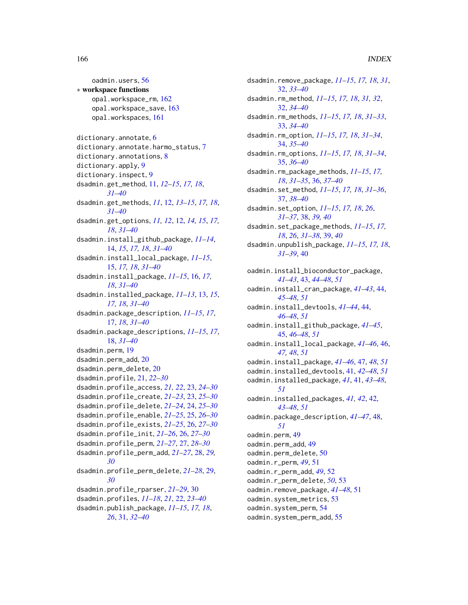#### 166 INDEX

oadmin.users, [56](#page-55-0) ∗ workspace functions opal.workspace\_rm, [162](#page-161-1) opal.workspace\_save, [163](#page-162-1) opal.workspaces, [161](#page-160-2) dictionary.annotate, [6](#page-5-0) dictionary.annotate.harmo\_status, [7](#page-6-0) dictionary.annotations, [8](#page-7-0) dictionary.apply, [9](#page-8-0) dictionary.inspect, [9](#page-8-0) dsadmin.get\_method, [11,](#page-10-0) *[12–](#page-11-0)[15](#page-14-0)*, *[17,](#page-16-0) [18](#page-17-0)*, *[31](#page-30-0)[–40](#page-39-0)* dsadmin.get\_methods, *[11](#page-10-0)*, [12,](#page-11-0) *[13–](#page-12-0)[15](#page-14-0)*, *[17,](#page-16-0) [18](#page-17-0)*, *[31](#page-30-0)[–40](#page-39-0)* dsadmin.get\_options, *[11,](#page-10-0) [12](#page-11-0)*, [12,](#page-11-0) *[14,](#page-13-0) [15](#page-14-0)*, *[17,](#page-16-0) [18](#page-17-0)*, *[31](#page-30-0)[–40](#page-39-0)* dsadmin.install\_github\_package, *[11–](#page-10-0)[14](#page-13-0)*, [14,](#page-13-0) *[15](#page-14-0)*, *[17,](#page-16-0) [18](#page-17-0)*, *[31–](#page-30-0)[40](#page-39-0)* dsadmin.install\_local\_package, *[11–](#page-10-0)[15](#page-14-0)*, [15,](#page-14-0) *[17,](#page-16-0) [18](#page-17-0)*, *[31–](#page-30-0)[40](#page-39-0)* dsadmin.install\_package, *[11–](#page-10-0)[15](#page-14-0)*, [16,](#page-15-0) *[17,](#page-16-0) [18](#page-17-0)*, *[31](#page-30-0)[–40](#page-39-0)* dsadmin.installed\_package, *[11–](#page-10-0)[13](#page-12-0)*, [13,](#page-12-0) *[15](#page-14-0)*, *[17,](#page-16-0) [18](#page-17-0)*, *[31](#page-30-0)[–40](#page-39-0)* dsadmin.package\_description, *[11–](#page-10-0)[15](#page-14-0)*, *[17](#page-16-0)*, [17,](#page-16-0) *[18](#page-17-0)*, *[31](#page-30-0)[–40](#page-39-0)* dsadmin.package\_descriptions, *[11–](#page-10-0)[15](#page-14-0)*, *[17](#page-16-0)*, [18,](#page-17-0) *[31](#page-30-0)[–40](#page-39-0)* dsadmin.perm, [19](#page-18-0) dsadmin.perm\_add, [20](#page-19-0) dsadmin.perm\_delete, [20](#page-19-0) dsadmin.profile, [21,](#page-20-0) *[22–](#page-21-0)[30](#page-29-0)* dsadmin.profile\_access, *[21,](#page-20-0) [22](#page-21-0)*, [23,](#page-22-0) *[24–](#page-23-0)[30](#page-29-0)* dsadmin.profile\_create, *[21–](#page-20-0)[23](#page-22-0)*, [23,](#page-22-0) *[25–](#page-24-0)[30](#page-29-0)* dsadmin.profile\_delete, *[21–](#page-20-0)[24](#page-23-0)*, [24,](#page-23-0) *[25–](#page-24-0)[30](#page-29-0)* dsadmin.profile\_enable, *[21–](#page-20-0)[25](#page-24-0)*, [25,](#page-24-0) *[26–](#page-25-0)[30](#page-29-0)* dsadmin.profile\_exists, *[21–](#page-20-0)[25](#page-24-0)*, [26,](#page-25-0) *[27–](#page-26-0)[30](#page-29-0)* dsadmin.profile\_init, *[21–](#page-20-0)[26](#page-25-0)*, [26,](#page-25-0) *[27–](#page-26-0)[30](#page-29-0)* dsadmin.profile\_perm, *[21–](#page-20-0)[27](#page-26-0)*, [27,](#page-26-0) *[28–](#page-27-0)[30](#page-29-0)* dsadmin.profile\_perm\_add, *[21–](#page-20-0)[27](#page-26-0)*, [28,](#page-27-0) *[29,](#page-28-0) [30](#page-29-0)* dsadmin.profile\_perm\_delete, *[21–](#page-20-0)[28](#page-27-0)*, [29,](#page-28-0) *[30](#page-29-0)* dsadmin.profile\_rparser, *[21–](#page-20-0)[29](#page-28-0)*, [30](#page-29-0) dsadmin.profiles, *[11–](#page-10-0)[18](#page-17-0)*, *[21](#page-20-0)*, [22,](#page-21-0) *[23–](#page-22-0)[40](#page-39-0)* dsadmin.publish\_package, *[11–](#page-10-0)[15](#page-14-0)*, *[17,](#page-16-0) [18](#page-17-0)*, *[26](#page-25-0)*, [31,](#page-30-0) *[32](#page-31-0)[–40](#page-39-0)*

dsadmin.remove\_package, *[11](#page-10-0)[–15](#page-14-0)*, *[17,](#page-16-0) [18](#page-17-0)*, *[31](#page-30-0)*, [32,](#page-31-0) *[33](#page-32-0)[–40](#page-39-0)* dsadmin.rm\_method, *[11](#page-10-0)[–15](#page-14-0)*, *[17,](#page-16-0) [18](#page-17-0)*, *[31,](#page-30-0) [32](#page-31-0)*, [32,](#page-31-0) *[34](#page-33-0)[–40](#page-39-0)* dsadmin.rm\_methods, *[11](#page-10-0)[–15](#page-14-0)*, *[17,](#page-16-0) [18](#page-17-0)*, *[31](#page-30-0)[–33](#page-32-0)*, [33,](#page-32-0) *[34](#page-33-0)[–40](#page-39-0)* dsadmin.rm\_option, *[11](#page-10-0)[–15](#page-14-0)*, *[17,](#page-16-0) [18](#page-17-0)*, *[31](#page-30-0)[–34](#page-33-0)*, [34,](#page-33-0) *[35](#page-34-0)[–40](#page-39-0)* dsadmin.rm\_options, *[11](#page-10-0)[–15](#page-14-0)*, *[17,](#page-16-0) [18](#page-17-0)*, *[31](#page-30-0)[–34](#page-33-0)*, [35,](#page-34-0) *[36](#page-35-0)[–40](#page-39-0)* dsadmin.rm\_package\_methods, *[11](#page-10-0)[–15](#page-14-0)*, *[17,](#page-16-0) [18](#page-17-0)*, *[31](#page-30-0)[–35](#page-34-0)*, [36,](#page-35-0) *[37](#page-36-0)[–40](#page-39-0)* dsadmin.set\_method, *[11](#page-10-0)[–15](#page-14-0)*, *[17,](#page-16-0) [18](#page-17-0)*, *[31](#page-30-0)[–36](#page-35-0)*, [37,](#page-36-0) *[38](#page-37-0)[–40](#page-39-0)* dsadmin.set\_option, *[11](#page-10-0)[–15](#page-14-0)*, *[17,](#page-16-0) [18](#page-17-0)*, *[26](#page-25-0)*, *[31](#page-30-0)[–37](#page-36-0)*, [38,](#page-37-0) *[39,](#page-38-0) [40](#page-39-0)* dsadmin.set\_package\_methods, *[11](#page-10-0)[–15](#page-14-0)*, *[17,](#page-16-0) [18](#page-17-0)*, *[26](#page-25-0)*, *[31](#page-30-0)[–38](#page-37-0)*, [39,](#page-38-0) *[40](#page-39-0)* dsadmin.unpublish\_package, *[11](#page-10-0)[–15](#page-14-0)*, *[17,](#page-16-0) [18](#page-17-0)*, *[31](#page-30-0)[–39](#page-38-0)*, [40](#page-39-0) oadmin.install\_bioconductor\_package, *[41](#page-40-0)[–43](#page-42-0)*, [43,](#page-42-0) *[44](#page-43-0)[–48](#page-47-0)*, *[51](#page-50-0)* oadmin.install\_cran\_package, *[41](#page-40-0)[–43](#page-42-0)*, [44,](#page-43-0) *[45](#page-44-0)[–48](#page-47-0)*, *[51](#page-50-0)* oadmin.install\_devtools, *[41](#page-40-0)[–44](#page-43-0)*, [44,](#page-43-0) *[46](#page-45-0)[–48](#page-47-0)*, *[51](#page-50-0)* oadmin.install\_github\_package, *[41](#page-40-0)[–45](#page-44-0)*, [45,](#page-44-0) *[46](#page-45-0)[–48](#page-47-0)*, *[51](#page-50-0)* oadmin.install\_local\_package, *[41](#page-40-0)[–46](#page-45-0)*, [46,](#page-45-0) *[47,](#page-46-0) [48](#page-47-0)*, *[51](#page-50-0)* oadmin.install\_package, *[41](#page-40-0)[–46](#page-45-0)*, [47,](#page-46-0) *[48](#page-47-0)*, *[51](#page-50-0)* oadmin.installed\_devtools, [41,](#page-40-0) *[42](#page-41-0)[–48](#page-47-0)*, *[51](#page-50-0)* oadmin.installed\_package, *[41](#page-40-0)*, [41,](#page-40-0) *[43](#page-42-0)[–48](#page-47-0)*, *[51](#page-50-0)* oadmin.installed\_packages, *[41,](#page-40-0) [42](#page-41-0)*, [42,](#page-41-0) *[43](#page-42-0)[–48](#page-47-0)*, *[51](#page-50-0)* oadmin.package\_description, *[41](#page-40-0)[–47](#page-46-0)*, [48,](#page-47-0) *[51](#page-50-0)* oadmin.perm, [49](#page-48-0) oadmin.perm\_add, [49](#page-48-0) oadmin.perm\_delete, [50](#page-49-0) oadmin.r\_perm, *[49](#page-48-0)*, [51](#page-50-0) oadmin.r\_perm\_add, *[49](#page-48-0)*, [52](#page-51-0) oadmin.r\_perm\_delete, *[50](#page-49-0)*, [53](#page-52-0) oadmin.remove\_package, *[41](#page-40-0)[–48](#page-47-0)*, [51](#page-50-0) oadmin.system\_metrics, [53](#page-52-0) oadmin.system\_perm, [54](#page-53-0) oadmin.system\_perm\_add, [55](#page-54-0)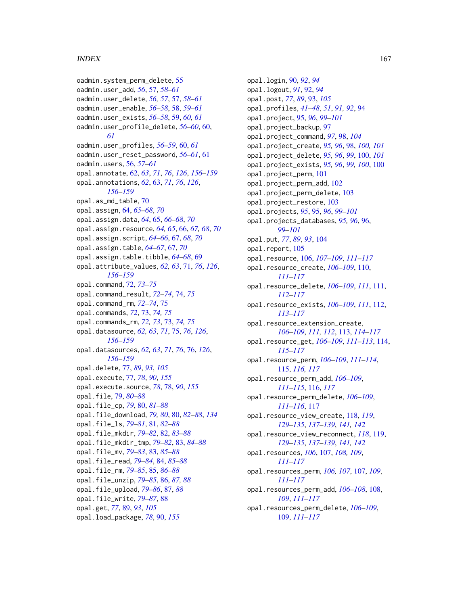#### INDEX  $167$

oadmin.system\_perm\_delete, [55](#page-54-0) oadmin.user\_add, *[56](#page-55-0)*, [57,](#page-56-0) *[58–](#page-57-0)[61](#page-60-0)* oadmin.user\_delete, *[56,](#page-55-0) [57](#page-56-0)*, [57,](#page-56-0) *[58–](#page-57-0)[61](#page-60-0)* oadmin.user\_enable, *[56–](#page-55-0)[58](#page-57-0)*, [58,](#page-57-0) *[59–](#page-58-0)[61](#page-60-0)* oadmin.user\_exists, *[56–](#page-55-0)[58](#page-57-0)*, [59,](#page-58-0) *[60,](#page-59-0) [61](#page-60-0)* oadmin.user\_profile\_delete, *[56–](#page-55-0)[60](#page-59-0)*, [60,](#page-59-0) *[61](#page-60-0)* oadmin.user\_profiles, *[56–](#page-55-0)[59](#page-58-0)*, [60,](#page-59-0) *[61](#page-60-0)* oadmin.user\_reset\_password, *[56–](#page-55-0)[61](#page-60-0)*, [61](#page-60-0) oadmin.users, [56,](#page-55-0) *[57](#page-56-0)[–61](#page-60-0)* opal.annotate, [62,](#page-61-1) *[63](#page-62-1)*, *[71](#page-70-1)*, *[76](#page-75-1)*, *[126](#page-125-1)*, *[156–](#page-155-1)[159](#page-158-0)* opal.annotations, *[62](#page-61-1)*, [63,](#page-62-1) *[71](#page-70-1)*, *[76](#page-75-1)*, *[126](#page-125-1)*, *[156](#page-155-1)[–159](#page-158-0)* opal.as\_md\_table, [70](#page-69-0) opal.assign, [64,](#page-63-0) *[65](#page-64-0)[–68](#page-67-0)*, *[70](#page-69-0)* opal.assign.data, *[64](#page-63-0)*, [65,](#page-64-0) *[66–](#page-65-0)[68](#page-67-0)*, *[70](#page-69-0)* opal.assign.resource, *[64,](#page-63-0) [65](#page-64-0)*, [66,](#page-65-0) *[67,](#page-66-0) [68](#page-67-0)*, *[70](#page-69-0)* opal.assign.script, *[64–](#page-63-0)[66](#page-65-0)*, [67,](#page-66-0) *[68](#page-67-0)*, *[70](#page-69-0)* opal.assign.table, *[64–](#page-63-0)[67](#page-66-0)*, [67,](#page-66-0) *[70](#page-69-0)* opal.assign.table.tibble, *[64–](#page-63-0)[68](#page-67-0)*, [69](#page-68-0) opal.attribute\_values, *[62,](#page-61-1) [63](#page-62-1)*, [71,](#page-70-1) *[76](#page-75-1)*, *[126](#page-125-1)*, *[156](#page-155-1)[–159](#page-158-0)* opal.command, [72,](#page-71-0) *[73](#page-72-0)[–75](#page-74-1)* opal.command\_result, *[72–](#page-71-0)[74](#page-73-0)*, [74,](#page-73-0) *[75](#page-74-1)* opal.command\_rm, *[72](#page-71-0)[–74](#page-73-0)*, [75](#page-74-1) opal.commands, *[72](#page-71-0)*, [73,](#page-72-0) *[74,](#page-73-0) [75](#page-74-1)* opal.commands\_rm, *[72,](#page-71-0) [73](#page-72-0)*, [73,](#page-72-0) *[74,](#page-73-0) [75](#page-74-1)* opal.datasource, *[62,](#page-61-1) [63](#page-62-1)*, *[71](#page-70-1)*, [75,](#page-74-1) *[76](#page-75-1)*, *[126](#page-125-1)*, *[156](#page-155-1)[–159](#page-158-0)* opal.datasources, *[62,](#page-61-1) [63](#page-62-1)*, *[71](#page-70-1)*, *[76](#page-75-1)*, [76,](#page-75-1) *[126](#page-125-1)*, *[156](#page-155-1)[–159](#page-158-0)* opal.delete, [77,](#page-76-1) *[89](#page-88-0)*, *[93](#page-92-0)*, *[105](#page-104-0)* opal.execute, [77,](#page-76-1) *[78](#page-77-1)*, *[90](#page-89-1)*, *[155](#page-154-0)* opal.execute.source, *[78](#page-77-1)*, [78,](#page-77-1) *[90](#page-89-1)*, *[155](#page-154-0)* opal.file, [79,](#page-78-0) *[80](#page-79-0)[–88](#page-87-0)* opal.file\_cp, *[79](#page-78-0)*, [80,](#page-79-0) *[81–](#page-80-0)[88](#page-87-0)* opal.file\_download, *[79,](#page-78-0) [80](#page-79-0)*, [80,](#page-79-0) *[82–](#page-81-0)[88](#page-87-0)*, *[134](#page-133-0)* opal.file\_ls, *[79](#page-78-0)[–81](#page-80-0)*, [81,](#page-80-0) *[82–](#page-81-0)[88](#page-87-0)* opal.file\_mkdir, *[79](#page-78-0)[–82](#page-81-0)*, [82,](#page-81-0) *[83–](#page-82-0)[88](#page-87-0)* opal.file\_mkdir\_tmp, *[79–](#page-78-0)[82](#page-81-0)*, [83,](#page-82-0) *[84–](#page-83-0)[88](#page-87-0)* opal.file\_mv, *[79](#page-78-0)[–83](#page-82-0)*, [83,](#page-82-0) *[85–](#page-84-0)[88](#page-87-0)* opal.file\_read, *[79](#page-78-0)[–84](#page-83-0)*, [84,](#page-83-0) *[85–](#page-84-0)[88](#page-87-0)* opal.file\_rm, *[79](#page-78-0)[–85](#page-84-0)*, [85,](#page-84-0) *[86–](#page-85-0)[88](#page-87-0)* opal.file\_unzip, *[79](#page-78-0)[–85](#page-84-0)*, [86,](#page-85-0) *[87,](#page-86-0) [88](#page-87-0)* opal.file\_upload, *[79–](#page-78-0)[86](#page-85-0)*, [87,](#page-86-0) *[88](#page-87-0)* opal.file\_write, *[79](#page-78-0)[–87](#page-86-0)*, [88](#page-87-0) opal.get, *[77](#page-76-1)*, [89,](#page-88-0) *[93](#page-92-0)*, *[105](#page-104-0)* opal.load\_package, *[78](#page-77-1)*, [90,](#page-89-1) *[155](#page-154-0)*

opal.login, [90,](#page-89-1) *[92](#page-91-0)*, *[94](#page-93-0)* opal.logout, *[91](#page-90-0)*, [92,](#page-91-0) *[94](#page-93-0)* opal.post, *[77](#page-76-1)*, *[89](#page-88-0)*, [93,](#page-92-0) *[105](#page-104-0)* opal.profiles, *[41](#page-40-0)[–48](#page-47-0)*, *[51](#page-50-0)*, *[91,](#page-90-0) [92](#page-91-0)*, [94](#page-93-0) opal.project, [95,](#page-94-0) *[96](#page-95-0)*, *[99](#page-98-0)[–101](#page-100-0)* opal.project\_backup, [97](#page-96-0) opal.project\_command, *[97](#page-96-0)*, [98,](#page-97-0) *[104](#page-103-0)* opal.project\_create, *[95,](#page-94-0) [96](#page-95-0)*, [98,](#page-97-0) *[100,](#page-99-0) [101](#page-100-0)* opal.project\_delete, *[95,](#page-94-0) [96](#page-95-0)*, *[99](#page-98-0)*, [100,](#page-99-0) *[101](#page-100-0)* opal.project\_exists, *[95,](#page-94-0) [96](#page-95-0)*, *[99,](#page-98-0) [100](#page-99-0)*, [100](#page-99-0) opal.project\_perm, [101](#page-100-0) opal.project\_perm\_add, [102](#page-101-0) opal.project\_perm\_delete, [103](#page-102-0) opal.project\_restore, [103](#page-102-0) opal.projects, *[95](#page-94-0)*, [95,](#page-94-0) *[96](#page-95-0)*, *[99](#page-98-0)[–101](#page-100-0)* opal.projects\_databases, *[95,](#page-94-0) [96](#page-95-0)*, [96,](#page-95-0) *[99](#page-98-0)[–101](#page-100-0)* opal.put, *[77](#page-76-1)*, *[89](#page-88-0)*, *[93](#page-92-0)*, [104](#page-103-0) opal.report, [105](#page-104-0) opal.resource, [106,](#page-105-0) *[107](#page-106-0)[–109](#page-108-0)*, *[111](#page-110-0)[–117](#page-116-0)* opal.resource\_create, *[106](#page-105-0)[–109](#page-108-0)*, [110,](#page-109-0) *[111](#page-110-0)[–117](#page-116-0)* opal.resource\_delete, *[106](#page-105-0)[–109](#page-108-0)*, *[111](#page-110-0)*, [111,](#page-110-0) *[112](#page-111-0)[–117](#page-116-0)* opal.resource\_exists, *[106](#page-105-0)[–109](#page-108-0)*, *[111](#page-110-0)*, [112,](#page-111-0) *[113](#page-112-0)[–117](#page-116-0)* opal.resource\_extension\_create, *[106](#page-105-0)[–109](#page-108-0)*, *[111,](#page-110-0) [112](#page-111-0)*, [113,](#page-112-0) *[114](#page-113-0)[–117](#page-116-0)* opal.resource\_get, *[106](#page-105-0)[–109](#page-108-0)*, *[111](#page-110-0)[–113](#page-112-0)*, [114,](#page-113-0) *[115](#page-114-0)[–117](#page-116-0)* opal.resource\_perm, *[106](#page-105-0)[–109](#page-108-0)*, *[111](#page-110-0)[–114](#page-113-0)*, [115,](#page-114-0) *[116,](#page-115-0) [117](#page-116-0)* opal.resource\_perm\_add, *[106](#page-105-0)[–109](#page-108-0)*, *[111](#page-110-0)[–115](#page-114-0)*, [116,](#page-115-0) *[117](#page-116-0)* opal.resource\_perm\_delete, *[106](#page-105-0)[–109](#page-108-0)*, *[111](#page-110-0)[–116](#page-115-0)*, [117](#page-116-0) opal.resource\_view\_create, [118,](#page-117-0) *[119](#page-118-0)*, *[129](#page-128-0)[–135](#page-134-0)*, *[137](#page-136-0)[–139](#page-138-0)*, *[141,](#page-140-0) [142](#page-141-0)* opal.resource\_view\_reconnect, *[118](#page-117-0)*, [119,](#page-118-0) *[129](#page-128-0)[–135](#page-134-0)*, *[137](#page-136-0)[–139](#page-138-0)*, *[141,](#page-140-0) [142](#page-141-0)* opal.resources, *[106](#page-105-0)*, [107,](#page-106-0) *[108,](#page-107-0) [109](#page-108-0)*, *[111](#page-110-0)[–117](#page-116-0)* opal.resources\_perm, *[106,](#page-105-0) [107](#page-106-0)*, [107,](#page-106-0) *[109](#page-108-0)*, *[111](#page-110-0)[–117](#page-116-0)* opal.resources\_perm\_add, *[106](#page-105-0)[–108](#page-107-0)*, [108,](#page-107-0) *[109](#page-108-0)*, *[111](#page-110-0)[–117](#page-116-0)* opal.resources\_perm\_delete, *[106](#page-105-0)[–109](#page-108-0)*, [109,](#page-108-0) *[111](#page-110-0)[–117](#page-116-0)*